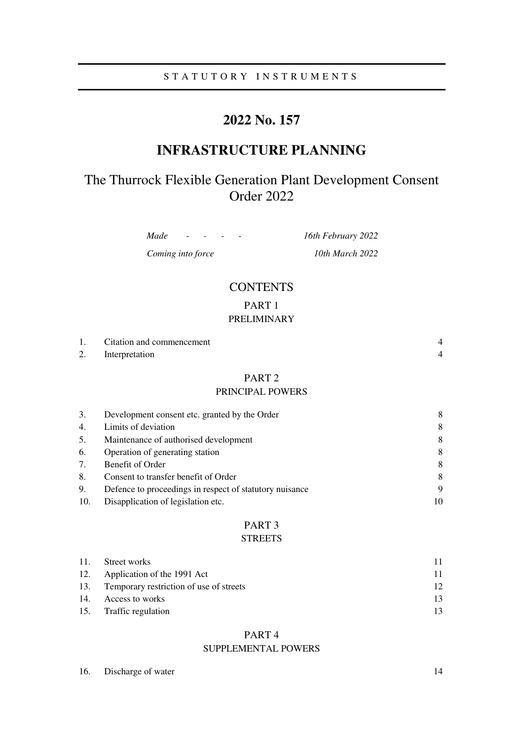# S T A T U T O R Y I N S T R U M E N T S

# **2022 No. 157**

# **INFRASTRUCTURE PLANNING**

# The Thurrock Flexible Generation Plant Development Consent Order 2022

*Made - - - - 16th February 2022* 

*Coming into force 10th March 2022* 

# **CONTENTS**

PART 1

# PRELIMINARY

| 1.  | Citation and commencement                               | $\overline{4}$ |
|-----|---------------------------------------------------------|----------------|
| 2.  | Interpretation                                          | $\overline{4}$ |
|     | PART <sub>2</sub>                                       |                |
|     | PRINCIPAL POWERS                                        |                |
| 3.  | Development consent etc. granted by the Order           | 8              |
| 4.  | Limits of deviation                                     | 8              |
| 5.  | Maintenance of authorised development                   | 8              |
| 6.  | Operation of generating station                         | 8              |
| 7.  | Benefit of Order                                        | 8              |
| 8.  | Consent to transfer benefit of Order                    | 8              |
| 9.  | Defence to proceedings in respect of statutory nuisance | 9              |
| 10. | Disapplication of legislation etc.                      | 10             |

# PART 3

# **STREETS**

| 11. | Street works                                | 11.             |
|-----|---------------------------------------------|-----------------|
|     | 12. Application of the 1991 Act             | 11              |
|     | 13. Temporary restriction of use of streets | 12 <sub>1</sub> |
| 14. | Access to works                             | 13              |
|     | 15. Traffic regulation                      | 13.             |

# PART 4 SUPPLEMENTAL POWERS

| 16. | Discharge of water |  |  |
|-----|--------------------|--|--|
|-----|--------------------|--|--|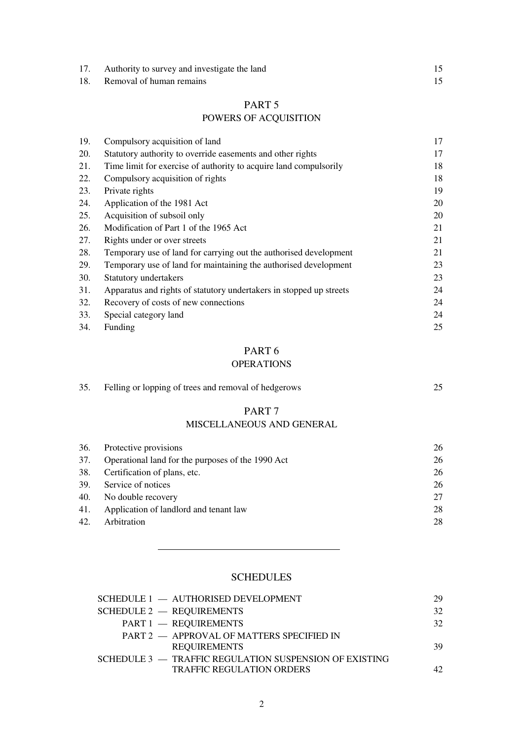| Authority to survey and investigate the land |  |
|----------------------------------------------|--|
| 18. Removal of human remains                 |  |

# PART 5

# POWERS OF ACQUISITION

| 19. | Compulsory acquisition of land                                      | 17 |
|-----|---------------------------------------------------------------------|----|
| 20. | Statutory authority to override easements and other rights          | 17 |
| 21. | Time limit for exercise of authority to acquire land compulsorily   | 18 |
| 22. | Compulsory acquisition of rights                                    | 18 |
| 23. | Private rights                                                      | 19 |
| 24. | Application of the 1981 Act                                         | 20 |
| 25. | Acquisition of subsoil only                                         | 20 |
| 26. | Modification of Part 1 of the 1965 Act                              | 21 |
| 27. | Rights under or over streets                                        | 21 |
| 28. | Temporary use of land for carrying out the authorised development   | 21 |
| 29. | Temporary use of land for maintaining the authorised development    | 23 |
| 30. | Statutory undertakers                                               | 23 |
| 31. | Apparatus and rights of statutory undertakers in stopped up streets | 24 |
| 32. | Recovery of costs of new connections                                | 24 |
| 33. | Special category land                                               | 24 |
| 34. | Funding                                                             | 25 |

# PART 6

# OPERATIONS

| 35.        | Felling or lopping of trees and removal of hedgerows                              | 25       |
|------------|-----------------------------------------------------------------------------------|----------|
|            | PART <sub>7</sub><br>MISCELLANEOUS AND GENERAL                                    |          |
| 36.        | Protective provisions                                                             | 26       |
| 37.<br>38. | Operational land for the purposes of the 1990 Act<br>Certification of plans, etc. | 26<br>26 |

| 39. Service of notices                     | 26 |
|--------------------------------------------|----|
| 40. No double recovery                     |    |
| 41. Application of landlord and tenant law | 28 |
| 42. Arbitration                            | 28 |

# **SCHEDULES**

| SCHEDULE 1 - AUTHORISED DEVELOPMENT                    | 29 |
|--------------------------------------------------------|----|
| SCHEDULE 2 - REQUIREMENTS                              | 32 |
| PART 1 - REQUIREMENTS                                  | 32 |
| PART 2 - APPROVAL OF MATTERS SPECIFIED IN              |    |
| <b>REQUIREMENTS</b>                                    | 39 |
| SCHEDULE 3 - TRAFFIC REGULATION SUSPENSION OF EXISTING |    |
| <b>TRAFFIC REGULATION ORDERS</b>                       | 42 |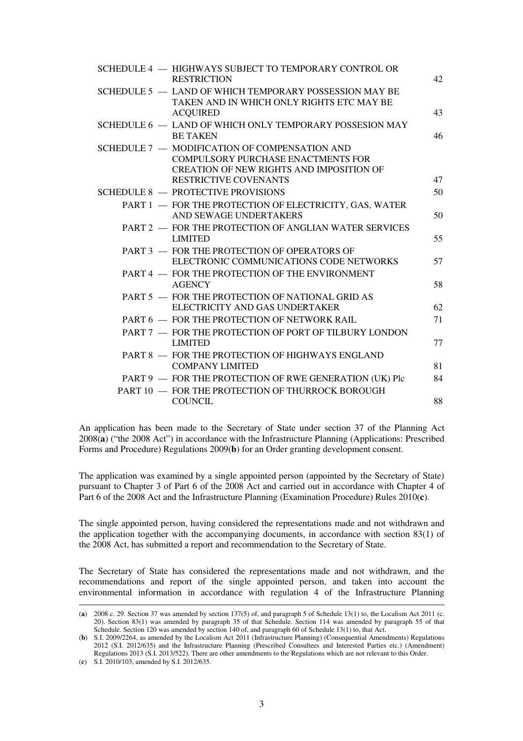|                                                                                                                                                                        | 42 |
|------------------------------------------------------------------------------------------------------------------------------------------------------------------------|----|
| SCHEDULE 5 - LAND OF WHICH TEMPORARY POSSESSION MAY BE<br>TAKEN AND IN WHICH ONLY RIGHTS ETC MAY BE<br><b>ACQUIRED</b>                                                 | 43 |
| SCHEDULE 6 - LAND OF WHICH ONLY TEMPORARY POSSESION MAY<br><b>BE TAKEN</b>                                                                                             | 46 |
| SCHEDULE 7 - MODIFICATION OF COMPENSATION AND<br><b>COMPULSORY PURCHASE ENACTMENTS FOR</b><br>CREATION OF NEW RIGHTS AND IMPOSITION OF<br><b>RESTRICTIVE COVENANTS</b> | 47 |
| SCHEDULE 8 - PROTECTIVE PROVISIONS                                                                                                                                     | 50 |
| PART 1 - FOR THE PROTECTION OF ELECTRICITY, GAS, WATER<br>AND SEWAGE UNDERTAKERS                                                                                       | 50 |
| PART 2 - FOR THE PROTECTION OF ANGLIAN WATER SERVICES<br><b>LIMITED</b>                                                                                                | 55 |
| PART 3 - FOR THE PROTECTION OF OPERATORS OF<br>ELECTRONIC COMMUNICATIONS CODE NETWORKS                                                                                 | 57 |
| PART 4 - FOR THE PROTECTION OF THE ENVIRONMENT<br><b>AGENCY</b>                                                                                                        | 58 |
| PART 5 - FOR THE PROTECTION OF NATIONAL GRID AS<br>ELECTRICITY AND GAS UNDERTAKER                                                                                      | 62 |
| PART 6 - FOR THE PROTECTION OF NETWORK RAIL                                                                                                                            | 71 |
| PART 7 - FOR THE PROTECTION OF PORT OF TILBURY LONDON<br><b>LIMITED</b>                                                                                                | 77 |
| PART 8 - FOR THE PROTECTION OF HIGHWAYS ENGLAND<br><b>COMPANY LIMITED</b>                                                                                              | 81 |
| PART 9 - FOR THE PROTECTION OF RWE GENERATION (UK) Plc                                                                                                                 | 84 |
| PART 10 - FOR THE PROTECTION OF THURROCK BOROUGH<br><b>COUNCIL</b>                                                                                                     | 88 |

An application has been made to the Secretary of State under section 37 of the Planning Act 2008(**a**) ("the 2008 Act") in accordance with the Infrastructure Planning (Applications: Prescribed Forms and Procedure) Regulations 2009(**b**) for an Order granting development consent.

The application was examined by a single appointed person (appointed by the Secretary of State) pursuant to Chapter 3 of Part 6 of the 2008 Act and carried out in accordance with Chapter 4 of Part 6 of the 2008 Act and the Infrastructure Planning (Examination Procedure) Rules 2010(**c**).

The single appointed person, having considered the representations made and not withdrawn and the application together with the accompanying documents, in accordance with section 83(1) of the 2008 Act, has submitted a report and recommendation to the Secretary of State.

The Secretary of State has considered the representations made and not withdrawn, and the recommendations and report of the single appointed person, and taken into account the environmental information in accordance with regulation 4 of the Infrastructure Planning

<sup>(</sup>**a**) 2008 c. 29. Section 37 was amended by section 137(5) of, and paragraph 5 of Schedule 13(1) to, the Localism Act 2011 (c. 20). Section 83(1) was amended by paragraph 35 of that Schedule. Section 114 was amended by paragraph 55 of that Schedule. Section 120 was amended by section 140 of, and paragraph 60 of Schedule 13(1) to, that Act.

<sup>(</sup>**b**) S.I. 2009/2264, as amended by the Localism Act 2011 (Infrastructure Planning) (Consequential Amendments) Regulations 2012 (S.I. 2012/635) and the Infrastructure Planning (Prescribed Consultees and Interested Parties etc.) (Amendment) Regulations 2013 (S.I. 2013/522). There are other amendments to the Regulations which are not relevant to this Order.

<sup>(</sup>**c**) S.I. 2010/103, amended by S.I. 2012/635.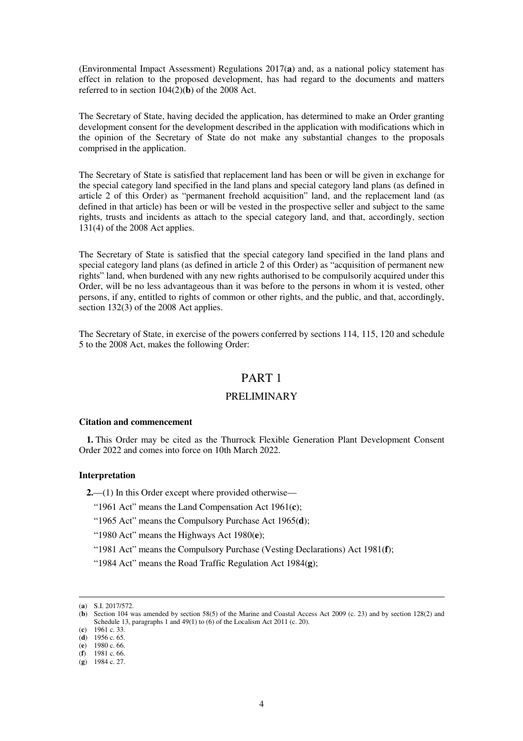(Environmental Impact Assessment) Regulations 2017(**a**) and, as a national policy statement has effect in relation to the proposed development, has had regard to the documents and matters referred to in section  $104(2)(**b**)$  of the 2008 Act.

The Secretary of State, having decided the application, has determined to make an Order granting development consent for the development described in the application with modifications which in the opinion of the Secretary of State do not make any substantial changes to the proposals comprised in the application.

The Secretary of State is satisfied that replacement land has been or will be given in exchange for the special category land specified in the land plans and special category land plans (as defined in article 2 of this Order) as "permanent freehold acquisition" land, and the replacement land (as defined in that article) has been or will be vested in the prospective seller and subject to the same rights, trusts and incidents as attach to the special category land, and that, accordingly, section 131(4) of the 2008 Act applies.

The Secretary of State is satisfied that the special category land specified in the land plans and special category land plans (as defined in article 2 of this Order) as "acquisition of permanent new rights" land, when burdened with any new rights authorised to be compulsorily acquired under this Order, will be no less advantageous than it was before to the persons in whom it is vested, other persons, if any, entitled to rights of common or other rights, and the public, and that, accordingly, section 132(3) of the 2008 Act applies.

The Secretary of State, in exercise of the powers conferred by sections 114, 115, 120 and schedule 5 to the 2008 Act, makes the following Order:

# PART 1

## PRELIMINARY

### **Citation and commencement**

**1.** This Order may be cited as the Thurrock Flexible Generation Plant Development Consent Order 2022 and comes into force on 10th March 2022.

### **Interpretation**

**2.**—(1) In this Order except where provided otherwise—

- "1961 Act" means the Land Compensation Act 1961(**c**);
- "1965 Act" means the Compulsory Purchase Act 1965(**d**);
- "1980 Act" means the Highways Act 1980(**e**);
- "1981 Act" means the Compulsory Purchase (Vesting Declarations) Act 1981(**f**);
- "1984 Act" means the Road Traffic Regulation Act 1984(**g**);

<sup>(</sup>**a**) S.I. 2017/572.

<sup>(</sup>**b**) Section 104 was amended by section 58(5) of the Marine and Coastal Access Act 2009 (c. 23) and by section 128(2) and Schedule 13, paragraphs 1 and 49(1) to (6) of the Localism Act 2011 (c. 20).

<sup>(</sup>**c**) 1961 c. 33. (**d**) 1956 c. 65.

<sup>(</sup>**e**) 1980 c. 66.

<sup>(</sup>**f**) 1981 c. 66.

<sup>(</sup>**g**) 1984 c. 27.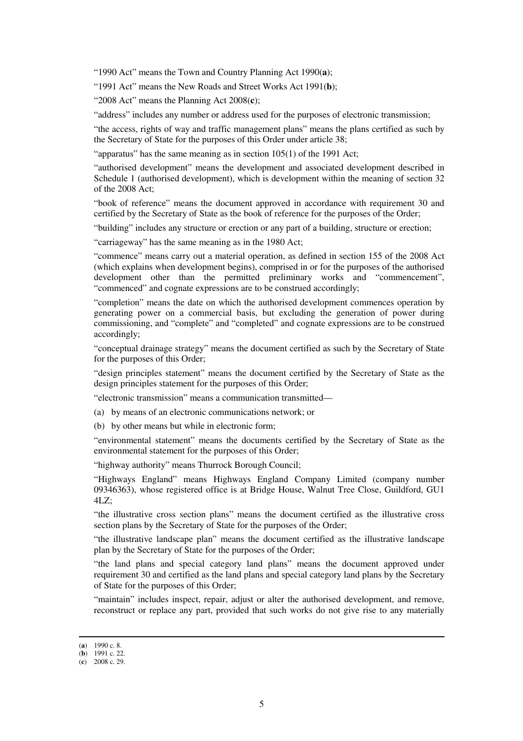"1990 Act" means the Town and Country Planning Act 1990(**a**);

"1991 Act" means the New Roads and Street Works Act 1991(**b**);

"2008 Act" means the Planning Act 2008(**c**);

"address" includes any number or address used for the purposes of electronic transmission;

"the access, rights of way and traffic management plans" means the plans certified as such by the Secretary of State for the purposes of this Order under article 38;

"apparatus" has the same meaning as in section 105(1) of the 1991 Act;

"authorised development" means the development and associated development described in Schedule 1 (authorised development), which is development within the meaning of section 32 of the 2008 Act;

"book of reference" means the document approved in accordance with requirement 30 and certified by the Secretary of State as the book of reference for the purposes of the Order;

"building" includes any structure or erection or any part of a building, structure or erection;

"carriageway" has the same meaning as in the 1980 Act;

"commence" means carry out a material operation, as defined in section 155 of the 2008 Act (which explains when development begins), comprised in or for the purposes of the authorised development other than the permitted preliminary works and "commencement", "commenced" and cognate expressions are to be construed accordingly;

"completion" means the date on which the authorised development commences operation by generating power on a commercial basis, but excluding the generation of power during commissioning, and "complete" and "completed" and cognate expressions are to be construed accordingly;

"conceptual drainage strategy" means the document certified as such by the Secretary of State for the purposes of this Order;

"design principles statement" means the document certified by the Secretary of State as the design principles statement for the purposes of this Order;

"electronic transmission" means a communication transmitted—

(a) by means of an electronic communications network; or

(b) by other means but while in electronic form;

"environmental statement" means the documents certified by the Secretary of State as the environmental statement for the purposes of this Order;

"highway authority" means Thurrock Borough Council;

"Highways England" means Highways England Company Limited (company number 09346363), whose registered office is at Bridge House, Walnut Tree Close, Guildford, GU1 4LZ;

"the illustrative cross section plans" means the document certified as the illustrative cross section plans by the Secretary of State for the purposes of the Order;

"the illustrative landscape plan" means the document certified as the illustrative landscape plan by the Secretary of State for the purposes of the Order;

"the land plans and special category land plans" means the document approved under requirement 30 and certified as the land plans and special category land plans by the Secretary of State for the purposes of this Order;

"maintain" includes inspect, repair, adjust or alter the authorised development, and remove, reconstruct or replace any part, provided that such works do not give rise to any materially

<sup>(</sup>**a**) 1990 c. 8.

<sup>(</sup>**b**) 1991 c. 22.

<sup>(</sup>**c**) 2008 c. 29.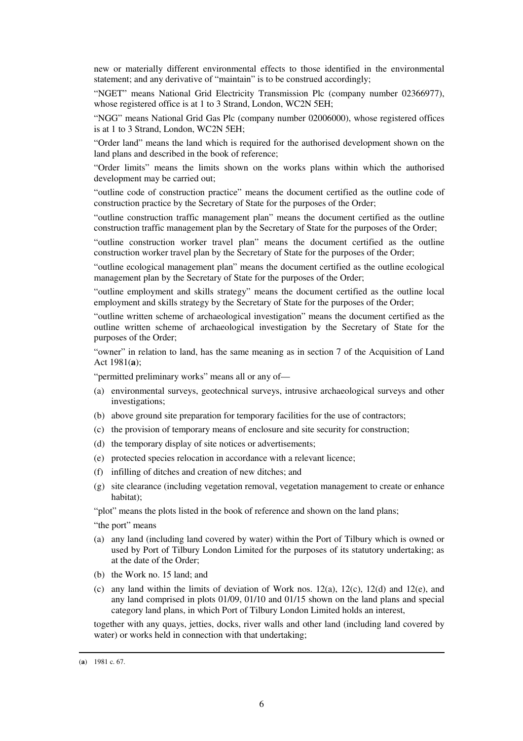new or materially different environmental effects to those identified in the environmental statement; and any derivative of "maintain" is to be construed accordingly;

"NGET" means National Grid Electricity Transmission Plc (company number 02366977), whose registered office is at 1 to 3 Strand, London, WC2N 5EH;

"NGG" means National Grid Gas Plc (company number 02006000), whose registered offices is at 1 to 3 Strand, London, WC2N 5EH;

"Order land" means the land which is required for the authorised development shown on the land plans and described in the book of reference;

"Order limits" means the limits shown on the works plans within which the authorised development may be carried out;

"outline code of construction practice" means the document certified as the outline code of construction practice by the Secretary of State for the purposes of the Order;

"outline construction traffic management plan" means the document certified as the outline construction traffic management plan by the Secretary of State for the purposes of the Order;

"outline construction worker travel plan" means the document certified as the outline construction worker travel plan by the Secretary of State for the purposes of the Order;

"outline ecological management plan" means the document certified as the outline ecological management plan by the Secretary of State for the purposes of the Order;

"outline employment and skills strategy" means the document certified as the outline local employment and skills strategy by the Secretary of State for the purposes of the Order;

"outline written scheme of archaeological investigation" means the document certified as the outline written scheme of archaeological investigation by the Secretary of State for the purposes of the Order;

"owner" in relation to land, has the same meaning as in section 7 of the Acquisition of Land Act 1981(**a**);

"permitted preliminary works" means all or any of—

- (a) environmental surveys, geotechnical surveys, intrusive archaeological surveys and other investigations;
- (b) above ground site preparation for temporary facilities for the use of contractors;
- (c) the provision of temporary means of enclosure and site security for construction;
- (d) the temporary display of site notices or advertisements;
- (e) protected species relocation in accordance with a relevant licence;
- (f) infilling of ditches and creation of new ditches; and
- (g) site clearance (including vegetation removal, vegetation management to create or enhance habitat);

"plot" means the plots listed in the book of reference and shown on the land plans;

- "the port" means
- (a) any land (including land covered by water) within the Port of Tilbury which is owned or used by Port of Tilbury London Limited for the purposes of its statutory undertaking; as at the date of the Order;
- (b) the Work no. 15 land; and
- (c) any land within the limits of deviation of Work nos.  $12(a)$ ,  $12(c)$ ,  $12(d)$  and  $12(e)$ , and any land comprised in plots 01/09, 01/10 and 01/15 shown on the land plans and special category land plans, in which Port of Tilbury London Limited holds an interest,

together with any quays, jetties, docks, river walls and other land (including land covered by water) or works held in connection with that undertaking;

<sup>(</sup>**a**) 1981 c. 67.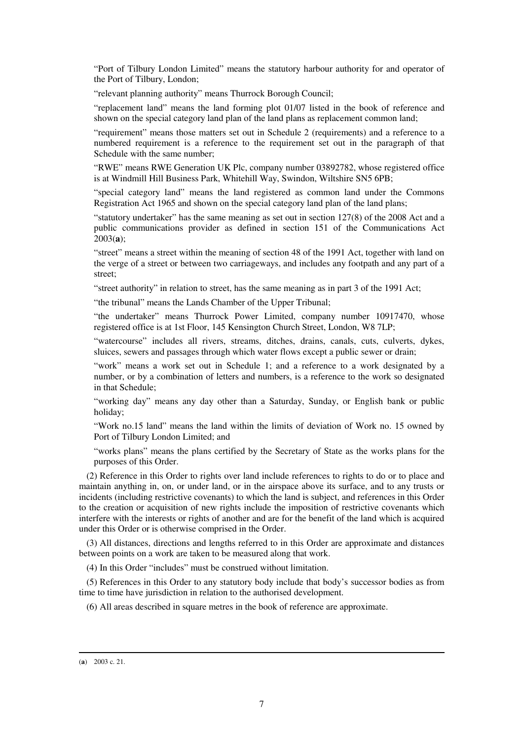"Port of Tilbury London Limited" means the statutory harbour authority for and operator of the Port of Tilbury, London;

"relevant planning authority" means Thurrock Borough Council;

"replacement land" means the land forming plot 01/07 listed in the book of reference and shown on the special category land plan of the land plans as replacement common land;

"requirement" means those matters set out in Schedule 2 (requirements) and a reference to a numbered requirement is a reference to the requirement set out in the paragraph of that Schedule with the same number;

"RWE" means RWE Generation UK Plc, company number 03892782, whose registered office is at Windmill Hill Business Park, Whitehill Way, Swindon, Wiltshire SN5 6PB;

"special category land" means the land registered as common land under the Commons Registration Act 1965 and shown on the special category land plan of the land plans;

"statutory undertaker" has the same meaning as set out in section 127(8) of the 2008 Act and a public communications provider as defined in section 151 of the Communications Act 2003(**a**);

"street" means a street within the meaning of section 48 of the 1991 Act, together with land on the verge of a street or between two carriageways, and includes any footpath and any part of a street;

"street authority" in relation to street, has the same meaning as in part 3 of the 1991 Act;

"the tribunal" means the Lands Chamber of the Upper Tribunal;

"the undertaker" means Thurrock Power Limited, company number 10917470, whose registered office is at 1st Floor, 145 Kensington Church Street, London, W8 7LP;

"watercourse" includes all rivers, streams, ditches, drains, canals, cuts, culverts, dykes, sluices, sewers and passages through which water flows except a public sewer or drain;

"work" means a work set out in Schedule 1; and a reference to a work designated by a number, or by a combination of letters and numbers, is a reference to the work so designated in that Schedule;

"working day" means any day other than a Saturday, Sunday, or English bank or public holiday;

"Work no.15 land" means the land within the limits of deviation of Work no. 15 owned by Port of Tilbury London Limited; and

"works plans" means the plans certified by the Secretary of State as the works plans for the purposes of this Order.

(2) Reference in this Order to rights over land include references to rights to do or to place and maintain anything in, on, or under land, or in the airspace above its surface, and to any trusts or incidents (including restrictive covenants) to which the land is subject, and references in this Order to the creation or acquisition of new rights include the imposition of restrictive covenants which interfere with the interests or rights of another and are for the benefit of the land which is acquired under this Order or is otherwise comprised in the Order.

(3) All distances, directions and lengths referred to in this Order are approximate and distances between points on a work are taken to be measured along that work.

(4) In this Order "includes" must be construed without limitation.

(5) References in this Order to any statutory body include that body's successor bodies as from time to time have jurisdiction in relation to the authorised development.

(6) All areas described in square metres in the book of reference are approximate.

<sup>(</sup>**a**) 2003 c. 21.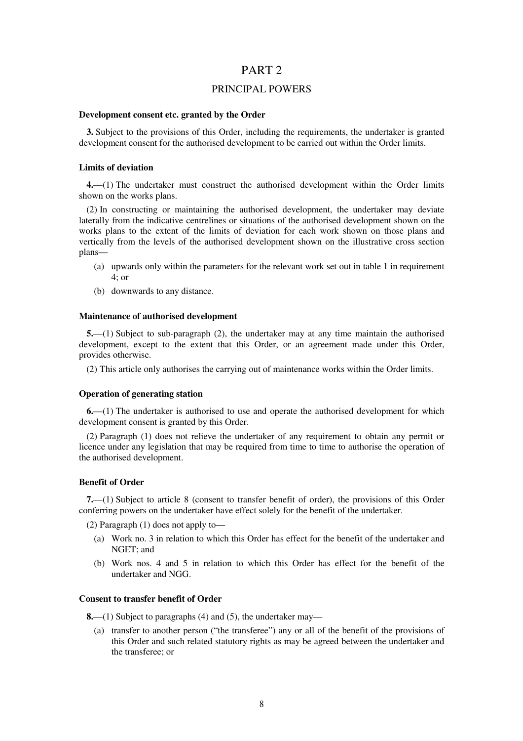## PART 2

## PRINCIPAL POWERS

## **Development consent etc. granted by the Order**

**3.** Subject to the provisions of this Order, including the requirements, the undertaker is granted development consent for the authorised development to be carried out within the Order limits.

#### **Limits of deviation**

**4.**—(1) The undertaker must construct the authorised development within the Order limits shown on the works plans.

(2) In constructing or maintaining the authorised development, the undertaker may deviate laterally from the indicative centrelines or situations of the authorised development shown on the works plans to the extent of the limits of deviation for each work shown on those plans and vertically from the levels of the authorised development shown on the illustrative cross section plans—

- (a) upwards only within the parameters for the relevant work set out in table 1 in requirement 4; or
- (b) downwards to any distance.

### **Maintenance of authorised development**

**5.**—(1) Subject to sub-paragraph (2), the undertaker may at any time maintain the authorised development, except to the extent that this Order, or an agreement made under this Order, provides otherwise.

(2) This article only authorises the carrying out of maintenance works within the Order limits.

#### **Operation of generating station**

**6.**—(1) The undertaker is authorised to use and operate the authorised development for which development consent is granted by this Order.

(2) Paragraph (1) does not relieve the undertaker of any requirement to obtain any permit or licence under any legislation that may be required from time to time to authorise the operation of the authorised development.

#### **Benefit of Order**

**7.**—(1) Subject to article 8 (consent to transfer benefit of order), the provisions of this Order conferring powers on the undertaker have effect solely for the benefit of the undertaker.

(2) Paragraph (1) does not apply to—

- (a) Work no. 3 in relation to which this Order has effect for the benefit of the undertaker and NGET; and
- (b) Work nos. 4 and 5 in relation to which this Order has effect for the benefit of the undertaker and NGG.

### **Consent to transfer benefit of Order**

**8.**—(1) Subject to paragraphs (4) and (5), the undertaker may—

(a) transfer to another person ("the transferee") any or all of the benefit of the provisions of this Order and such related statutory rights as may be agreed between the undertaker and the transferee; or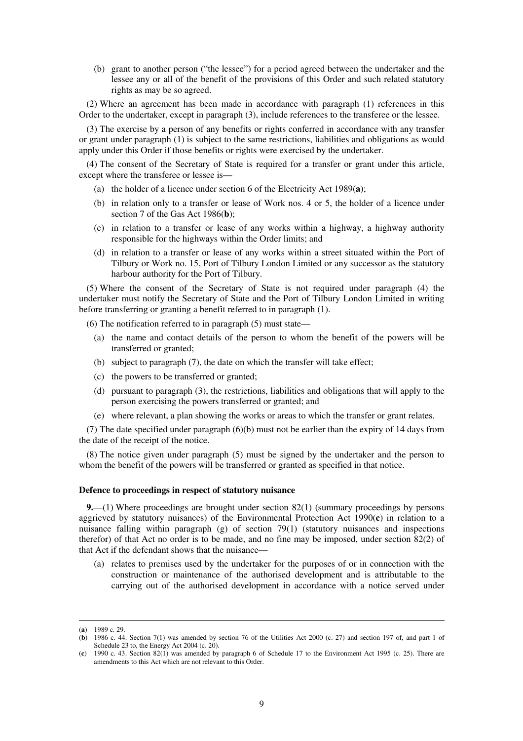(b) grant to another person ("the lessee") for a period agreed between the undertaker and the lessee any or all of the benefit of the provisions of this Order and such related statutory rights as may be so agreed.

(2) Where an agreement has been made in accordance with paragraph (1) references in this Order to the undertaker, except in paragraph (3), include references to the transferee or the lessee.

(3) The exercise by a person of any benefits or rights conferred in accordance with any transfer or grant under paragraph (1) is subject to the same restrictions, liabilities and obligations as would apply under this Order if those benefits or rights were exercised by the undertaker.

(4) The consent of the Secretary of State is required for a transfer or grant under this article, except where the transferee or lessee is—

- (a) the holder of a licence under section 6 of the Electricity Act 1989(**a**);
- (b) in relation only to a transfer or lease of Work nos. 4 or 5, the holder of a licence under section 7 of the Gas Act 1986(**b**);
- (c) in relation to a transfer or lease of any works within a highway, a highway authority responsible for the highways within the Order limits; and
- (d) in relation to a transfer or lease of any works within a street situated within the Port of Tilbury or Work no. 15, Port of Tilbury London Limited or any successor as the statutory harbour authority for the Port of Tilbury.

(5) Where the consent of the Secretary of State is not required under paragraph (4) the undertaker must notify the Secretary of State and the Port of Tilbury London Limited in writing before transferring or granting a benefit referred to in paragraph (1).

(6) The notification referred to in paragraph (5) must state—

- (a) the name and contact details of the person to whom the benefit of the powers will be transferred or granted;
- (b) subject to paragraph (7), the date on which the transfer will take effect;
- (c) the powers to be transferred or granted;
- (d) pursuant to paragraph (3), the restrictions, liabilities and obligations that will apply to the person exercising the powers transferred or granted; and
- (e) where relevant, a plan showing the works or areas to which the transfer or grant relates.

(7) The date specified under paragraph (6)(b) must not be earlier than the expiry of 14 days from the date of the receipt of the notice.

(8) The notice given under paragraph (5) must be signed by the undertaker and the person to whom the benefit of the powers will be transferred or granted as specified in that notice.

## **Defence to proceedings in respect of statutory nuisance**

**9.**—(1) Where proceedings are brought under section 82(1) (summary proceedings by persons aggrieved by statutory nuisances) of the Environmental Protection Act 1990(**c**) in relation to a nuisance falling within paragraph (g) of section 79(1) (statutory nuisances and inspections therefor) of that Act no order is to be made, and no fine may be imposed, under section 82(2) of that Act if the defendant shows that the nuisance—

(a) relates to premises used by the undertaker for the purposes of or in connection with the construction or maintenance of the authorised development and is attributable to the carrying out of the authorised development in accordance with a notice served under

<sup>(</sup>**a**) 1989 c. 29.

<sup>(</sup>**b**) 1986 c. 44. Section 7(1) was amended by section 76 of the Utilities Act 2000 (c. 27) and section 197 of, and part 1 of Schedule 23 to, the Energy Act 2004 (c. 20).

<sup>(</sup>**c**) 1990 c. 43. Section 82(1) was amended by paragraph 6 of Schedule 17 to the Environment Act 1995 (c. 25). There are amendments to this Act which are not relevant to this Order.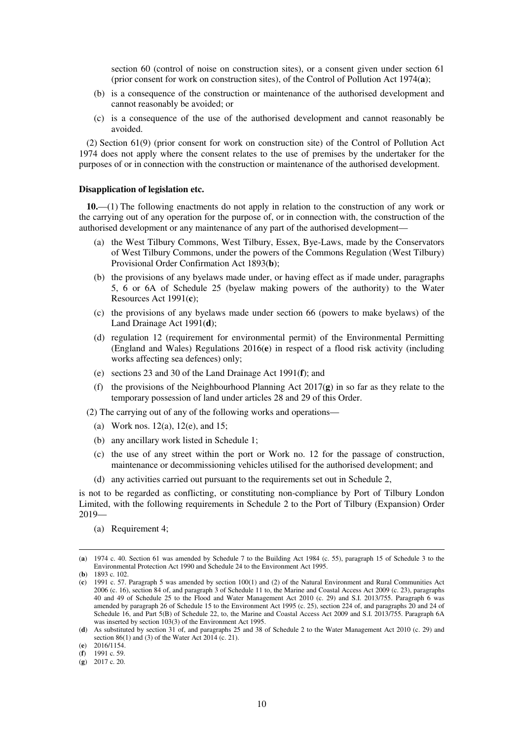section 60 (control of noise on construction sites), or a consent given under section 61 (prior consent for work on construction sites), of the Control of Pollution Act 1974(**a**);

- (b) is a consequence of the construction or maintenance of the authorised development and cannot reasonably be avoided; or
- (c) is a consequence of the use of the authorised development and cannot reasonably be avoided.

(2) Section 61(9) (prior consent for work on construction site) of the Control of Pollution Act 1974 does not apply where the consent relates to the use of premises by the undertaker for the purposes of or in connection with the construction or maintenance of the authorised development.

### **Disapplication of legislation etc.**

**10.**—(1) The following enactments do not apply in relation to the construction of any work or the carrying out of any operation for the purpose of, or in connection with, the construction of the authorised development or any maintenance of any part of the authorised development—

- (a) the West Tilbury Commons, West Tilbury, Essex, Bye-Laws, made by the Conservators of West Tilbury Commons, under the powers of the Commons Regulation (West Tilbury) Provisional Order Confirmation Act 1893(**b**);
- (b) the provisions of any byelaws made under, or having effect as if made under, paragraphs 5, 6 or 6A of Schedule 25 (byelaw making powers of the authority) to the Water Resources Act 1991(**c**);
- (c) the provisions of any byelaws made under section 66 (powers to make byelaws) of the Land Drainage Act 1991(**d**);
- (d) regulation 12 (requirement for environmental permit) of the Environmental Permitting (England and Wales) Regulations 2016(**e**) in respect of a flood risk activity (including works affecting sea defences) only;
- (e) sections 23 and 30 of the Land Drainage Act 1991(**f**); and
- (f) the provisions of the Neighbourhood Planning Act 2017(**g**) in so far as they relate to the temporary possession of land under articles 28 and 29 of this Order.

(2) The carrying out of any of the following works and operations—

- (a) Work nos. 12(a), 12(e), and 15;
- (b) any ancillary work listed in Schedule 1;
- (c) the use of any street within the port or Work no. 12 for the passage of construction, maintenance or decommissioning vehicles utilised for the authorised development; and
- (d) any activities carried out pursuant to the requirements set out in Schedule 2,

is not to be regarded as conflicting, or constituting non-compliance by Port of Tilbury London Limited, with the following requirements in Schedule 2 to the Port of Tilbury (Expansion) Order 2019—

(a) Requirement 4;

<sup>(</sup>**a**) 1974 c. 40. Section 61 was amended by Schedule 7 to the Building Act 1984 (c. 55), paragraph 15 of Schedule 3 to the Environmental Protection Act 1990 and Schedule 24 to the Environment Act 1995.

<sup>(</sup>**b**) 1893 c. 102.

<sup>(</sup>**c**) 1991 c. 57. Paragraph 5 was amended by section 100(1) and (2) of the Natural Environment and Rural Communities Act 2006 (c. 16), section 84 of, and paragraph 3 of Schedule 11 to, the Marine and Coastal Access Act 2009 (c. 23), paragraphs 40 and 49 of Schedule 25 to the Flood and Water Management Act 2010 (c. 29) and S.I. 2013/755. Paragraph 6 was amended by paragraph 26 of Schedule 15 to the Environment Act 1995 (c. 25), section 224 of, and paragraphs 20 and 24 of Schedule 16, and Part 5(B) of Schedule 22, to, the Marine and Coastal Access Act 2009 and S.I. 2013/755. Paragraph 6A was inserted by section 103(3) of the Environment Act 1995.

<sup>(</sup>**d**) As substituted by section 31 of, and paragraphs 25 and 38 of Schedule 2 to the Water Management Act 2010 (c. 29) and section 86(1) and (3) of the Water Act 2014 (c. 21).

<sup>(</sup>**e**) 2016/1154.

<sup>(</sup>**f**) 1991 c. 59.

<sup>(</sup>**g**) 2017 c. 20.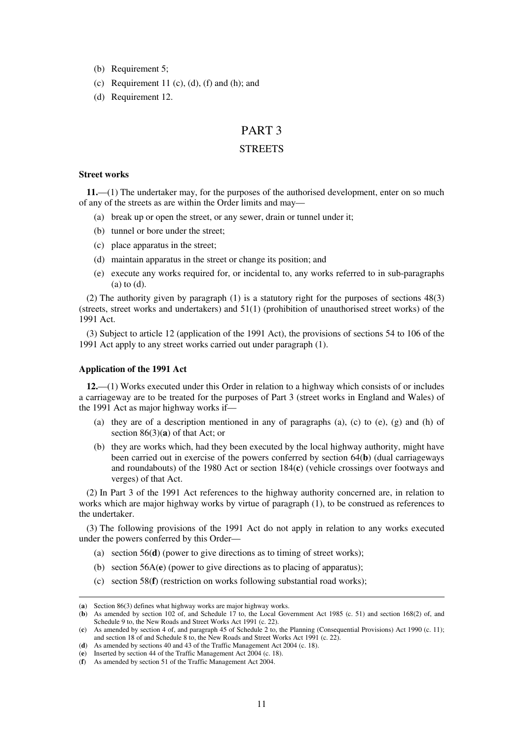- (b) Requirement 5;
- (c) Requirement 11 (c), (d), (f) and (h); and
- (d) Requirement 12.

# PART 3

## **STREETS**

#### **Street works**

**11.**—(1) The undertaker may, for the purposes of the authorised development, enter on so much of any of the streets as are within the Order limits and may—

- (a) break up or open the street, or any sewer, drain or tunnel under it;
- (b) tunnel or bore under the street;
- (c) place apparatus in the street;
- (d) maintain apparatus in the street or change its position; and
- (e) execute any works required for, or incidental to, any works referred to in sub-paragraphs (a) to (d).

(2) The authority given by paragraph (1) is a statutory right for the purposes of sections 48(3) (streets, street works and undertakers) and 51(1) (prohibition of unauthorised street works) of the 1991 Act.

(3) Subject to article 12 (application of the 1991 Act), the provisions of sections 54 to 106 of the 1991 Act apply to any street works carried out under paragraph (1).

## **Application of the 1991 Act**

-

**12.**—(1) Works executed under this Order in relation to a highway which consists of or includes a carriageway are to be treated for the purposes of Part 3 (street works in England and Wales) of the 1991 Act as major highway works if—

- (a) they are of a description mentioned in any of paragraphs  $(a)$ ,  $(c)$  to  $(e)$ ,  $(g)$  and  $(h)$  of section 86(3)(**a**) of that Act; or
- (b) they are works which, had they been executed by the local highway authority, might have been carried out in exercise of the powers conferred by section 64(**b**) (dual carriageways and roundabouts) of the 1980 Act or section 184(**c**) (vehicle crossings over footways and verges) of that Act.

(2) In Part 3 of the 1991 Act references to the highway authority concerned are, in relation to works which are major highway works by virtue of paragraph (1), to be construed as references to the undertaker.

(3) The following provisions of the 1991 Act do not apply in relation to any works executed under the powers conferred by this Order—

- (a) section 56(**d**) (power to give directions as to timing of street works);
- (b) section 56A(**e**) (power to give directions as to placing of apparatus);
- (c) section 58(**f**) (restriction on works following substantial road works);

<sup>(</sup>**a**) Section 86(3) defines what highway works are major highway works.

<sup>(</sup>**b**) As amended by section 102 of, and Schedule 17 to, the Local Government Act 1985 (c. 51) and section 168(2) of, and Schedule 9 to, the New Roads and Street Works Act 1991 (c. 22).

<sup>(</sup>**c**) As amended by section 4 of, and paragraph 45 of Schedule 2 to, the Planning (Consequential Provisions) Act 1990 (c. 11); and section 18 of and Schedule 8 to, the New Roads and Street Works Act 1991 (c. 22).

<sup>(</sup>**d**) As amended by sections 40 and 43 of the Traffic Management Act 2004 (c. 18).

<sup>(</sup>**e**) Inserted by section 44 of the Traffic Management Act 2004 (c. 18).

<sup>(</sup>**f**) As amended by section 51 of the Traffic Management Act 2004.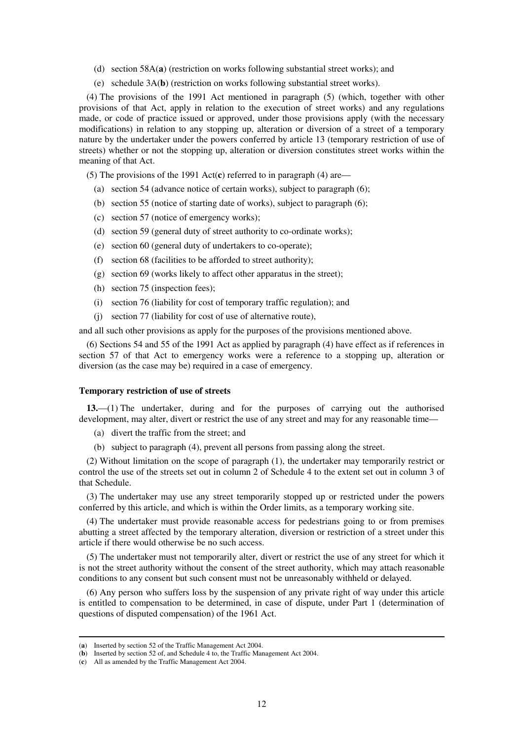- (d) section 58A(**a**) (restriction on works following substantial street works); and
- (e) schedule 3A(**b**) (restriction on works following substantial street works).

(4) The provisions of the 1991 Act mentioned in paragraph (5) (which, together with other provisions of that Act, apply in relation to the execution of street works) and any regulations made, or code of practice issued or approved, under those provisions apply (with the necessary modifications) in relation to any stopping up, alteration or diversion of a street of a temporary nature by the undertaker under the powers conferred by article 13 (temporary restriction of use of streets) whether or not the stopping up, alteration or diversion constitutes street works within the meaning of that Act.

(5) The provisions of the 1991 Act(**c**) referred to in paragraph (4) are—

- (a) section 54 (advance notice of certain works), subject to paragraph (6);
- (b) section 55 (notice of starting date of works), subject to paragraph (6);
- (c) section 57 (notice of emergency works);
- (d) section 59 (general duty of street authority to co-ordinate works);
- (e) section 60 (general duty of undertakers to co-operate);
- (f) section 68 (facilities to be afforded to street authority);
- (g) section 69 (works likely to affect other apparatus in the street);
- (h) section 75 (inspection fees);
- (i) section 76 (liability for cost of temporary traffic regulation); and
- (j) section 77 (liability for cost of use of alternative route),

and all such other provisions as apply for the purposes of the provisions mentioned above.

(6) Sections 54 and 55 of the 1991 Act as applied by paragraph (4) have effect as if references in section 57 of that Act to emergency works were a reference to a stopping up, alteration or diversion (as the case may be) required in a case of emergency.

## **Temporary restriction of use of streets**

**13.**—(1) The undertaker, during and for the purposes of carrying out the authorised development, may alter, divert or restrict the use of any street and may for any reasonable time—

- (a) divert the traffic from the street; and
- (b) subject to paragraph (4), prevent all persons from passing along the street.

(2) Without limitation on the scope of paragraph (1), the undertaker may temporarily restrict or control the use of the streets set out in column 2 of Schedule 4 to the extent set out in column 3 of that Schedule.

(3) The undertaker may use any street temporarily stopped up or restricted under the powers conferred by this article, and which is within the Order limits, as a temporary working site.

(4) The undertaker must provide reasonable access for pedestrians going to or from premises abutting a street affected by the temporary alteration, diversion or restriction of a street under this article if there would otherwise be no such access.

(5) The undertaker must not temporarily alter, divert or restrict the use of any street for which it is not the street authority without the consent of the street authority, which may attach reasonable conditions to any consent but such consent must not be unreasonably withheld or delayed.

(6) Any person who suffers loss by the suspension of any private right of way under this article is entitled to compensation to be determined, in case of dispute, under Part 1 (determination of questions of disputed compensation) of the 1961 Act.

<sup>(</sup>**a**) Inserted by section 52 of the Traffic Management Act 2004.

<sup>(</sup>**b**) Inserted by section 52 of, and Schedule 4 to, the Traffic Management Act 2004.

<sup>(</sup>**c**) All as amended by the Traffic Management Act 2004.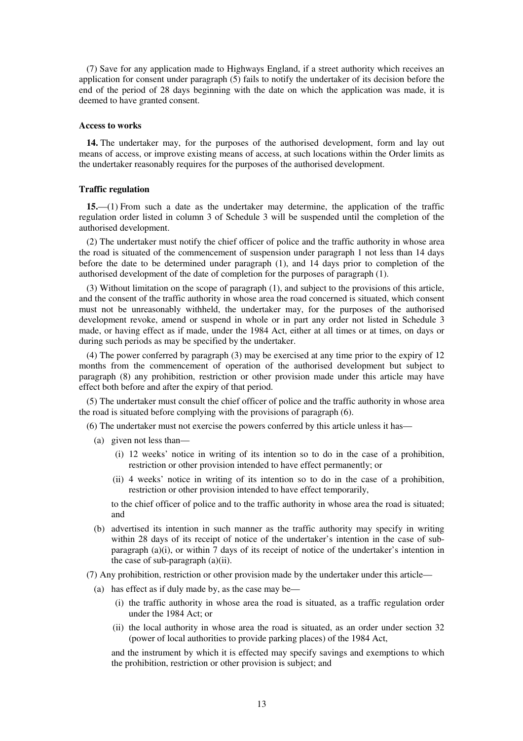(7) Save for any application made to Highways England, if a street authority which receives an application for consent under paragraph (5) fails to notify the undertaker of its decision before the end of the period of 28 days beginning with the date on which the application was made, it is deemed to have granted consent.

#### **Access to works**

**14.** The undertaker may, for the purposes of the authorised development, form and lay out means of access, or improve existing means of access, at such locations within the Order limits as the undertaker reasonably requires for the purposes of the authorised development.

## **Traffic regulation**

**15.**—(1) From such a date as the undertaker may determine, the application of the traffic regulation order listed in column 3 of Schedule 3 will be suspended until the completion of the authorised development.

(2) The undertaker must notify the chief officer of police and the traffic authority in whose area the road is situated of the commencement of suspension under paragraph 1 not less than 14 days before the date to be determined under paragraph (1), and 14 days prior to completion of the authorised development of the date of completion for the purposes of paragraph (1).

(3) Without limitation on the scope of paragraph (1), and subject to the provisions of this article, and the consent of the traffic authority in whose area the road concerned is situated, which consent must not be unreasonably withheld, the undertaker may, for the purposes of the authorised development revoke, amend or suspend in whole or in part any order not listed in Schedule 3 made, or having effect as if made, under the 1984 Act, either at all times or at times, on days or during such periods as may be specified by the undertaker.

(4) The power conferred by paragraph (3) may be exercised at any time prior to the expiry of 12 months from the commencement of operation of the authorised development but subject to paragraph (8) any prohibition, restriction or other provision made under this article may have effect both before and after the expiry of that period.

(5) The undertaker must consult the chief officer of police and the traffic authority in whose area the road is situated before complying with the provisions of paragraph (6).

(6) The undertaker must not exercise the powers conferred by this article unless it has—

- (a) given not less than—
	- (i) 12 weeks' notice in writing of its intention so to do in the case of a prohibition, restriction or other provision intended to have effect permanently; or
	- (ii) 4 weeks' notice in writing of its intention so to do in the case of a prohibition, restriction or other provision intended to have effect temporarily,

to the chief officer of police and to the traffic authority in whose area the road is situated; and

- (b) advertised its intention in such manner as the traffic authority may specify in writing within 28 days of its receipt of notice of the undertaker's intention in the case of subparagraph  $(a)(i)$ , or within 7 days of its receipt of notice of the undertaker's intention in the case of sub-paragraph (a)(ii).
- (7) Any prohibition, restriction or other provision made by the undertaker under this article—
	- (a) has effect as if duly made by, as the case may be—
		- (i) the traffic authority in whose area the road is situated, as a traffic regulation order under the 1984 Act; or
		- (ii) the local authority in whose area the road is situated, as an order under section 32 (power of local authorities to provide parking places) of the 1984 Act,

and the instrument by which it is effected may specify savings and exemptions to which the prohibition, restriction or other provision is subject; and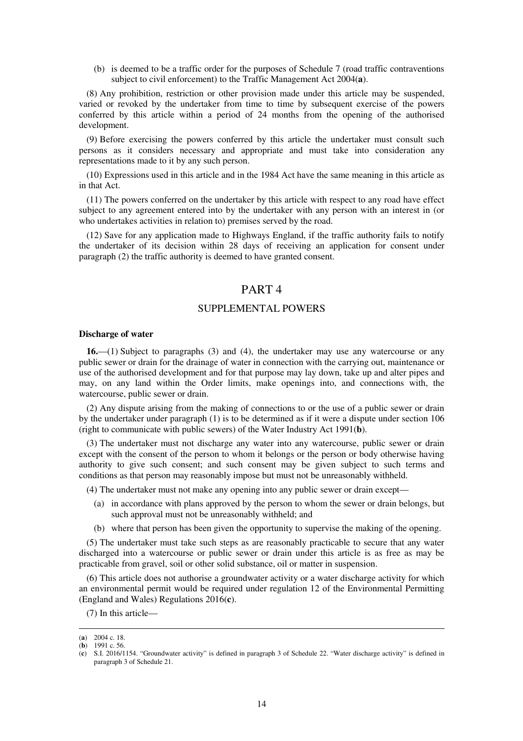(b) is deemed to be a traffic order for the purposes of Schedule 7 (road traffic contraventions subject to civil enforcement) to the Traffic Management Act 2004(**a**).

(8) Any prohibition, restriction or other provision made under this article may be suspended, varied or revoked by the undertaker from time to time by subsequent exercise of the powers conferred by this article within a period of 24 months from the opening of the authorised development.

(9) Before exercising the powers conferred by this article the undertaker must consult such persons as it considers necessary and appropriate and must take into consideration any representations made to it by any such person.

(10) Expressions used in this article and in the 1984 Act have the same meaning in this article as in that Act.

(11) The powers conferred on the undertaker by this article with respect to any road have effect subject to any agreement entered into by the undertaker with any person with an interest in (or who undertakes activities in relation to) premises served by the road.

(12) Save for any application made to Highways England, if the traffic authority fails to notify the undertaker of its decision within 28 days of receiving an application for consent under paragraph (2) the traffic authority is deemed to have granted consent.

# PART 4

## SUPPLEMENTAL POWERS

#### **Discharge of water**

**16.**—(1) Subject to paragraphs (3) and (4), the undertaker may use any watercourse or any public sewer or drain for the drainage of water in connection with the carrying out, maintenance or use of the authorised development and for that purpose may lay down, take up and alter pipes and may, on any land within the Order limits, make openings into, and connections with, the watercourse, public sewer or drain.

(2) Any dispute arising from the making of connections to or the use of a public sewer or drain by the undertaker under paragraph (1) is to be determined as if it were a dispute under section 106 (right to communicate with public sewers) of the Water Industry Act 1991(**b**).

(3) The undertaker must not discharge any water into any watercourse, public sewer or drain except with the consent of the person to whom it belongs or the person or body otherwise having authority to give such consent; and such consent may be given subject to such terms and conditions as that person may reasonably impose but must not be unreasonably withheld.

- (4) The undertaker must not make any opening into any public sewer or drain except—
	- (a) in accordance with plans approved by the person to whom the sewer or drain belongs, but such approval must not be unreasonably withheld; and
	- (b) where that person has been given the opportunity to supervise the making of the opening.

(5) The undertaker must take such steps as are reasonably practicable to secure that any water discharged into a watercourse or public sewer or drain under this article is as free as may be practicable from gravel, soil or other solid substance, oil or matter in suspension.

(6) This article does not authorise a groundwater activity or a water discharge activity for which an environmental permit would be required under regulation 12 of the Environmental Permitting (England and Wales) Regulations 2016(**c**).

(7) In this article—

<sup>(</sup>**a**) 2004 c. 18.

<sup>(</sup>**b**) 1991 c. 56.

<sup>(</sup>**c**) S.I. 2016/1154. "Groundwater activity" is defined in paragraph 3 of Schedule 22. "Water discharge activity" is defined in paragraph 3 of Schedule 21.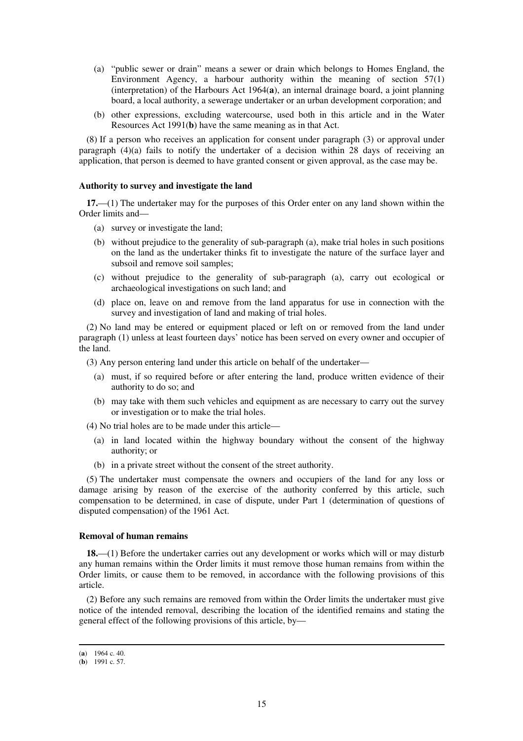- (a) "public sewer or drain" means a sewer or drain which belongs to Homes England, the Environment Agency, a harbour authority within the meaning of section 57(1) (interpretation) of the Harbours Act 1964(**a**), an internal drainage board, a joint planning board, a local authority, a sewerage undertaker or an urban development corporation; and
- (b) other expressions, excluding watercourse, used both in this article and in the Water Resources Act 1991(**b**) have the same meaning as in that Act.

(8) If a person who receives an application for consent under paragraph (3) or approval under paragraph  $(4)(a)$  fails to notify the undertaker of a decision within 28 days of receiving an application, that person is deemed to have granted consent or given approval, as the case may be.

### **Authority to survey and investigate the land**

**17.**—(1) The undertaker may for the purposes of this Order enter on any land shown within the Order limits and—

- (a) survey or investigate the land;
- (b) without prejudice to the generality of sub-paragraph (a), make trial holes in such positions on the land as the undertaker thinks fit to investigate the nature of the surface layer and subsoil and remove soil samples;
- (c) without prejudice to the generality of sub-paragraph (a), carry out ecological or archaeological investigations on such land; and
- (d) place on, leave on and remove from the land apparatus for use in connection with the survey and investigation of land and making of trial holes.

(2) No land may be entered or equipment placed or left on or removed from the land under paragraph (1) unless at least fourteen days' notice has been served on every owner and occupier of the land.

(3) Any person entering land under this article on behalf of the undertaker—

- (a) must, if so required before or after entering the land, produce written evidence of their authority to do so; and
- (b) may take with them such vehicles and equipment as are necessary to carry out the survey or investigation or to make the trial holes.
- (4) No trial holes are to be made under this article—
	- (a) in land located within the highway boundary without the consent of the highway authority; or
	- (b) in a private street without the consent of the street authority.

(5) The undertaker must compensate the owners and occupiers of the land for any loss or damage arising by reason of the exercise of the authority conferred by this article, such compensation to be determined, in case of dispute, under Part 1 (determination of questions of disputed compensation) of the 1961 Act.

#### **Removal of human remains**

**18.**—(1) Before the undertaker carries out any development or works which will or may disturb any human remains within the Order limits it must remove those human remains from within the Order limits, or cause them to be removed, in accordance with the following provisions of this article.

(2) Before any such remains are removed from within the Order limits the undertaker must give notice of the intended removal, describing the location of the identified remains and stating the general effect of the following provisions of this article, by—

<sup>(</sup>**a**) 1964 c. 40.

<sup>(</sup>**b**) 1991 c. 57.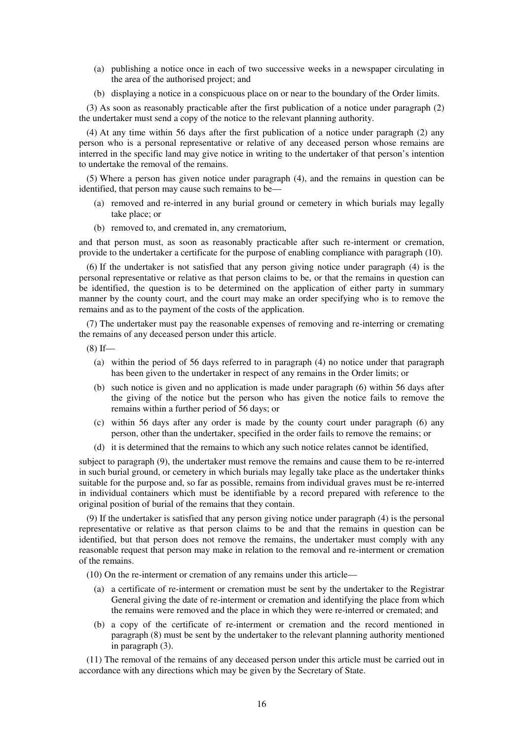- (a) publishing a notice once in each of two successive weeks in a newspaper circulating in the area of the authorised project; and
- (b) displaying a notice in a conspicuous place on or near to the boundary of the Order limits.

(3) As soon as reasonably practicable after the first publication of a notice under paragraph (2) the undertaker must send a copy of the notice to the relevant planning authority.

(4) At any time within 56 days after the first publication of a notice under paragraph (2) any person who is a personal representative or relative of any deceased person whose remains are interred in the specific land may give notice in writing to the undertaker of that person's intention to undertake the removal of the remains.

(5) Where a person has given notice under paragraph (4), and the remains in question can be identified, that person may cause such remains to be—

- (a) removed and re-interred in any burial ground or cemetery in which burials may legally take place; or
- (b) removed to, and cremated in, any crematorium,

and that person must, as soon as reasonably practicable after such re-interment or cremation, provide to the undertaker a certificate for the purpose of enabling compliance with paragraph (10).

(6) If the undertaker is not satisfied that any person giving notice under paragraph (4) is the personal representative or relative as that person claims to be, or that the remains in question can be identified, the question is to be determined on the application of either party in summary manner by the county court, and the court may make an order specifying who is to remove the remains and as to the payment of the costs of the application.

(7) The undertaker must pay the reasonable expenses of removing and re-interring or cremating the remains of any deceased person under this article.

 $(8)$  If—

- (a) within the period of 56 days referred to in paragraph (4) no notice under that paragraph has been given to the undertaker in respect of any remains in the Order limits; or
- (b) such notice is given and no application is made under paragraph (6) within 56 days after the giving of the notice but the person who has given the notice fails to remove the remains within a further period of 56 days; or
- (c) within 56 days after any order is made by the county court under paragraph (6) any person, other than the undertaker, specified in the order fails to remove the remains; or
- (d) it is determined that the remains to which any such notice relates cannot be identified,

subject to paragraph (9), the undertaker must remove the remains and cause them to be re-interred in such burial ground, or cemetery in which burials may legally take place as the undertaker thinks suitable for the purpose and, so far as possible, remains from individual graves must be re-interred in individual containers which must be identifiable by a record prepared with reference to the original position of burial of the remains that they contain.

(9) If the undertaker is satisfied that any person giving notice under paragraph (4) is the personal representative or relative as that person claims to be and that the remains in question can be identified, but that person does not remove the remains, the undertaker must comply with any reasonable request that person may make in relation to the removal and re-interment or cremation of the remains.

(10) On the re-interment or cremation of any remains under this article—

- (a) a certificate of re-interment or cremation must be sent by the undertaker to the Registrar General giving the date of re-interment or cremation and identifying the place from which the remains were removed and the place in which they were re-interred or cremated; and
- (b) a copy of the certificate of re-interment or cremation and the record mentioned in paragraph (8) must be sent by the undertaker to the relevant planning authority mentioned in paragraph (3).

(11) The removal of the remains of any deceased person under this article must be carried out in accordance with any directions which may be given by the Secretary of State.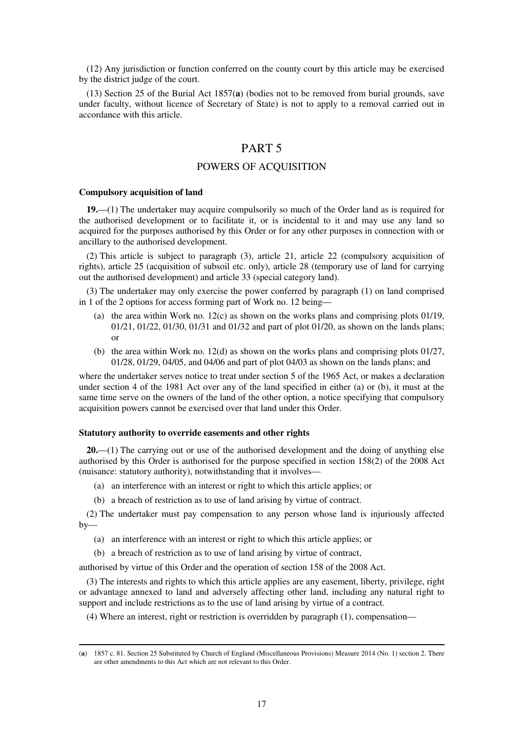(12) Any jurisdiction or function conferred on the county court by this article may be exercised by the district judge of the court.

(13) Section 25 of the Burial Act 1857(**a**) (bodies not to be removed from burial grounds, save under faculty, without licence of Secretary of State) is not to apply to a removal carried out in accordance with this article.

## PART 5

## POWERS OF ACQUISITION

#### **Compulsory acquisition of land**

-

**19.**—(1) The undertaker may acquire compulsorily so much of the Order land as is required for the authorised development or to facilitate it, or is incidental to it and may use any land so acquired for the purposes authorised by this Order or for any other purposes in connection with or ancillary to the authorised development.

(2) This article is subject to paragraph (3), article 21, article 22 (compulsory acquisition of rights), article 25 (acquisition of subsoil etc. only), article 28 (temporary use of land for carrying out the authorised development) and article 33 (special category land).

(3) The undertaker may only exercise the power conferred by paragraph (1) on land comprised in 1 of the 2 options for access forming part of Work no. 12 being—

- (a) the area within Work no.  $12(c)$  as shown on the works plans and comprising plots 01/19, 01/21, 01/22, 01/30, 01/31 and 01/32 and part of plot 01/20, as shown on the lands plans; or
- (b) the area within Work no. 12(d) as shown on the works plans and comprising plots 01/27, 01/28, 01/29, 04/05, and 04/06 and part of plot 04/03 as shown on the lands plans; and

where the undertaker serves notice to treat under section 5 of the 1965 Act, or makes a declaration under section 4 of the 1981 Act over any of the land specified in either (a) or (b), it must at the same time serve on the owners of the land of the other option, a notice specifying that compulsory acquisition powers cannot be exercised over that land under this Order.

#### **Statutory authority to override easements and other rights**

**20.**—(1) The carrying out or use of the authorised development and the doing of anything else authorised by this Order is authorised for the purpose specified in section 158(2) of the 2008 Act (nuisance: statutory authority), notwithstanding that it involves—

- (a) an interference with an interest or right to which this article applies; or
- (b) a breach of restriction as to use of land arising by virtue of contract.

(2) The undertaker must pay compensation to any person whose land is injuriously affected  $by-$ 

- (a) an interference with an interest or right to which this article applies; or
- (b) a breach of restriction as to use of land arising by virtue of contract,

authorised by virtue of this Order and the operation of section 158 of the 2008 Act.

(3) The interests and rights to which this article applies are any easement, liberty, privilege, right or advantage annexed to land and adversely affecting other land, including any natural right to support and include restrictions as to the use of land arising by virtue of a contract.

(4) Where an interest, right or restriction is overridden by paragraph (1), compensation—

<sup>(</sup>**a**) 1857 c. 81. Section 25 Substituted by Church of England (Miscellaneous Provisions) Measure 2014 (No. 1) section 2. There are other amendments to this Act which are not relevant to this Order.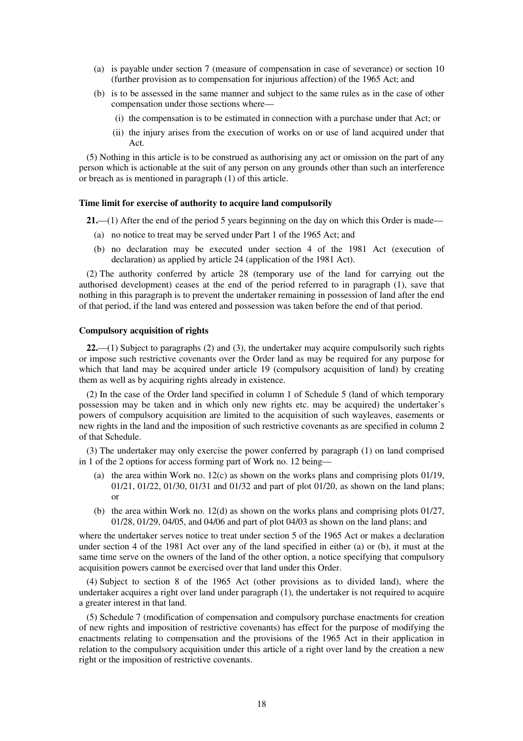- (a) is payable under section 7 (measure of compensation in case of severance) or section 10 (further provision as to compensation for injurious affection) of the 1965 Act; and
- (b) is to be assessed in the same manner and subject to the same rules as in the case of other compensation under those sections where—
	- (i) the compensation is to be estimated in connection with a purchase under that Act; or
	- (ii) the injury arises from the execution of works on or use of land acquired under that Act.

(5) Nothing in this article is to be construed as authorising any act or omission on the part of any person which is actionable at the suit of any person on any grounds other than such an interference or breach as is mentioned in paragraph (1) of this article.

### **Time limit for exercise of authority to acquire land compulsorily**

**21.**—(1) After the end of the period 5 years beginning on the day on which this Order is made—

- (a) no notice to treat may be served under Part 1 of the 1965 Act; and
- (b) no declaration may be executed under section 4 of the 1981 Act (execution of declaration) as applied by article 24 (application of the 1981 Act).

(2) The authority conferred by article 28 (temporary use of the land for carrying out the authorised development) ceases at the end of the period referred to in paragraph (1), save that nothing in this paragraph is to prevent the undertaker remaining in possession of land after the end of that period, if the land was entered and possession was taken before the end of that period.

#### **Compulsory acquisition of rights**

**22.**—(1) Subject to paragraphs (2) and (3), the undertaker may acquire compulsorily such rights or impose such restrictive covenants over the Order land as may be required for any purpose for which that land may be acquired under article 19 (compulsory acquisition of land) by creating them as well as by acquiring rights already in existence.

(2) In the case of the Order land specified in column 1 of Schedule 5 (land of which temporary possession may be taken and in which only new rights etc. may be acquired) the undertaker's powers of compulsory acquisition are limited to the acquisition of such wayleaves, easements or new rights in the land and the imposition of such restrictive covenants as are specified in column 2 of that Schedule.

(3) The undertaker may only exercise the power conferred by paragraph (1) on land comprised in 1 of the 2 options for access forming part of Work no. 12 being—

- (a) the area within Work no.  $12(c)$  as shown on the works plans and comprising plots 01/19, 01/21, 01/22, 01/30, 01/31 and 01/32 and part of plot 01/20, as shown on the land plans; or
- (b) the area within Work no. 12(d) as shown on the works plans and comprising plots 01/27, 01/28, 01/29, 04/05, and 04/06 and part of plot 04/03 as shown on the land plans; and

where the undertaker serves notice to treat under section 5 of the 1965 Act or makes a declaration under section 4 of the 1981 Act over any of the land specified in either (a) or (b), it must at the same time serve on the owners of the land of the other option, a notice specifying that compulsory acquisition powers cannot be exercised over that land under this Order.

(4) Subject to section 8 of the 1965 Act (other provisions as to divided land), where the undertaker acquires a right over land under paragraph (1), the undertaker is not required to acquire a greater interest in that land.

(5) Schedule 7 (modification of compensation and compulsory purchase enactments for creation of new rights and imposition of restrictive covenants) has effect for the purpose of modifying the enactments relating to compensation and the provisions of the 1965 Act in their application in relation to the compulsory acquisition under this article of a right over land by the creation a new right or the imposition of restrictive covenants.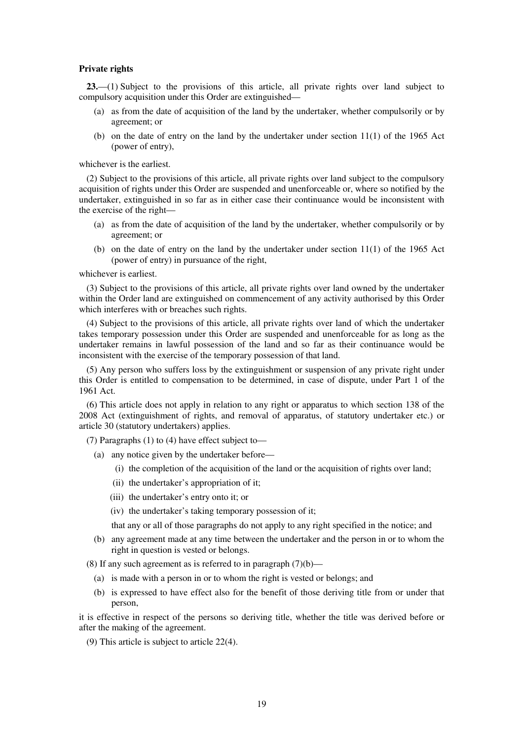#### **Private rights**

**23.**—(1) Subject to the provisions of this article, all private rights over land subject to compulsory acquisition under this Order are extinguished—

- (a) as from the date of acquisition of the land by the undertaker, whether compulsorily or by agreement; or
- (b) on the date of entry on the land by the undertaker under section 11(1) of the 1965 Act (power of entry),

whichever is the earliest.

(2) Subject to the provisions of this article, all private rights over land subject to the compulsory acquisition of rights under this Order are suspended and unenforceable or, where so notified by the undertaker, extinguished in so far as in either case their continuance would be inconsistent with the exercise of the right—

- (a) as from the date of acquisition of the land by the undertaker, whether compulsorily or by agreement; or
- (b) on the date of entry on the land by the undertaker under section 11(1) of the 1965 Act (power of entry) in pursuance of the right,

whichever is earliest.

(3) Subject to the provisions of this article, all private rights over land owned by the undertaker within the Order land are extinguished on commencement of any activity authorised by this Order which interferes with or breaches such rights.

(4) Subject to the provisions of this article, all private rights over land of which the undertaker takes temporary possession under this Order are suspended and unenforceable for as long as the undertaker remains in lawful possession of the land and so far as their continuance would be inconsistent with the exercise of the temporary possession of that land.

(5) Any person who suffers loss by the extinguishment or suspension of any private right under this Order is entitled to compensation to be determined, in case of dispute, under Part 1 of the 1961 Act.

(6) This article does not apply in relation to any right or apparatus to which section 138 of the 2008 Act (extinguishment of rights, and removal of apparatus, of statutory undertaker etc.) or article 30 (statutory undertakers) applies.

(7) Paragraphs (1) to (4) have effect subject to—

- (a) any notice given by the undertaker before—
	- (i) the completion of the acquisition of the land or the acquisition of rights over land;
	- (ii) the undertaker's appropriation of it;
	- (iii) the undertaker's entry onto it; or
	- (iv) the undertaker's taking temporary possession of it;

that any or all of those paragraphs do not apply to any right specified in the notice; and

(b) any agreement made at any time between the undertaker and the person in or to whom the right in question is vested or belongs.

(8) If any such agreement as is referred to in paragraph  $(7)(b)$ —

- (a) is made with a person in or to whom the right is vested or belongs; and
- (b) is expressed to have effect also for the benefit of those deriving title from or under that person,

it is effective in respect of the persons so deriving title, whether the title was derived before or after the making of the agreement.

(9) This article is subject to article 22(4).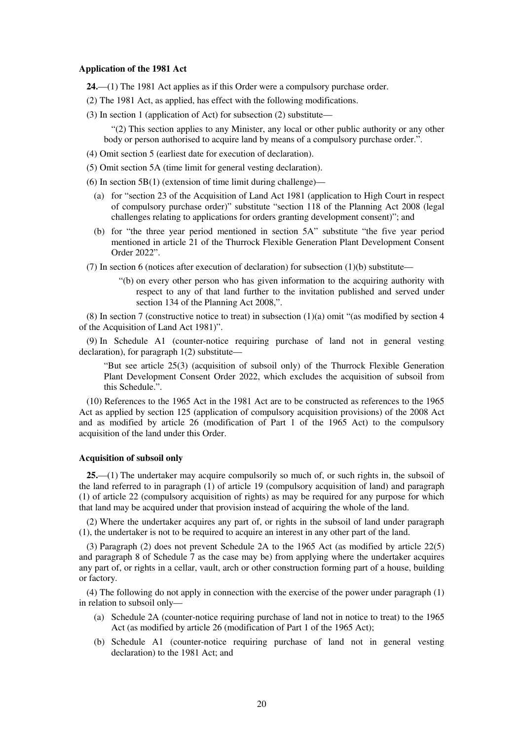#### **Application of the 1981 Act**

- **24.**—(1) The 1981 Act applies as if this Order were a compulsory purchase order.
- (2) The 1981 Act, as applied, has effect with the following modifications.
- (3) In section 1 (application of Act) for subsection (2) substitute—

"(2) This section applies to any Minister, any local or other public authority or any other body or person authorised to acquire land by means of a compulsory purchase order.".

- (4) Omit section 5 (earliest date for execution of declaration).
- (5) Omit section 5A (time limit for general vesting declaration).
- (6) In section  $5B(1)$  (extension of time limit during challenge)—
	- (a) for "section 23 of the Acquisition of Land Act 1981 (application to High Court in respect of compulsory purchase order)" substitute "section 118 of the Planning Act 2008 (legal challenges relating to applications for orders granting development consent)"; and
	- (b) for "the three year period mentioned in section 5A" substitute "the five year period mentioned in article 21 of the Thurrock Flexible Generation Plant Development Consent Order 2022".
- (7) In section 6 (notices after execution of declaration) for subsection (1)(b) substitute—
	- "(b) on every other person who has given information to the acquiring authority with respect to any of that land further to the invitation published and served under section 134 of the Planning Act 2008,".

(8) In section 7 (constructive notice to treat) in subsection (1)(a) omit "(as modified by section 4 of the Acquisition of Land Act 1981)".

(9) In Schedule A1 (counter-notice requiring purchase of land not in general vesting declaration), for paragraph 1(2) substitute—

"But see article 25(3) (acquisition of subsoil only) of the Thurrock Flexible Generation Plant Development Consent Order 2022, which excludes the acquisition of subsoil from this Schedule.".

(10) References to the 1965 Act in the 1981 Act are to be constructed as references to the 1965 Act as applied by section 125 (application of compulsory acquisition provisions) of the 2008 Act and as modified by article 26 (modification of Part 1 of the 1965 Act) to the compulsory acquisition of the land under this Order.

### **Acquisition of subsoil only**

**25.**—(1) The undertaker may acquire compulsorily so much of, or such rights in, the subsoil of the land referred to in paragraph (1) of article 19 (compulsory acquisition of land) and paragraph (1) of article 22 (compulsory acquisition of rights) as may be required for any purpose for which that land may be acquired under that provision instead of acquiring the whole of the land.

(2) Where the undertaker acquires any part of, or rights in the subsoil of land under paragraph (1), the undertaker is not to be required to acquire an interest in any other part of the land.

(3) Paragraph (2) does not prevent Schedule 2A to the 1965 Act (as modified by article 22(5) and paragraph 8 of Schedule 7 as the case may be) from applying where the undertaker acquires any part of, or rights in a cellar, vault, arch or other construction forming part of a house, building or factory.

(4) The following do not apply in connection with the exercise of the power under paragraph (1) in relation to subsoil only—

- (a) Schedule 2A (counter-notice requiring purchase of land not in notice to treat) to the 1965 Act (as modified by article 26 (modification of Part 1 of the 1965 Act);
- (b) Schedule A1 (counter-notice requiring purchase of land not in general vesting declaration) to the 1981 Act; and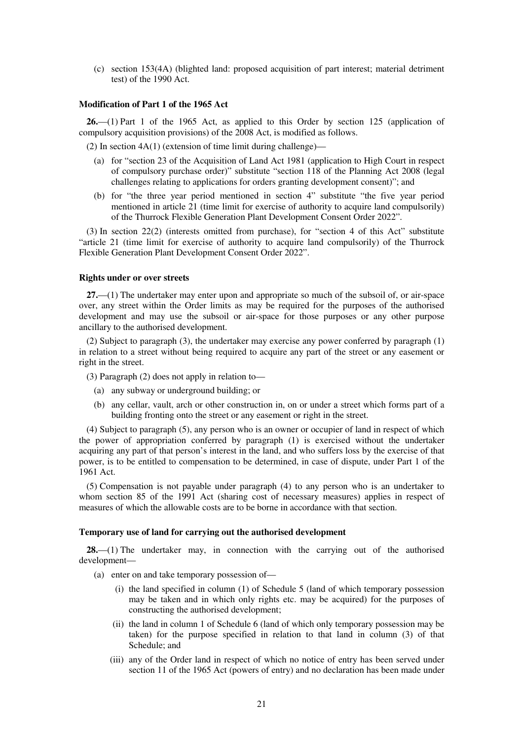(c) section 153(4A) (blighted land: proposed acquisition of part interest; material detriment test) of the 1990 Act.

## **Modification of Part 1 of the 1965 Act**

**26.**—(1) Part 1 of the 1965 Act, as applied to this Order by section 125 (application of compulsory acquisition provisions) of the 2008 Act, is modified as follows.

(2) In section 4A(1) (extension of time limit during challenge)—

- (a) for "section 23 of the Acquisition of Land Act 1981 (application to High Court in respect of compulsory purchase order)" substitute "section 118 of the Planning Act 2008 (legal challenges relating to applications for orders granting development consent)"; and
- (b) for "the three year period mentioned in section 4" substitute "the five year period mentioned in article 21 (time limit for exercise of authority to acquire land compulsorily) of the Thurrock Flexible Generation Plant Development Consent Order 2022".

(3) In section 22(2) (interests omitted from purchase), for "section 4 of this Act" substitute "article 21 (time limit for exercise of authority to acquire land compulsorily) of the Thurrock Flexible Generation Plant Development Consent Order 2022".

## **Rights under or over streets**

**27.**—(1) The undertaker may enter upon and appropriate so much of the subsoil of, or air-space over, any street within the Order limits as may be required for the purposes of the authorised development and may use the subsoil or air-space for those purposes or any other purpose ancillary to the authorised development.

(2) Subject to paragraph (3), the undertaker may exercise any power conferred by paragraph (1) in relation to a street without being required to acquire any part of the street or any easement or right in the street.

(3) Paragraph (2) does not apply in relation to—

- (a) any subway or underground building; or
- (b) any cellar, vault, arch or other construction in, on or under a street which forms part of a building fronting onto the street or any easement or right in the street.

(4) Subject to paragraph (5), any person who is an owner or occupier of land in respect of which the power of appropriation conferred by paragraph (1) is exercised without the undertaker acquiring any part of that person's interest in the land, and who suffers loss by the exercise of that power, is to be entitled to compensation to be determined, in case of dispute, under Part 1 of the 1961 Act.

(5) Compensation is not payable under paragraph (4) to any person who is an undertaker to whom section 85 of the 1991 Act (sharing cost of necessary measures) applies in respect of measures of which the allowable costs are to be borne in accordance with that section.

### **Temporary use of land for carrying out the authorised development**

**28.**—(1) The undertaker may, in connection with the carrying out of the authorised development—

- (a) enter on and take temporary possession of—
	- (i) the land specified in column (1) of Schedule 5 (land of which temporary possession may be taken and in which only rights etc. may be acquired) for the purposes of constructing the authorised development;
	- (ii) the land in column 1 of Schedule 6 (land of which only temporary possession may be taken) for the purpose specified in relation to that land in column (3) of that Schedule; and
	- (iii) any of the Order land in respect of which no notice of entry has been served under section 11 of the 1965 Act (powers of entry) and no declaration has been made under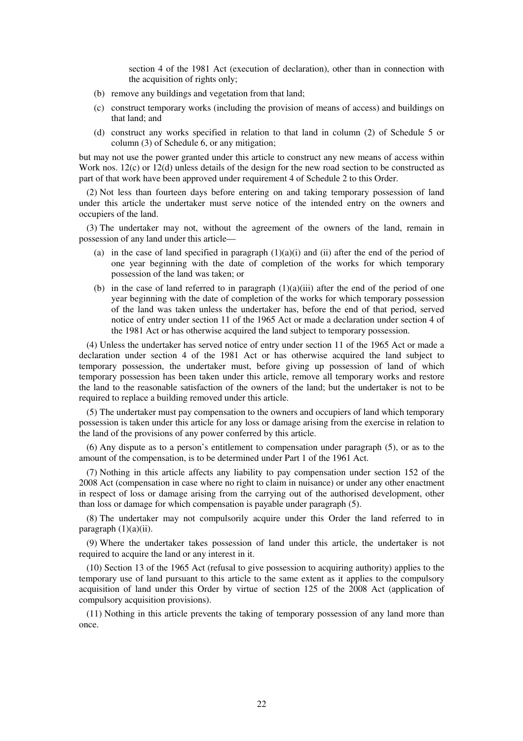section 4 of the 1981 Act (execution of declaration), other than in connection with the acquisition of rights only;

- (b) remove any buildings and vegetation from that land;
- (c) construct temporary works (including the provision of means of access) and buildings on that land; and
- (d) construct any works specified in relation to that land in column (2) of Schedule 5 or column (3) of Schedule 6, or any mitigation;

but may not use the power granted under this article to construct any new means of access within Work nos. 12(c) or 12(d) unless details of the design for the new road section to be constructed as part of that work have been approved under requirement 4 of Schedule 2 to this Order.

(2) Not less than fourteen days before entering on and taking temporary possession of land under this article the undertaker must serve notice of the intended entry on the owners and occupiers of the land.

(3) The undertaker may not, without the agreement of the owners of the land, remain in possession of any land under this article—

- (a) in the case of land specified in paragraph  $(1)(a)(i)$  and (ii) after the end of the period of one year beginning with the date of completion of the works for which temporary possession of the land was taken; or
- (b) in the case of land referred to in paragraph  $(1)(a)(iii)$  after the end of the period of one year beginning with the date of completion of the works for which temporary possession of the land was taken unless the undertaker has, before the end of that period, served notice of entry under section 11 of the 1965 Act or made a declaration under section 4 of the 1981 Act or has otherwise acquired the land subject to temporary possession.

(4) Unless the undertaker has served notice of entry under section 11 of the 1965 Act or made a declaration under section 4 of the 1981 Act or has otherwise acquired the land subject to temporary possession, the undertaker must, before giving up possession of land of which temporary possession has been taken under this article, remove all temporary works and restore the land to the reasonable satisfaction of the owners of the land; but the undertaker is not to be required to replace a building removed under this article.

(5) The undertaker must pay compensation to the owners and occupiers of land which temporary possession is taken under this article for any loss or damage arising from the exercise in relation to the land of the provisions of any power conferred by this article.

(6) Any dispute as to a person's entitlement to compensation under paragraph (5), or as to the amount of the compensation, is to be determined under Part 1 of the 1961 Act.

(7) Nothing in this article affects any liability to pay compensation under section 152 of the 2008 Act (compensation in case where no right to claim in nuisance) or under any other enactment in respect of loss or damage arising from the carrying out of the authorised development, other than loss or damage for which compensation is payable under paragraph (5).

(8) The undertaker may not compulsorily acquire under this Order the land referred to in paragraph  $(1)(a)(ii)$ .

(9) Where the undertaker takes possession of land under this article, the undertaker is not required to acquire the land or any interest in it.

(10) Section 13 of the 1965 Act (refusal to give possession to acquiring authority) applies to the temporary use of land pursuant to this article to the same extent as it applies to the compulsory acquisition of land under this Order by virtue of section 125 of the 2008 Act (application of compulsory acquisition provisions).

(11) Nothing in this article prevents the taking of temporary possession of any land more than once.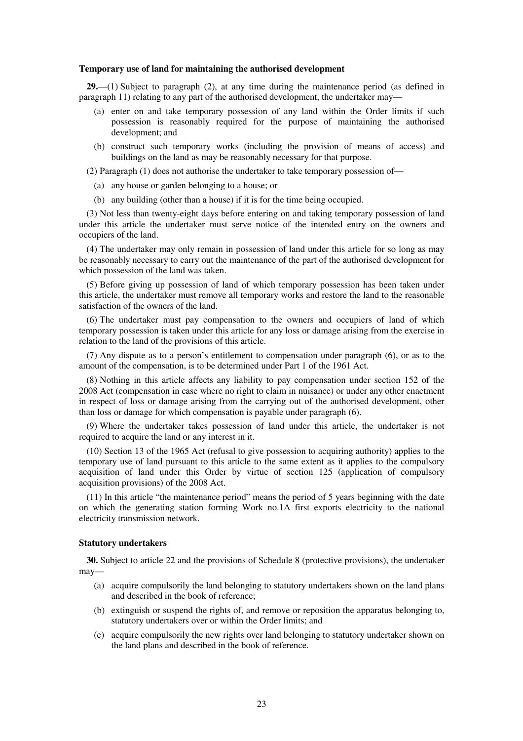#### **Temporary use of land for maintaining the authorised development**

**29.**—(1) Subject to paragraph (2), at any time during the maintenance period (as defined in paragraph 11) relating to any part of the authorised development, the undertaker may—

- (a) enter on and take temporary possession of any land within the Order limits if such possession is reasonably required for the purpose of maintaining the authorised development; and
- (b) construct such temporary works (including the provision of means of access) and buildings on the land as may be reasonably necessary for that purpose.

(2) Paragraph (1) does not authorise the undertaker to take temporary possession of—

- (a) any house or garden belonging to a house; or
- (b) any building (other than a house) if it is for the time being occupied.

(3) Not less than twenty-eight days before entering on and taking temporary possession of land under this article the undertaker must serve notice of the intended entry on the owners and occupiers of the land.

(4) The undertaker may only remain in possession of land under this article for so long as may be reasonably necessary to carry out the maintenance of the part of the authorised development for which possession of the land was taken.

(5) Before giving up possession of land of which temporary possession has been taken under this article, the undertaker must remove all temporary works and restore the land to the reasonable satisfaction of the owners of the land.

(6) The undertaker must pay compensation to the owners and occupiers of land of which temporary possession is taken under this article for any loss or damage arising from the exercise in relation to the land of the provisions of this article.

(7) Any dispute as to a person's entitlement to compensation under paragraph (6), or as to the amount of the compensation, is to be determined under Part 1 of the 1961 Act.

(8) Nothing in this article affects any liability to pay compensation under section 152 of the 2008 Act (compensation in case where no right to claim in nuisance) or under any other enactment in respect of loss or damage arising from the carrying out of the authorised development, other than loss or damage for which compensation is payable under paragraph (6).

(9) Where the undertaker takes possession of land under this article, the undertaker is not required to acquire the land or any interest in it.

(10) Section 13 of the 1965 Act (refusal to give possession to acquiring authority) applies to the temporary use of land pursuant to this article to the same extent as it applies to the compulsory acquisition of land under this Order by virtue of section 125 (application of compulsory acquisition provisions) of the 2008 Act.

(11) In this article "the maintenance period" means the period of 5 years beginning with the date on which the generating station forming Work no.1A first exports electricity to the national electricity transmission network.

#### **Statutory undertakers**

**30.** Subject to article 22 and the provisions of Schedule 8 (protective provisions), the undertaker may—

- (a) acquire compulsorily the land belonging to statutory undertakers shown on the land plans and described in the book of reference;
- (b) extinguish or suspend the rights of, and remove or reposition the apparatus belonging to, statutory undertakers over or within the Order limits; and
- (c) acquire compulsorily the new rights over land belonging to statutory undertaker shown on the land plans and described in the book of reference.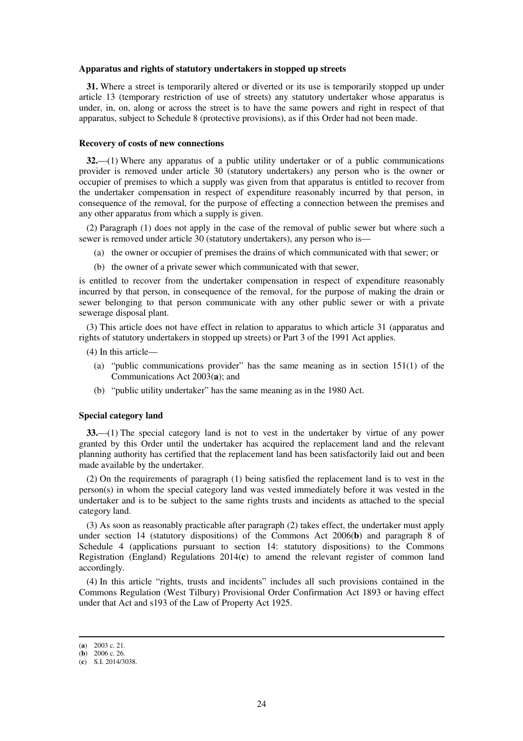#### **Apparatus and rights of statutory undertakers in stopped up streets**

**31.** Where a street is temporarily altered or diverted or its use is temporarily stopped up under article 13 (temporary restriction of use of streets) any statutory undertaker whose apparatus is under, in, on, along or across the street is to have the same powers and right in respect of that apparatus, subject to Schedule 8 (protective provisions), as if this Order had not been made.

#### **Recovery of costs of new connections**

**32.**—(1) Where any apparatus of a public utility undertaker or of a public communications provider is removed under article 30 (statutory undertakers) any person who is the owner or occupier of premises to which a supply was given from that apparatus is entitled to recover from the undertaker compensation in respect of expenditure reasonably incurred by that person, in consequence of the removal, for the purpose of effecting a connection between the premises and any other apparatus from which a supply is given.

(2) Paragraph (1) does not apply in the case of the removal of public sewer but where such a sewer is removed under article 30 (statutory undertakers), any person who is—

- (a) the owner or occupier of premises the drains of which communicated with that sewer; or
- (b) the owner of a private sewer which communicated with that sewer,

is entitled to recover from the undertaker compensation in respect of expenditure reasonably incurred by that person, in consequence of the removal, for the purpose of making the drain or sewer belonging to that person communicate with any other public sewer or with a private sewerage disposal plant.

(3) This article does not have effect in relation to apparatus to which article 31 (apparatus and rights of statutory undertakers in stopped up streets) or Part 3 of the 1991 Act applies.

(4) In this article—

- (a) "public communications provider" has the same meaning as in section 151(1) of the Communications Act 2003(**a**); and
- (b) "public utility undertaker" has the same meaning as in the 1980 Act.

### **Special category land**

**33.**—(1) The special category land is not to vest in the undertaker by virtue of any power granted by this Order until the undertaker has acquired the replacement land and the relevant planning authority has certified that the replacement land has been satisfactorily laid out and been made available by the undertaker.

(2) On the requirements of paragraph (1) being satisfied the replacement land is to vest in the person(s) in whom the special category land was vested immediately before it was vested in the undertaker and is to be subject to the same rights trusts and incidents as attached to the special category land.

(3) As soon as reasonably practicable after paragraph (2) takes effect, the undertaker must apply under section 14 (statutory dispositions) of the Commons Act 2006(**b**) and paragraph 8 of Schedule 4 (applications pursuant to section 14: statutory dispositions) to the Commons Registration (England) Regulations 2014(**c**) to amend the relevant register of common land accordingly.

(4) In this article "rights, trusts and incidents" includes all such provisions contained in the Commons Regulation (West Tilbury) Provisional Order Confirmation Act 1893 or having effect under that Act and s193 of the Law of Property Act 1925.

<sup>(</sup>**a**) 2003 c. 21.

<sup>(</sup>**b**) 2006 c. 26.

<sup>(</sup>**c**) S.I. 2014/3038.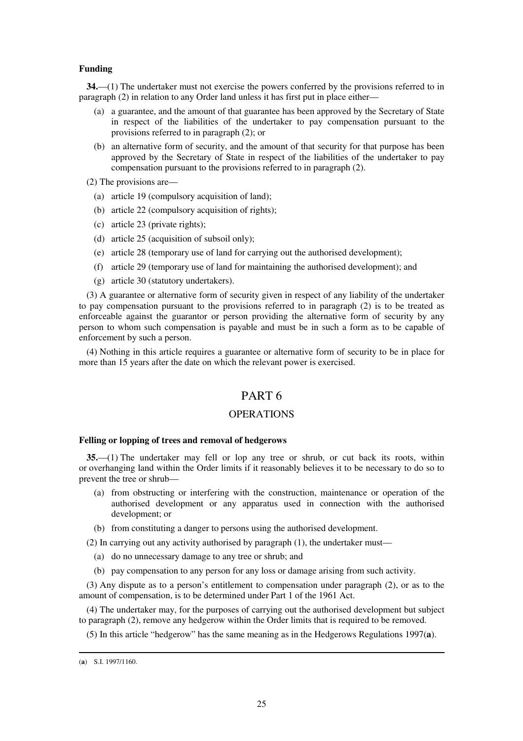## **Funding**

**34.**—(1) The undertaker must not exercise the powers conferred by the provisions referred to in paragraph (2) in relation to any Order land unless it has first put in place either—

- (a) a guarantee, and the amount of that guarantee has been approved by the Secretary of State in respect of the liabilities of the undertaker to pay compensation pursuant to the provisions referred to in paragraph (2); or
- (b) an alternative form of security, and the amount of that security for that purpose has been approved by the Secretary of State in respect of the liabilities of the undertaker to pay compensation pursuant to the provisions referred to in paragraph (2).
- (2) The provisions are—
	- (a) article 19 (compulsory acquisition of land);
	- (b) article 22 (compulsory acquisition of rights);
	- (c) article 23 (private rights);
	- (d) article 25 (acquisition of subsoil only);
	- (e) article 28 (temporary use of land for carrying out the authorised development);
	- (f) article 29 (temporary use of land for maintaining the authorised development); and
	- (g) article 30 (statutory undertakers).

(3) A guarantee or alternative form of security given in respect of any liability of the undertaker to pay compensation pursuant to the provisions referred to in paragraph (2) is to be treated as enforceable against the guarantor or person providing the alternative form of security by any person to whom such compensation is payable and must be in such a form as to be capable of enforcement by such a person.

(4) Nothing in this article requires a guarantee or alternative form of security to be in place for more than 15 years after the date on which the relevant power is exercised.

# PART 6

## **OPERATIONS**

## **Felling or lopping of trees and removal of hedgerows**

**35.**—(1) The undertaker may fell or lop any tree or shrub, or cut back its roots, within or overhanging land within the Order limits if it reasonably believes it to be necessary to do so to prevent the tree or shrub—

- (a) from obstructing or interfering with the construction, maintenance or operation of the authorised development or any apparatus used in connection with the authorised development; or
- (b) from constituting a danger to persons using the authorised development.

(2) In carrying out any activity authorised by paragraph (1), the undertaker must—

- (a) do no unnecessary damage to any tree or shrub; and
- (b) pay compensation to any person for any loss or damage arising from such activity.

(3) Any dispute as to a person's entitlement to compensation under paragraph (2), or as to the amount of compensation, is to be determined under Part 1 of the 1961 Act.

(4) The undertaker may, for the purposes of carrying out the authorised development but subject to paragraph (2), remove any hedgerow within the Order limits that is required to be removed.

(5) In this article "hedgerow" has the same meaning as in the Hedgerows Regulations 1997(**a**).

<sup>(</sup>**a**) S.I. 1997/1160.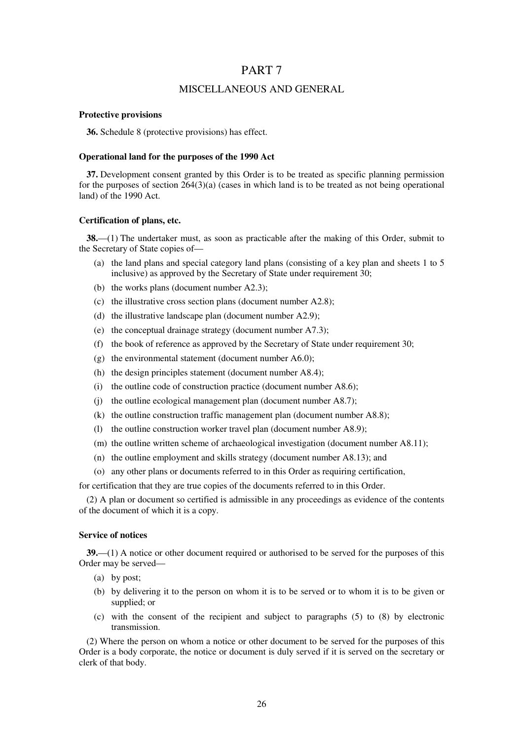## PART 7

## MISCELLANEOUS AND GENERAL

### **Protective provisions**

**36.** Schedule 8 (protective provisions) has effect.

#### **Operational land for the purposes of the 1990 Act**

**37.** Development consent granted by this Order is to be treated as specific planning permission for the purposes of section  $264(3)(a)$  (cases in which land is to be treated as not being operational land) of the 1990 Act.

## **Certification of plans, etc.**

**38.**—(1) The undertaker must, as soon as practicable after the making of this Order, submit to the Secretary of State copies of—

- (a) the land plans and special category land plans (consisting of a key plan and sheets 1 to 5 inclusive) as approved by the Secretary of State under requirement 30;
- (b) the works plans (document number A2.3);
- (c) the illustrative cross section plans (document number A2.8);
- (d) the illustrative landscape plan (document number A2.9);
- (e) the conceptual drainage strategy (document number A7.3);
- (f) the book of reference as approved by the Secretary of State under requirement 30;
- (g) the environmental statement (document number A6.0);
- (h) the design principles statement (document number A8.4);
- (i) the outline code of construction practice (document number A8.6);
- (j) the outline ecological management plan (document number A8.7);
- (k) the outline construction traffic management plan (document number A8.8);
- (l) the outline construction worker travel plan (document number A8.9);
- (m) the outline written scheme of archaeological investigation (document number A8.11);
- (n) the outline employment and skills strategy (document number A8.13); and
- (o) any other plans or documents referred to in this Order as requiring certification,

for certification that they are true copies of the documents referred to in this Order.

(2) A plan or document so certified is admissible in any proceedings as evidence of the contents of the document of which it is a copy.

### **Service of notices**

**39.**—(1) A notice or other document required or authorised to be served for the purposes of this Order may be served—

- (a) by post;
- (b) by delivering it to the person on whom it is to be served or to whom it is to be given or supplied; or
- (c) with the consent of the recipient and subject to paragraphs (5) to (8) by electronic transmission.

(2) Where the person on whom a notice or other document to be served for the purposes of this Order is a body corporate, the notice or document is duly served if it is served on the secretary or clerk of that body.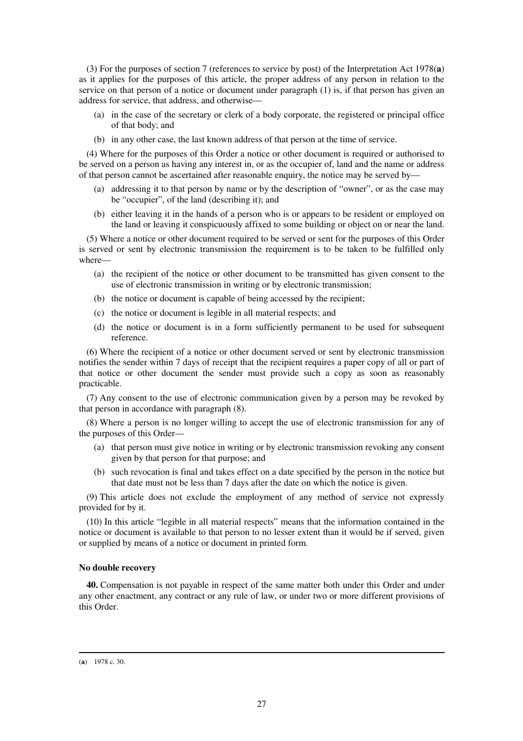(3) For the purposes of section 7 (references to service by post) of the Interpretation Act 1978(**a**) as it applies for the purposes of this article, the proper address of any person in relation to the service on that person of a notice or document under paragraph (1) is, if that person has given an address for service, that address, and otherwise—

- (a) in the case of the secretary or clerk of a body corporate, the registered or principal office of that body; and
- (b) in any other case, the last known address of that person at the time of service.

(4) Where for the purposes of this Order a notice or other document is required or authorised to be served on a person as having any interest in, or as the occupier of, land and the name or address of that person cannot be ascertained after reasonable enquiry, the notice may be served by—

- (a) addressing it to that person by name or by the description of "owner", or as the case may be "occupier", of the land (describing it); and
- (b) either leaving it in the hands of a person who is or appears to be resident or employed on the land or leaving it conspicuously affixed to some building or object on or near the land.

(5) Where a notice or other document required to be served or sent for the purposes of this Order is served or sent by electronic transmission the requirement is to be taken to be fulfilled only where—

- (a) the recipient of the notice or other document to be transmitted has given consent to the use of electronic transmission in writing or by electronic transmission;
- (b) the notice or document is capable of being accessed by the recipient;
- (c) the notice or document is legible in all material respects; and
- (d) the notice or document is in a form sufficiently permanent to be used for subsequent reference.

(6) Where the recipient of a notice or other document served or sent by electronic transmission notifies the sender within 7 days of receipt that the recipient requires a paper copy of all or part of that notice or other document the sender must provide such a copy as soon as reasonably practicable.

(7) Any consent to the use of electronic communication given by a person may be revoked by that person in accordance with paragraph (8).

(8) Where a person is no longer willing to accept the use of electronic transmission for any of the purposes of this Order—

- (a) that person must give notice in writing or by electronic transmission revoking any consent given by that person for that purpose; and
- (b) such revocation is final and takes effect on a date specified by the person in the notice but that date must not be less than 7 days after the date on which the notice is given.

(9) This article does not exclude the employment of any method of service not expressly provided for by it.

(10) In this article "legible in all material respects" means that the information contained in the notice or document is available to that person to no lesser extent than it would be if served, given or supplied by means of a notice or document in printed form.

## **No double recovery**

**40.** Compensation is not payable in respect of the same matter both under this Order and under any other enactment, any contract or any rule of law, or under two or more different provisions of this Order.

#### (**a**) 1978 c. 30.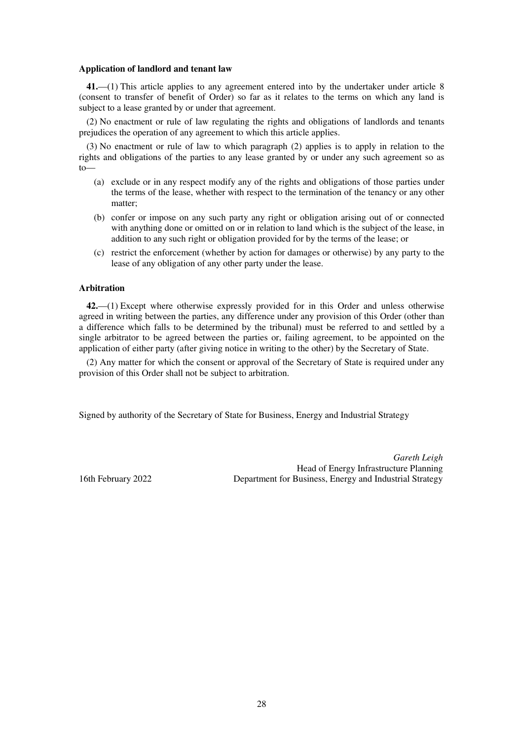#### **Application of landlord and tenant law**

**41.**—(1) This article applies to any agreement entered into by the undertaker under article 8 (consent to transfer of benefit of Order) so far as it relates to the terms on which any land is subject to a lease granted by or under that agreement.

(2) No enactment or rule of law regulating the rights and obligations of landlords and tenants prejudices the operation of any agreement to which this article applies.

(3) No enactment or rule of law to which paragraph (2) applies is to apply in relation to the rights and obligations of the parties to any lease granted by or under any such agreement so as  $to$ 

- (a) exclude or in any respect modify any of the rights and obligations of those parties under the terms of the lease, whether with respect to the termination of the tenancy or any other matter;
- (b) confer or impose on any such party any right or obligation arising out of or connected with anything done or omitted on or in relation to land which is the subject of the lease, in addition to any such right or obligation provided for by the terms of the lease; or
- (c) restrict the enforcement (whether by action for damages or otherwise) by any party to the lease of any obligation of any other party under the lease.

#### **Arbitration**

**42.**—(1) Except where otherwise expressly provided for in this Order and unless otherwise agreed in writing between the parties, any difference under any provision of this Order (other than a difference which falls to be determined by the tribunal) must be referred to and settled by a single arbitrator to be agreed between the parties or, failing agreement, to be appointed on the application of either party (after giving notice in writing to the other) by the Secretary of State.

(2) Any matter for which the consent or approval of the Secretary of State is required under any provision of this Order shall not be subject to arbitration.

Signed by authority of the Secretary of State for Business, Energy and Industrial Strategy

*Gareth Leigh* Head of Energy Infrastructure Planning 16th February 2022 Department for Business, Energy and Industrial Strategy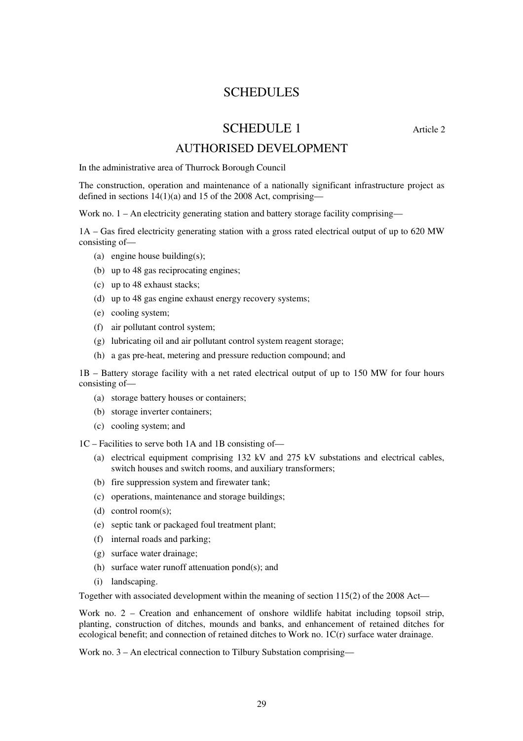# SCHEDULES

# $SCHEDIII E 1$  Article 2

# AUTHORISED DEVELOPMENT

In the administrative area of Thurrock Borough Council

The construction, operation and maintenance of a nationally significant infrastructure project as defined in sections 14(1)(a) and 15 of the 2008 Act, comprising—

Work no. 1 – An electricity generating station and battery storage facility comprising—

1A – Gas fired electricity generating station with a gross rated electrical output of up to 620 MW consisting of—

- (a) engine house building(s);
- (b) up to 48 gas reciprocating engines;
- (c) up to 48 exhaust stacks;
- (d) up to 48 gas engine exhaust energy recovery systems;
- (e) cooling system;
- (f) air pollutant control system;
- (g) lubricating oil and air pollutant control system reagent storage;
- (h) a gas pre-heat, metering and pressure reduction compound; and

1B – Battery storage facility with a net rated electrical output of up to 150 MW for four hours consisting of—

- (a) storage battery houses or containers;
- (b) storage inverter containers;
- (c) cooling system; and

1C – Facilities to serve both 1A and 1B consisting of—

- (a) electrical equipment comprising 132 kV and 275 kV substations and electrical cables, switch houses and switch rooms, and auxiliary transformers;
- (b) fire suppression system and firewater tank;
- (c) operations, maintenance and storage buildings;
- (d) control room(s);
- (e) septic tank or packaged foul treatment plant;
- (f) internal roads and parking;
- (g) surface water drainage;
- (h) surface water runoff attenuation pond(s); and
- (i) landscaping.

Together with associated development within the meaning of section 115(2) of the 2008 Act—

Work no. 2 – Creation and enhancement of onshore wildlife habitat including topsoil strip, planting, construction of ditches, mounds and banks, and enhancement of retained ditches for ecological benefit; and connection of retained ditches to Work no. 1C(r) surface water drainage.

Work no. 3 – An electrical connection to Tilbury Substation comprising—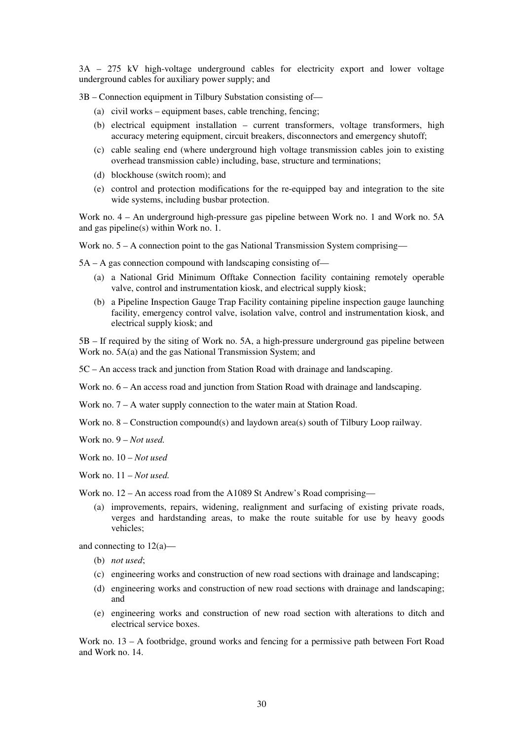3A – 275 kV high-voltage underground cables for electricity export and lower voltage underground cables for auxiliary power supply; and

3B – Connection equipment in Tilbury Substation consisting of—

- (a) civil works equipment bases, cable trenching, fencing;
- (b) electrical equipment installation current transformers, voltage transformers, high accuracy metering equipment, circuit breakers, disconnectors and emergency shutoff;
- (c) cable sealing end (where underground high voltage transmission cables join to existing overhead transmission cable) including, base, structure and terminations;
- (d) blockhouse (switch room); and
- (e) control and protection modifications for the re-equipped bay and integration to the site wide systems, including busbar protection.

Work no. 4 – An underground high-pressure gas pipeline between Work no. 1 and Work no. 5A and gas pipeline(s) within Work no. 1.

Work no. 5 – A connection point to the gas National Transmission System comprising—

5A – A gas connection compound with landscaping consisting of—

- (a) a National Grid Minimum Offtake Connection facility containing remotely operable valve, control and instrumentation kiosk, and electrical supply kiosk;
- (b) a Pipeline Inspection Gauge Trap Facility containing pipeline inspection gauge launching facility, emergency control valve, isolation valve, control and instrumentation kiosk, and electrical supply kiosk; and

5B – If required by the siting of Work no. 5A, a high-pressure underground gas pipeline between Work no. 5A(a) and the gas National Transmission System; and

5C – An access track and junction from Station Road with drainage and landscaping.

Work no.  $6 - An$  access road and junction from Station Road with drainage and landscaping.

Work no. 7 – A water supply connection to the water main at Station Road.

Work no. 8 – Construction compound(s) and laydown area(s) south of Tilbury Loop railway.

Work no. 9 – *Not used.* 

Work no. 10 – *Not used*

Work no. 11 – *Not used.* 

Work no. 12 – An access road from the A1089 St Andrew's Road comprising—

(a) improvements, repairs, widening, realignment and surfacing of existing private roads, verges and hardstanding areas, to make the route suitable for use by heavy goods vehicles;

and connecting to 12(a)—

- (b) *not used*;
- (c) engineering works and construction of new road sections with drainage and landscaping;
- (d) engineering works and construction of new road sections with drainage and landscaping; and
- (e) engineering works and construction of new road section with alterations to ditch and electrical service boxes.

Work no. 13 – A footbridge, ground works and fencing for a permissive path between Fort Road and Work no. 14.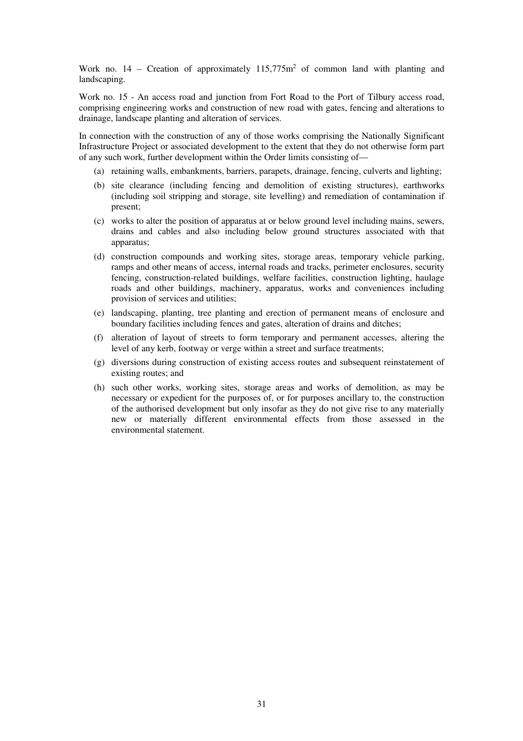Work no.  $14$  – Creation of approximately  $115,775m^2$  of common land with planting and landscaping.

Work no. 15 - An access road and junction from Fort Road to the Port of Tilbury access road, comprising engineering works and construction of new road with gates, fencing and alterations to drainage, landscape planting and alteration of services.

In connection with the construction of any of those works comprising the Nationally Significant Infrastructure Project or associated development to the extent that they do not otherwise form part of any such work, further development within the Order limits consisting of—

- (a) retaining walls, embankments, barriers, parapets, drainage, fencing, culverts and lighting;
- (b) site clearance (including fencing and demolition of existing structures), earthworks (including soil stripping and storage, site levelling) and remediation of contamination if present;
- (c) works to alter the position of apparatus at or below ground level including mains, sewers, drains and cables and also including below ground structures associated with that apparatus;
- (d) construction compounds and working sites, storage areas, temporary vehicle parking, ramps and other means of access, internal roads and tracks, perimeter enclosures, security fencing, construction-related buildings, welfare facilities, construction lighting, haulage roads and other buildings, machinery, apparatus, works and conveniences including provision of services and utilities;
- (e) landscaping, planting, tree planting and erection of permanent means of enclosure and boundary facilities including fences and gates, alteration of drains and ditches;
- (f) alteration of layout of streets to form temporary and permanent accesses, altering the level of any kerb, footway or verge within a street and surface treatments;
- (g) diversions during construction of existing access routes and subsequent reinstatement of existing routes; and
- (h) such other works, working sites, storage areas and works of demolition, as may be necessary or expedient for the purposes of, or for purposes ancillary to, the construction of the authorised development but only insofar as they do not give rise to any materially new or materially different environmental effects from those assessed in the environmental statement.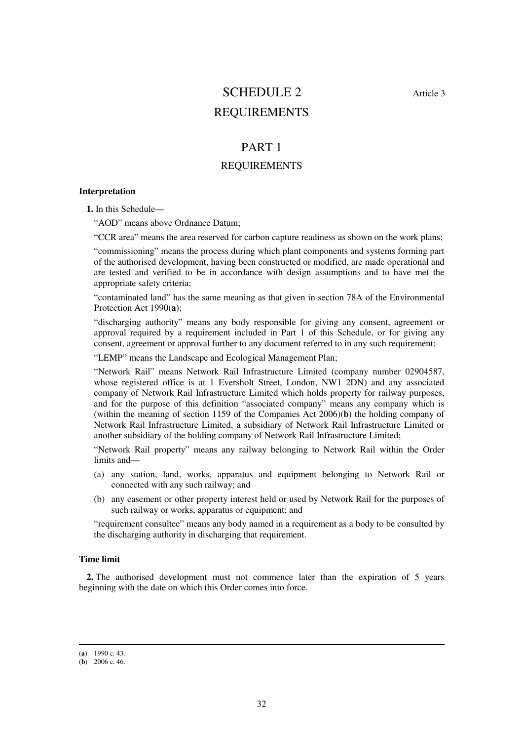# SCHEDULE 2 Article 3 REQUIREMENTS

# PART 1

# REQUIREMENTS

## **Interpretation**

**1.** In this Schedule—

"AOD" means above Ordnance Datum;

"CCR area" means the area reserved for carbon capture readiness as shown on the work plans;

"commissioning" means the process during which plant components and systems forming part of the authorised development, having been constructed or modified, are made operational and are tested and verified to be in accordance with design assumptions and to have met the appropriate safety criteria;

"contaminated land" has the same meaning as that given in section 78A of the Environmental Protection Act 1990(**a**);

"discharging authority" means any body responsible for giving any consent, agreement or approval required by a requirement included in Part 1 of this Schedule, or for giving any consent, agreement or approval further to any document referred to in any such requirement;

"LEMP" means the Landscape and Ecological Management Plan;

"Network Rail" means Network Rail Infrastructure Limited (company number 02904587, whose registered office is at 1 Eversholt Street, London, NW1 2DN) and any associated company of Network Rail Infrastructure Limited which holds property for railway purposes, and for the purpose of this definition "associated company" means any company which is (within the meaning of section 1159 of the Companies Act 2006)(**b**) the holding company of Network Rail Infrastructure Limited, a subsidiary of Network Rail Infrastructure Limited or another subsidiary of the holding company of Network Rail Infrastructure Limited;

"Network Rail property" means any railway belonging to Network Rail within the Order limits and—

- (a) any station, land, works, apparatus and equipment belonging to Network Rail or connected with any such railway; and
- (b) any easement or other property interest held or used by Network Rail for the purposes of such railway or works, apparatus or equipment; and

"requirement consultee" means any body named in a requirement as a body to be consulted by the discharging authority in discharging that requirement.

## **Time limit**

**2.** The authorised development must not commence later than the expiration of 5 years beginning with the date on which this Order comes into force.

<sup>(</sup>**a**) 1990 c. 43.

 $(b)$  2006 c. 46.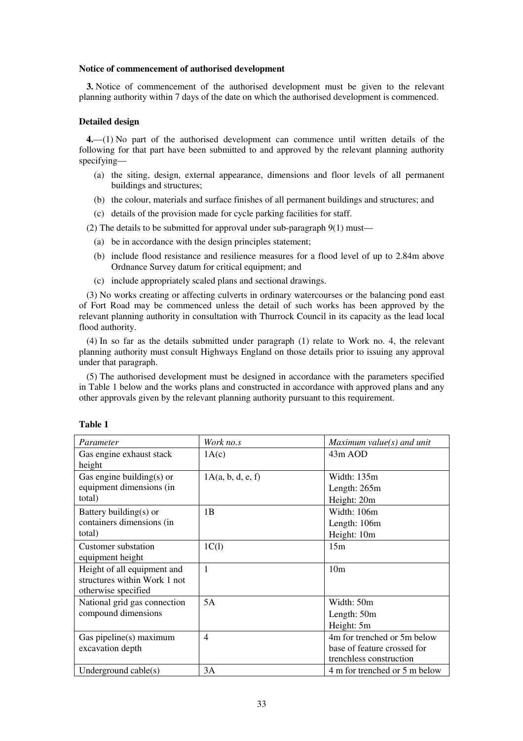#### **Notice of commencement of authorised development**

**3.** Notice of commencement of the authorised development must be given to the relevant planning authority within 7 days of the date on which the authorised development is commenced.

### **Detailed design**

**4.**—(1) No part of the authorised development can commence until written details of the following for that part have been submitted to and approved by the relevant planning authority specifying—

- (a) the siting, design, external appearance, dimensions and floor levels of all permanent buildings and structures;
- (b) the colour, materials and surface finishes of all permanent buildings and structures; and
- (c) details of the provision made for cycle parking facilities for staff.

(2) The details to be submitted for approval under sub-paragraph 9(1) must—

- (a) be in accordance with the design principles statement;
- (b) include flood resistance and resilience measures for a flood level of up to 2.84m above Ordnance Survey datum for critical equipment; and
- (c) include appropriately scaled plans and sectional drawings.

(3) No works creating or affecting culverts in ordinary watercourses or the balancing pond east of Fort Road may be commenced unless the detail of such works has been approved by the relevant planning authority in consultation with Thurrock Council in its capacity as the lead local flood authority.

(4) In so far as the details submitted under paragraph (1) relate to Work no. 4, the relevant planning authority must consult Highways England on those details prior to issuing any approval under that paragraph.

(5) The authorised development must be designed in accordance with the parameters specified in Table 1 below and the works plans and constructed in accordance with approved plans and any other approvals given by the relevant planning authority pursuant to this requirement.

| Parameter                    | Work no.s         | Maximum value $(s)$ and unit  |
|------------------------------|-------------------|-------------------------------|
| Gas engine exhaust stack     | 1A(c)             | $43m$ AOD                     |
| height                       |                   |                               |
| Gas engine building $(s)$ or | 1A(a, b, d, e, f) | Width: 135m                   |
| equipment dimensions (in     |                   | Length: $265m$                |
| total)                       |                   | Height: 20m                   |
| Battery building $(s)$ or    | 1B                | Width: 106m                   |
| containers dimensions (in    |                   | Length: 106m                  |
| total)                       |                   | Height: 10m                   |
| Customer substation          | 1C(1)             | 15m                           |
| equipment height             |                   |                               |
| Height of all equipment and  | $\mathbf{1}$      | 10 <sub>m</sub>               |
| structures within Work 1 not |                   |                               |
| otherwise specified          |                   |                               |
| National grid gas connection | 5A                | Width: 50m                    |
| compound dimensions          |                   | Length: 50m                   |
|                              |                   | Height: 5m                    |
| Gas pipeline(s) maximum      | 4                 | 4m for trenched or 5m below   |
| excavation depth             |                   | base of feature crossed for   |
|                              |                   | trenchless construction       |
| Underground cable $(s)$      | 3A                | 4 m for trenched or 5 m below |

### **Table 1**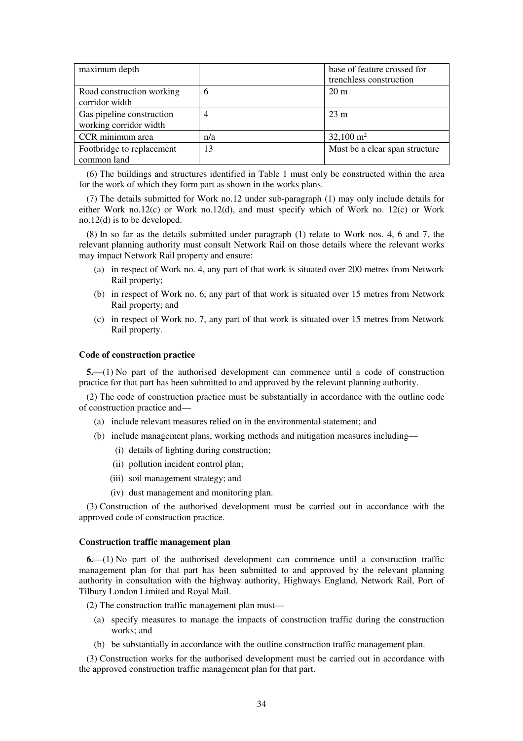| maximum depth                                       |     | base of feature crossed for    |
|-----------------------------------------------------|-----|--------------------------------|
|                                                     |     | trenchless construction        |
| Road construction working<br>corridor width         | 6   | $20 \text{ m}$                 |
| Gas pipeline construction<br>working corridor width | 4   | $23 \text{ m}$                 |
| CCR minimum area                                    | n/a | $32,100 \text{ m}^2$           |
| Footbridge to replacement<br>common land            | 13  | Must be a clear span structure |

(6) The buildings and structures identified in Table 1 must only be constructed within the area for the work of which they form part as shown in the works plans.

(7) The details submitted for Work no.12 under sub-paragraph (1) may only include details for either Work no.12(c) or Work no.12(d), and must specify which of Work no. 12(c) or Work no.12(d) is to be developed.

(8) In so far as the details submitted under paragraph (1) relate to Work nos. 4, 6 and 7, the relevant planning authority must consult Network Rail on those details where the relevant works may impact Network Rail property and ensure:

- (a) in respect of Work no. 4, any part of that work is situated over 200 metres from Network Rail property;
- (b) in respect of Work no. 6, any part of that work is situated over 15 metres from Network Rail property; and
- (c) in respect of Work no. 7, any part of that work is situated over 15 metres from Network Rail property.

### **Code of construction practice**

**5.**—(1) No part of the authorised development can commence until a code of construction practice for that part has been submitted to and approved by the relevant planning authority.

(2) The code of construction practice must be substantially in accordance with the outline code of construction practice and—

- (a) include relevant measures relied on in the environmental statement; and
- (b) include management plans, working methods and mitigation measures including—
	- (i) details of lighting during construction;
	- (ii) pollution incident control plan;
	- (iii) soil management strategy; and
	- (iv) dust management and monitoring plan.

(3) Construction of the authorised development must be carried out in accordance with the approved code of construction practice.

## **Construction traffic management plan**

**6.**—(1) No part of the authorised development can commence until a construction traffic management plan for that part has been submitted to and approved by the relevant planning authority in consultation with the highway authority, Highways England, Network Rail, Port of Tilbury London Limited and Royal Mail.

(2) The construction traffic management plan must—

- (a) specify measures to manage the impacts of construction traffic during the construction works; and
- (b) be substantially in accordance with the outline construction traffic management plan.

(3) Construction works for the authorised development must be carried out in accordance with the approved construction traffic management plan for that part.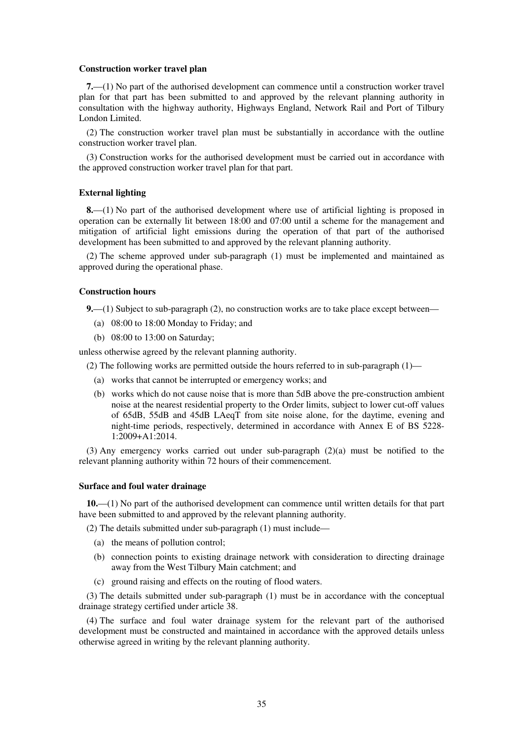#### **Construction worker travel plan**

**7.**—(1) No part of the authorised development can commence until a construction worker travel plan for that part has been submitted to and approved by the relevant planning authority in consultation with the highway authority, Highways England, Network Rail and Port of Tilbury London Limited.

(2) The construction worker travel plan must be substantially in accordance with the outline construction worker travel plan.

(3) Construction works for the authorised development must be carried out in accordance with the approved construction worker travel plan for that part.

#### **External lighting**

**8.**—(1) No part of the authorised development where use of artificial lighting is proposed in operation can be externally lit between 18:00 and 07:00 until a scheme for the management and mitigation of artificial light emissions during the operation of that part of the authorised development has been submitted to and approved by the relevant planning authority.

(2) The scheme approved under sub-paragraph (1) must be implemented and maintained as approved during the operational phase.

### **Construction hours**

**9.**—(1) Subject to sub-paragraph (2), no construction works are to take place except between—

- (a) 08:00 to 18:00 Monday to Friday; and
- (b) 08:00 to 13:00 on Saturday;

unless otherwise agreed by the relevant planning authority.

- (2) The following works are permitted outside the hours referred to in sub-paragraph  $(1)$ 
	- (a) works that cannot be interrupted or emergency works; and
	- (b) works which do not cause noise that is more than 5dB above the pre-construction ambient noise at the nearest residential property to the Order limits, subject to lower cut-off values of 65dB, 55dB and 45dB LAeqT from site noise alone, for the daytime, evening and night-time periods, respectively, determined in accordance with Annex E of BS 5228- 1:2009+A1:2014.

(3) Any emergency works carried out under sub-paragraph (2)(a) must be notified to the relevant planning authority within 72 hours of their commencement.

#### **Surface and foul water drainage**

**10.**—(1) No part of the authorised development can commence until written details for that part have been submitted to and approved by the relevant planning authority.

(2) The details submitted under sub-paragraph (1) must include—

- (a) the means of pollution control;
- (b) connection points to existing drainage network with consideration to directing drainage away from the West Tilbury Main catchment; and
- (c) ground raising and effects on the routing of flood waters.

(3) The details submitted under sub-paragraph (1) must be in accordance with the conceptual drainage strategy certified under article 38.

(4) The surface and foul water drainage system for the relevant part of the authorised development must be constructed and maintained in accordance with the approved details unless otherwise agreed in writing by the relevant planning authority.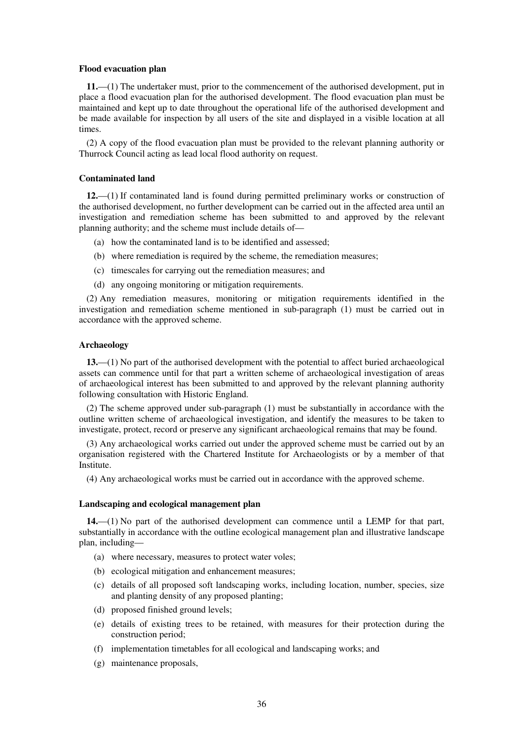#### **Flood evacuation plan**

**11.**—(1) The undertaker must, prior to the commencement of the authorised development, put in place a flood evacuation plan for the authorised development. The flood evacuation plan must be maintained and kept up to date throughout the operational life of the authorised development and be made available for inspection by all users of the site and displayed in a visible location at all times.

(2) A copy of the flood evacuation plan must be provided to the relevant planning authority or Thurrock Council acting as lead local flood authority on request.

## **Contaminated land**

**12.**—(1) If contaminated land is found during permitted preliminary works or construction of the authorised development, no further development can be carried out in the affected area until an investigation and remediation scheme has been submitted to and approved by the relevant planning authority; and the scheme must include details of—

- (a) how the contaminated land is to be identified and assessed;
- (b) where remediation is required by the scheme, the remediation measures;
- (c) timescales for carrying out the remediation measures; and
- (d) any ongoing monitoring or mitigation requirements.

(2) Any remediation measures, monitoring or mitigation requirements identified in the investigation and remediation scheme mentioned in sub-paragraph (1) must be carried out in accordance with the approved scheme.

### **Archaeology**

**13.**—(1) No part of the authorised development with the potential to affect buried archaeological assets can commence until for that part a written scheme of archaeological investigation of areas of archaeological interest has been submitted to and approved by the relevant planning authority following consultation with Historic England.

(2) The scheme approved under sub-paragraph (1) must be substantially in accordance with the outline written scheme of archaeological investigation, and identify the measures to be taken to investigate, protect, record or preserve any significant archaeological remains that may be found.

(3) Any archaeological works carried out under the approved scheme must be carried out by an organisation registered with the Chartered Institute for Archaeologists or by a member of that Institute.

(4) Any archaeological works must be carried out in accordance with the approved scheme.

#### **Landscaping and ecological management plan**

**14.**—(1) No part of the authorised development can commence until a LEMP for that part, substantially in accordance with the outline ecological management plan and illustrative landscape plan, including—

- (a) where necessary, measures to protect water voles;
- (b) ecological mitigation and enhancement measures;
- (c) details of all proposed soft landscaping works, including location, number, species, size and planting density of any proposed planting;
- (d) proposed finished ground levels;
- (e) details of existing trees to be retained, with measures for their protection during the construction period;
- (f) implementation timetables for all ecological and landscaping works; and
- (g) maintenance proposals,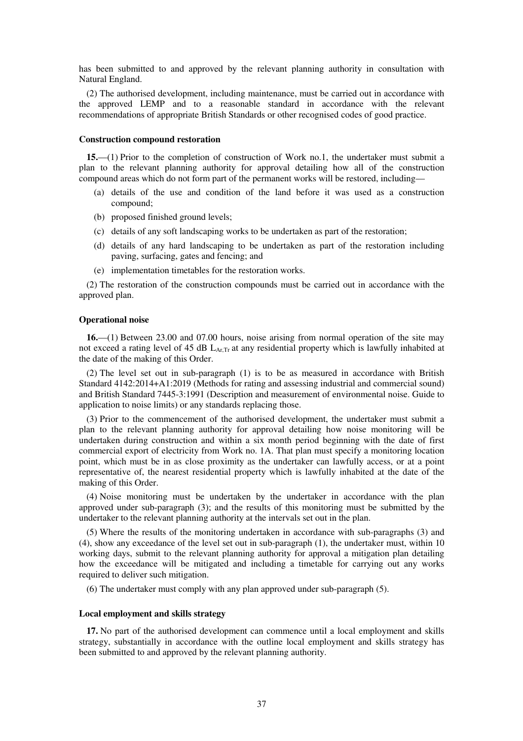has been submitted to and approved by the relevant planning authority in consultation with Natural England.

(2) The authorised development, including maintenance, must be carried out in accordance with the approved LEMP and to a reasonable standard in accordance with the relevant recommendations of appropriate British Standards or other recognised codes of good practice.

#### **Construction compound restoration**

**15.**—(1) Prior to the completion of construction of Work no.1, the undertaker must submit a plan to the relevant planning authority for approval detailing how all of the construction compound areas which do not form part of the permanent works will be restored, including—

- (a) details of the use and condition of the land before it was used as a construction compound;
- (b) proposed finished ground levels;
- (c) details of any soft landscaping works to be undertaken as part of the restoration;
- (d) details of any hard landscaping to be undertaken as part of the restoration including paving, surfacing, gates and fencing; and
- (e) implementation timetables for the restoration works.

(2) The restoration of the construction compounds must be carried out in accordance with the approved plan.

#### **Operational noise**

**16.**—(1) Between 23.00 and 07.00 hours, noise arising from normal operation of the site may not exceed a rating level of 45 dB  $L_{ATT}$  at any residential property which is lawfully inhabited at the date of the making of this Order.

(2) The level set out in sub-paragraph (1) is to be as measured in accordance with British Standard 4142:2014+A1:2019 (Methods for rating and assessing industrial and commercial sound) and British Standard 7445-3:1991 (Description and measurement of environmental noise. Guide to application to noise limits) or any standards replacing those.

(3) Prior to the commencement of the authorised development, the undertaker must submit a plan to the relevant planning authority for approval detailing how noise monitoring will be undertaken during construction and within a six month period beginning with the date of first commercial export of electricity from Work no. 1A. That plan must specify a monitoring location point, which must be in as close proximity as the undertaker can lawfully access, or at a point representative of, the nearest residential property which is lawfully inhabited at the date of the making of this Order.

(4) Noise monitoring must be undertaken by the undertaker in accordance with the plan approved under sub-paragraph (3); and the results of this monitoring must be submitted by the undertaker to the relevant planning authority at the intervals set out in the plan.

(5) Where the results of the monitoring undertaken in accordance with sub-paragraphs (3) and (4), show any exceedance of the level set out in sub-paragraph (1), the undertaker must, within 10 working days, submit to the relevant planning authority for approval a mitigation plan detailing how the exceedance will be mitigated and including a timetable for carrying out any works required to deliver such mitigation.

(6) The undertaker must comply with any plan approved under sub-paragraph (5).

#### **Local employment and skills strategy**

**17.** No part of the authorised development can commence until a local employment and skills strategy, substantially in accordance with the outline local employment and skills strategy has been submitted to and approved by the relevant planning authority.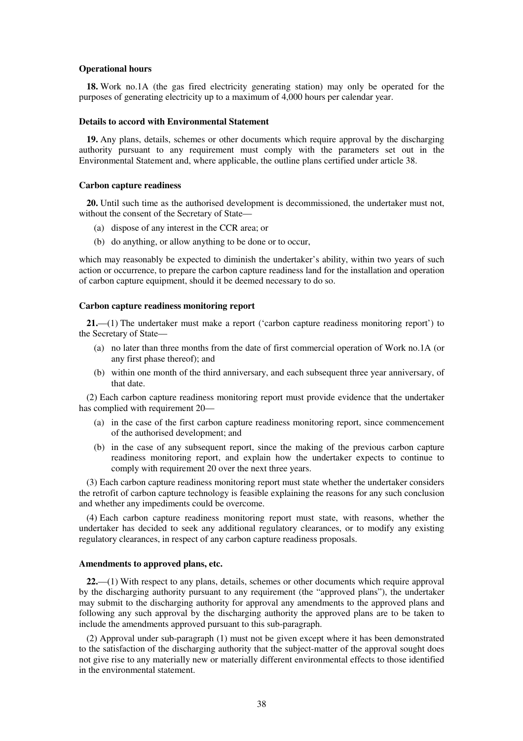#### **Operational hours**

**18.** Work no.1A (the gas fired electricity generating station) may only be operated for the purposes of generating electricity up to a maximum of 4,000 hours per calendar year.

#### **Details to accord with Environmental Statement**

**19.** Any plans, details, schemes or other documents which require approval by the discharging authority pursuant to any requirement must comply with the parameters set out in the Environmental Statement and, where applicable, the outline plans certified under article 38.

#### **Carbon capture readiness**

**20.** Until such time as the authorised development is decommissioned, the undertaker must not, without the consent of the Secretary of State—

- (a) dispose of any interest in the CCR area; or
- (b) do anything, or allow anything to be done or to occur,

which may reasonably be expected to diminish the undertaker's ability, within two years of such action or occurrence, to prepare the carbon capture readiness land for the installation and operation of carbon capture equipment, should it be deemed necessary to do so.

#### **Carbon capture readiness monitoring report**

**21.**—(1) The undertaker must make a report ('carbon capture readiness monitoring report') to the Secretary of State—

- (a) no later than three months from the date of first commercial operation of Work no.1A (or any first phase thereof); and
- (b) within one month of the third anniversary, and each subsequent three year anniversary, of that date.

(2) Each carbon capture readiness monitoring report must provide evidence that the undertaker has complied with requirement 20—

- (a) in the case of the first carbon capture readiness monitoring report, since commencement of the authorised development; and
- (b) in the case of any subsequent report, since the making of the previous carbon capture readiness monitoring report, and explain how the undertaker expects to continue to comply with requirement 20 over the next three years.

(3) Each carbon capture readiness monitoring report must state whether the undertaker considers the retrofit of carbon capture technology is feasible explaining the reasons for any such conclusion and whether any impediments could be overcome.

(4) Each carbon capture readiness monitoring report must state, with reasons, whether the undertaker has decided to seek any additional regulatory clearances, or to modify any existing regulatory clearances, in respect of any carbon capture readiness proposals.

### **Amendments to approved plans, etc.**

**22.**—(1) With respect to any plans, details, schemes or other documents which require approval by the discharging authority pursuant to any requirement (the "approved plans"), the undertaker may submit to the discharging authority for approval any amendments to the approved plans and following any such approval by the discharging authority the approved plans are to be taken to include the amendments approved pursuant to this sub-paragraph.

(2) Approval under sub-paragraph (1) must not be given except where it has been demonstrated to the satisfaction of the discharging authority that the subject-matter of the approval sought does not give rise to any materially new or materially different environmental effects to those identified in the environmental statement.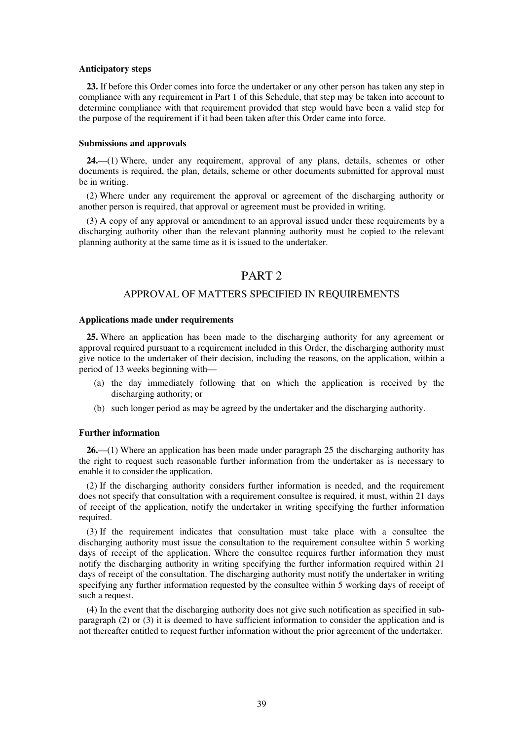#### **Anticipatory steps**

**23.** If before this Order comes into force the undertaker or any other person has taken any step in compliance with any requirement in Part 1 of this Schedule, that step may be taken into account to determine compliance with that requirement provided that step would have been a valid step for the purpose of the requirement if it had been taken after this Order came into force.

#### **Submissions and approvals**

**24.**—(1) Where, under any requirement, approval of any plans, details, schemes or other documents is required, the plan, details, scheme or other documents submitted for approval must be in writing.

(2) Where under any requirement the approval or agreement of the discharging authority or another person is required, that approval or agreement must be provided in writing.

(3) A copy of any approval or amendment to an approval issued under these requirements by a discharging authority other than the relevant planning authority must be copied to the relevant planning authority at the same time as it is issued to the undertaker.

### PART<sub>2</sub>

### APPROVAL OF MATTERS SPECIFIED IN REQUIREMENTS

#### **Applications made under requirements**

**25.** Where an application has been made to the discharging authority for any agreement or approval required pursuant to a requirement included in this Order, the discharging authority must give notice to the undertaker of their decision, including the reasons, on the application, within a period of 13 weeks beginning with—

- (a) the day immediately following that on which the application is received by the discharging authority; or
- (b) such longer period as may be agreed by the undertaker and the discharging authority.

#### **Further information**

**26.**—(1) Where an application has been made under paragraph 25 the discharging authority has the right to request such reasonable further information from the undertaker as is necessary to enable it to consider the application.

(2) If the discharging authority considers further information is needed, and the requirement does not specify that consultation with a requirement consultee is required, it must, within 21 days of receipt of the application, notify the undertaker in writing specifying the further information required.

(3) If the requirement indicates that consultation must take place with a consultee the discharging authority must issue the consultation to the requirement consultee within 5 working days of receipt of the application. Where the consultee requires further information they must notify the discharging authority in writing specifying the further information required within 21 days of receipt of the consultation. The discharging authority must notify the undertaker in writing specifying any further information requested by the consultee within 5 working days of receipt of such a request.

(4) In the event that the discharging authority does not give such notification as specified in subparagraph (2) or (3) it is deemed to have sufficient information to consider the application and is not thereafter entitled to request further information without the prior agreement of the undertaker.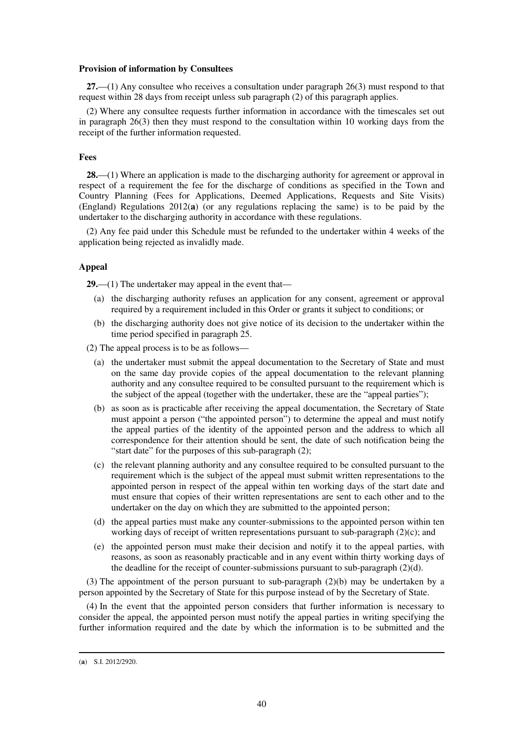#### **Provision of information by Consultees**

**27.**—(1) Any consultee who receives a consultation under paragraph 26(3) must respond to that request within 28 days from receipt unless sub paragraph (2) of this paragraph applies.

(2) Where any consultee requests further information in accordance with the timescales set out in paragraph 26(3) then they must respond to the consultation within 10 working days from the receipt of the further information requested.

#### **Fees**

**28.**—(1) Where an application is made to the discharging authority for agreement or approval in respect of a requirement the fee for the discharge of conditions as specified in the Town and Country Planning (Fees for Applications, Deemed Applications, Requests and Site Visits) (England) Regulations 2012(**a**) (or any regulations replacing the same) is to be paid by the undertaker to the discharging authority in accordance with these regulations.

(2) Any fee paid under this Schedule must be refunded to the undertaker within 4 weeks of the application being rejected as invalidly made.

#### **Appeal**

**29.**—(1) The undertaker may appeal in the event that—

- (a) the discharging authority refuses an application for any consent, agreement or approval required by a requirement included in this Order or grants it subject to conditions; or
- (b) the discharging authority does not give notice of its decision to the undertaker within the time period specified in paragraph 25.

(2) The appeal process is to be as follows—

- (a) the undertaker must submit the appeal documentation to the Secretary of State and must on the same day provide copies of the appeal documentation to the relevant planning authority and any consultee required to be consulted pursuant to the requirement which is the subject of the appeal (together with the undertaker, these are the "appeal parties");
- (b) as soon as is practicable after receiving the appeal documentation, the Secretary of State must appoint a person ("the appointed person") to determine the appeal and must notify the appeal parties of the identity of the appointed person and the address to which all correspondence for their attention should be sent, the date of such notification being the "start date" for the purposes of this sub-paragraph (2);
- (c) the relevant planning authority and any consultee required to be consulted pursuant to the requirement which is the subject of the appeal must submit written representations to the appointed person in respect of the appeal within ten working days of the start date and must ensure that copies of their written representations are sent to each other and to the undertaker on the day on which they are submitted to the appointed person;
- (d) the appeal parties must make any counter-submissions to the appointed person within ten working days of receipt of written representations pursuant to sub-paragraph (2)(c); and
- (e) the appointed person must make their decision and notify it to the appeal parties, with reasons, as soon as reasonably practicable and in any event within thirty working days of the deadline for the receipt of counter-submissions pursuant to sub-paragraph (2)(d).

(3) The appointment of the person pursuant to sub-paragraph (2)(b) may be undertaken by a person appointed by the Secretary of State for this purpose instead of by the Secretary of State.

(4) In the event that the appointed person considers that further information is necessary to consider the appeal, the appointed person must notify the appeal parties in writing specifying the further information required and the date by which the information is to be submitted and the

<sup>(</sup>**a**) S.I. 2012/2920.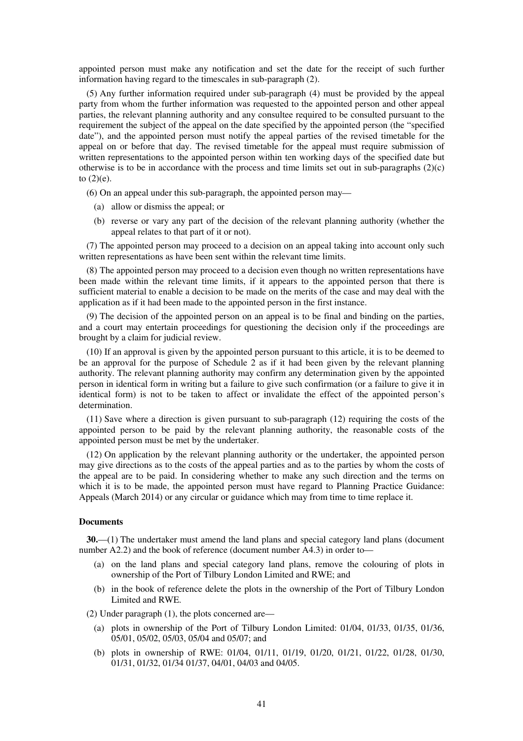appointed person must make any notification and set the date for the receipt of such further information having regard to the timescales in sub-paragraph (2).

(5) Any further information required under sub-paragraph (4) must be provided by the appeal party from whom the further information was requested to the appointed person and other appeal parties, the relevant planning authority and any consultee required to be consulted pursuant to the requirement the subject of the appeal on the date specified by the appointed person (the "specified date"), and the appointed person must notify the appeal parties of the revised timetable for the appeal on or before that day. The revised timetable for the appeal must require submission of written representations to the appointed person within ten working days of the specified date but otherwise is to be in accordance with the process and time limits set out in sub-paragraphs (2)(c) to  $(2)(e)$ .

(6) On an appeal under this sub-paragraph, the appointed person may—

- (a) allow or dismiss the appeal; or
- (b) reverse or vary any part of the decision of the relevant planning authority (whether the appeal relates to that part of it or not).

(7) The appointed person may proceed to a decision on an appeal taking into account only such written representations as have been sent within the relevant time limits.

(8) The appointed person may proceed to a decision even though no written representations have been made within the relevant time limits, if it appears to the appointed person that there is sufficient material to enable a decision to be made on the merits of the case and may deal with the application as if it had been made to the appointed person in the first instance.

(9) The decision of the appointed person on an appeal is to be final and binding on the parties, and a court may entertain proceedings for questioning the decision only if the proceedings are brought by a claim for judicial review.

(10) If an approval is given by the appointed person pursuant to this article, it is to be deemed to be an approval for the purpose of Schedule 2 as if it had been given by the relevant planning authority. The relevant planning authority may confirm any determination given by the appointed person in identical form in writing but a failure to give such confirmation (or a failure to give it in identical form) is not to be taken to affect or invalidate the effect of the appointed person's determination.

(11) Save where a direction is given pursuant to sub-paragraph (12) requiring the costs of the appointed person to be paid by the relevant planning authority, the reasonable costs of the appointed person must be met by the undertaker.

(12) On application by the relevant planning authority or the undertaker, the appointed person may give directions as to the costs of the appeal parties and as to the parties by whom the costs of the appeal are to be paid. In considering whether to make any such direction and the terms on which it is to be made, the appointed person must have regard to Planning Practice Guidance: Appeals (March 2014) or any circular or guidance which may from time to time replace it.

#### **Documents**

**30.**—(1) The undertaker must amend the land plans and special category land plans (document number A2.2) and the book of reference (document number A4.3) in order to—

- (a) on the land plans and special category land plans, remove the colouring of plots in ownership of the Port of Tilbury London Limited and RWE; and
- (b) in the book of reference delete the plots in the ownership of the Port of Tilbury London Limited and RWE.

(2) Under paragraph (1), the plots concerned are—

- (a) plots in ownership of the Port of Tilbury London Limited: 01/04, 01/33, 01/35, 01/36, 05/01, 05/02, 05/03, 05/04 and 05/07; and
- (b) plots in ownership of RWE: 01/04, 01/11, 01/19, 01/20, 01/21, 01/22, 01/28, 01/30, 01/31, 01/32, 01/34 01/37, 04/01, 04/03 and 04/05.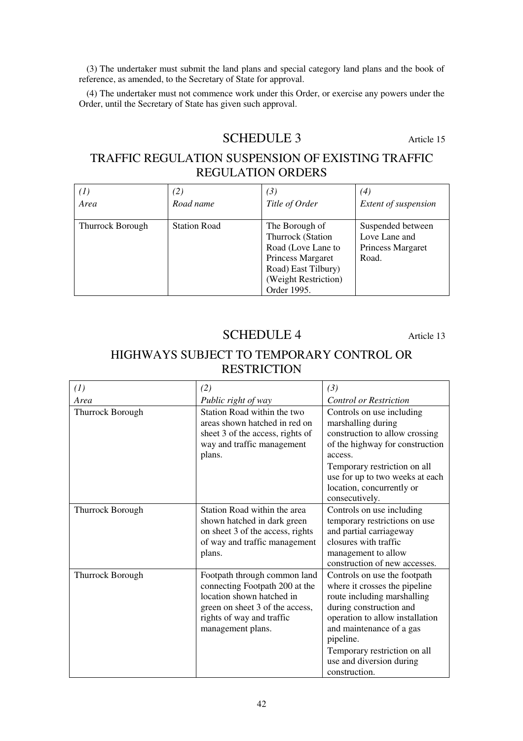(3) The undertaker must submit the land plans and special category land plans and the book of reference, as amended, to the Secretary of State for approval.

(4) The undertaker must not commence work under this Order, or exercise any powers under the Order, until the Secretary of State has given such approval.

# SCHEDULE 3 Article 15

# TRAFFIC REGULATION SUSPENSION OF EXISTING TRAFFIC REGULATION ORDERS

| $^{(1)}$                | (2)                 | (3)                                                                                                                                          | (4)                                                              |
|-------------------------|---------------------|----------------------------------------------------------------------------------------------------------------------------------------------|------------------------------------------------------------------|
| Area                    | Road name           | Title of Order                                                                                                                               | <b>Extent of suspension</b>                                      |
| <b>Thurrock Borough</b> | <b>Station Road</b> | The Borough of<br>Thurrock (Station<br>Road (Love Lane to<br>Princess Margaret<br>Road) East Tilbury)<br>(Weight Restriction)<br>Order 1995. | Suspended between<br>Love Lane and<br>Princess Margaret<br>Road. |

# SCHEDULE 4 Article 13

# HIGHWAYS SUBJECT TO TEMPORARY CONTROL OR **RESTRICTION**

| (1)              | (2)                                                                                                                                                                              | (3)                                                                                                                                                                                                                                                                              |
|------------------|----------------------------------------------------------------------------------------------------------------------------------------------------------------------------------|----------------------------------------------------------------------------------------------------------------------------------------------------------------------------------------------------------------------------------------------------------------------------------|
| Area             | Public right of way                                                                                                                                                              | <b>Control or Restriction</b>                                                                                                                                                                                                                                                    |
| Thurrock Borough | Station Road within the two<br>areas shown hatched in red on<br>sheet 3 of the access, rights of<br>way and traffic management<br>plans.                                         | Controls on use including<br>marshalling during<br>construction to allow crossing<br>of the highway for construction<br>access.<br>Temporary restriction on all<br>use for up to two weeks at each<br>location, concurrently or<br>consecutively.                                |
| Thurrock Borough | Station Road within the area<br>shown hatched in dark green<br>on sheet 3 of the access, rights<br>of way and traffic management<br>plans.                                       | Controls on use including<br>temporary restrictions on use<br>and partial carriageway<br>closures with traffic<br>management to allow<br>construction of new accesses.                                                                                                           |
| Thurrock Borough | Footpath through common land<br>connecting Footpath 200 at the<br>location shown hatched in<br>green on sheet 3 of the access,<br>rights of way and traffic<br>management plans. | Controls on use the footpath<br>where it crosses the pipeline<br>route including marshalling<br>during construction and<br>operation to allow installation<br>and maintenance of a gas<br>pipeline.<br>Temporary restriction on all<br>use and diversion during<br>construction. |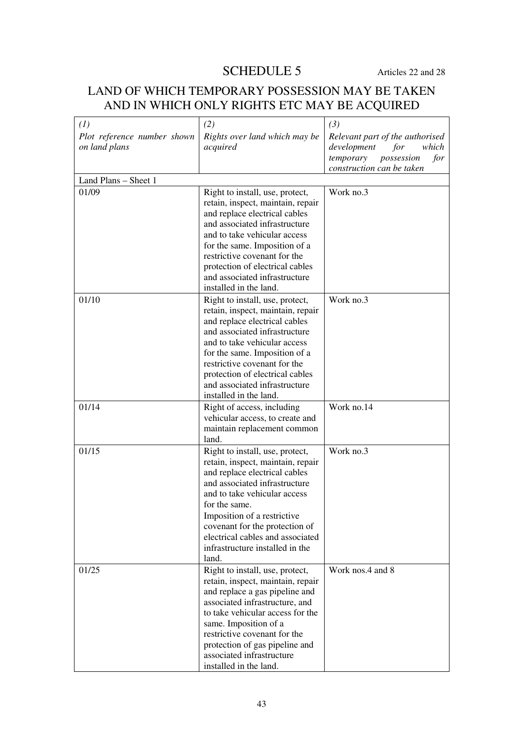# SCHEDULE 5 Articles 22 and 28

# LAND OF WHICH TEMPORARY POSSESSION MAY BE TAKEN AND IN WHICH ONLY RIGHTS ETC MAY BE ACQUIRED

| (1)<br>Plot reference number shown<br>on land plans | (2)<br>Rights over land which may be<br>acquired                                                                                                                                                                                                                                                                                         | (3)<br>Relevant part of the authorised<br>development<br>which<br>for<br>possession<br>temporary<br>for<br>construction can be taken |
|-----------------------------------------------------|------------------------------------------------------------------------------------------------------------------------------------------------------------------------------------------------------------------------------------------------------------------------------------------------------------------------------------------|--------------------------------------------------------------------------------------------------------------------------------------|
| Land Plans - Sheet 1                                |                                                                                                                                                                                                                                                                                                                                          |                                                                                                                                      |
| 01/09                                               | Right to install, use, protect,<br>retain, inspect, maintain, repair<br>and replace electrical cables<br>and associated infrastructure<br>and to take vehicular access<br>for the same. Imposition of a<br>restrictive covenant for the<br>protection of electrical cables<br>and associated infrastructure<br>installed in the land.    | Work no.3                                                                                                                            |
| 01/10                                               | Right to install, use, protect,<br>retain, inspect, maintain, repair<br>and replace electrical cables<br>and associated infrastructure<br>and to take vehicular access<br>for the same. Imposition of a<br>restrictive covenant for the<br>protection of electrical cables<br>and associated infrastructure<br>installed in the land.    | Work no.3                                                                                                                            |
| 01/14                                               | Right of access, including<br>vehicular access, to create and<br>maintain replacement common<br>land.                                                                                                                                                                                                                                    | Work no.14                                                                                                                           |
| 01/15                                               | Right to install, use, protect,<br>retain, inspect, maintain, repair<br>and replace electrical cables<br>and associated infrastructure<br>and to take vehicular access<br>for the same.<br>Imposition of a restrictive<br>covenant for the protection of<br>electrical cables and associated<br>infrastructure installed in the<br>land. | Work no.3                                                                                                                            |
| 01/25                                               | Right to install, use, protect,<br>retain, inspect, maintain, repair<br>and replace a gas pipeline and<br>associated infrastructure, and<br>to take vehicular access for the<br>same. Imposition of a<br>restrictive covenant for the<br>protection of gas pipeline and<br>associated infrastructure<br>installed in the land.           | Work nos.4 and 8                                                                                                                     |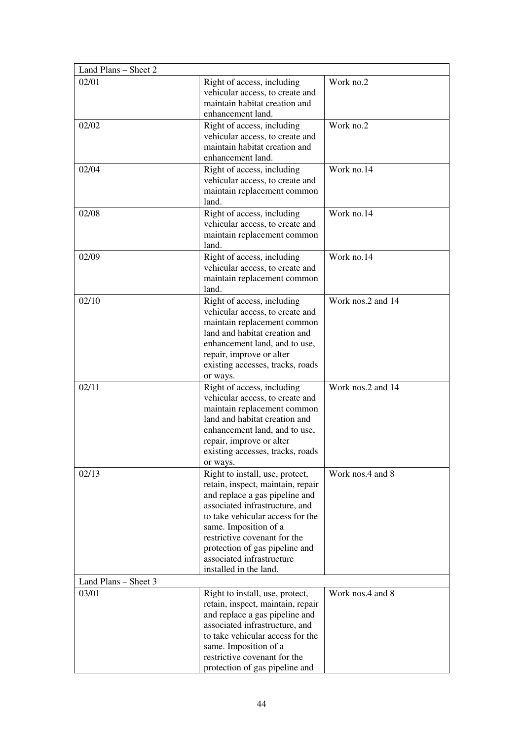| Land Plans - Sheet 2 |                                                                                                                                                                                                                                                                                                                                |                   |
|----------------------|--------------------------------------------------------------------------------------------------------------------------------------------------------------------------------------------------------------------------------------------------------------------------------------------------------------------------------|-------------------|
| 02/01                | Right of access, including<br>vehicular access, to create and<br>maintain habitat creation and<br>enhancement land.                                                                                                                                                                                                            | Work no.2         |
| 02/02                | Right of access, including<br>vehicular access, to create and<br>maintain habitat creation and<br>enhancement land.                                                                                                                                                                                                            | Work no.2         |
| 02/04                | Right of access, including<br>vehicular access, to create and<br>maintain replacement common<br>land.                                                                                                                                                                                                                          | Work no.14        |
| 02/08                | Right of access, including<br>vehicular access, to create and<br>maintain replacement common<br>land.                                                                                                                                                                                                                          | Work no.14        |
| 02/09                | Right of access, including<br>vehicular access, to create and<br>maintain replacement common<br>land.                                                                                                                                                                                                                          | Work no.14        |
| 02/10                | Right of access, including<br>vehicular access, to create and<br>maintain replacement common<br>land and habitat creation and<br>enhancement land, and to use,<br>repair, improve or alter<br>existing accesses, tracks, roads<br>or ways.                                                                                     | Work nos.2 and 14 |
| 02/11                | Right of access, including<br>vehicular access, to create and<br>maintain replacement common<br>land and habitat creation and<br>enhancement land, and to use,<br>repair, improve or alter<br>existing accesses, tracks, roads<br>or ways.                                                                                     | Work nos.2 and 14 |
| 02/13                | Right to install, use, protect,<br>retain, inspect, maintain, repair<br>and replace a gas pipeline and<br>associated infrastructure, and<br>to take vehicular access for the<br>same. Imposition of a<br>restrictive covenant for the<br>protection of gas pipeline and<br>associated infrastructure<br>installed in the land. | Work nos.4 and 8  |
| Land Plans - Sheet 3 |                                                                                                                                                                                                                                                                                                                                |                   |
| 03/01                | Right to install, use, protect,<br>retain, inspect, maintain, repair<br>and replace a gas pipeline and<br>associated infrastructure, and<br>to take vehicular access for the<br>same. Imposition of a<br>restrictive covenant for the<br>protection of gas pipeline and                                                        | Work nos.4 and 8  |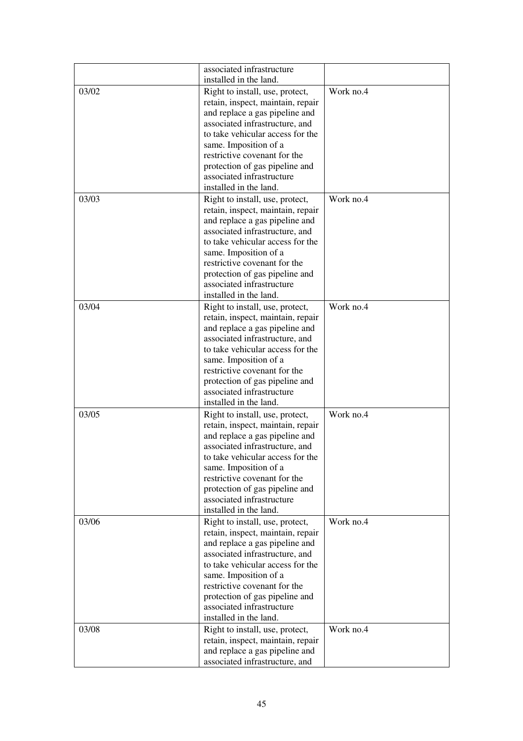|       | associated infrastructure<br>installed in the land.                                                                                                                |           |
|-------|--------------------------------------------------------------------------------------------------------------------------------------------------------------------|-----------|
| 03/02 | Right to install, use, protect,<br>retain, inspect, maintain, repair<br>and replace a gas pipeline and<br>associated infrastructure, and                           | Work no.4 |
|       | to take vehicular access for the<br>same. Imposition of a                                                                                                          |           |
|       | restrictive covenant for the<br>protection of gas pipeline and<br>associated infrastructure<br>installed in the land.                                              |           |
| 03/03 | Right to install, use, protect,                                                                                                                                    | Work no.4 |
|       | retain, inspect, maintain, repair<br>and replace a gas pipeline and<br>associated infrastructure, and<br>to take vehicular access for the<br>same. Imposition of a |           |
|       | restrictive covenant for the<br>protection of gas pipeline and<br>associated infrastructure                                                                        |           |
| 03/04 | installed in the land.<br>Right to install, use, protect,                                                                                                          | Work no.4 |
|       | retain, inspect, maintain, repair<br>and replace a gas pipeline and<br>associated infrastructure, and                                                              |           |
|       | to take vehicular access for the<br>same. Imposition of a                                                                                                          |           |
|       | restrictive covenant for the<br>protection of gas pipeline and<br>associated infrastructure<br>installed in the land.                                              |           |
| 03/05 | Right to install, use, protect,                                                                                                                                    | Work no.4 |
|       | retain, inspect, maintain, repair<br>and replace a gas pipeline and<br>associated infrastructure, and<br>to take vehicular access for the                          |           |
|       | same. Imposition of a<br>restrictive covenant for the<br>protection of gas pipeline and                                                                            |           |
|       | associated infrastructure<br>installed in the land.                                                                                                                |           |
| 03/06 | Right to install, use, protect,<br>retain, inspect, maintain, repair<br>and replace a gas pipeline and                                                             | Work no.4 |
|       | associated infrastructure, and<br>to take vehicular access for the                                                                                                 |           |
|       | same. Imposition of a<br>restrictive covenant for the<br>protection of gas pipeline and<br>associated infrastructure                                               |           |
| 03/08 | installed in the land.<br>Right to install, use, protect,                                                                                                          | Work no.4 |
|       | retain, inspect, maintain, repair<br>and replace a gas pipeline and<br>associated infrastructure, and                                                              |           |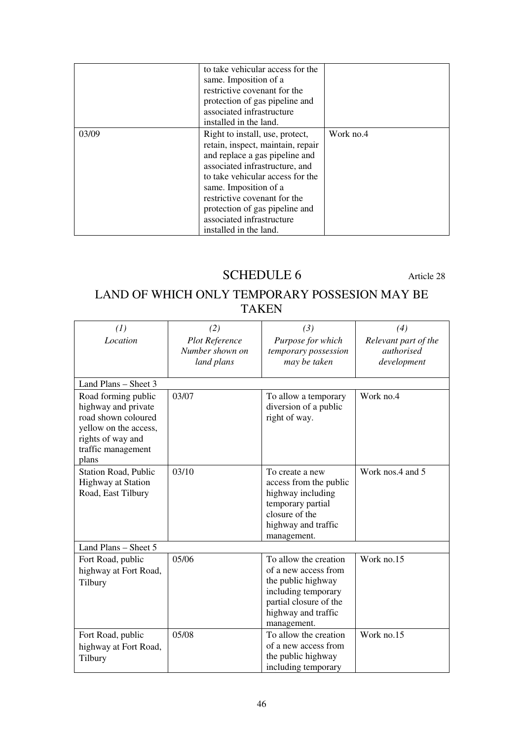|       | to take vehicular access for the<br>same. Imposition of a<br>restrictive covenant for the<br>protection of gas pipeline and<br>associated infrastructure<br>installed in the land.                                                                                                                                             |           |
|-------|--------------------------------------------------------------------------------------------------------------------------------------------------------------------------------------------------------------------------------------------------------------------------------------------------------------------------------|-----------|
| 03/09 | Right to install, use, protect,<br>retain, inspect, maintain, repair<br>and replace a gas pipeline and<br>associated infrastructure, and<br>to take vehicular access for the<br>same. Imposition of a<br>restrictive covenant for the<br>protection of gas pipeline and<br>associated infrastructure<br>installed in the land. | Work no.4 |

# SCHEDULE 6 Article 28

# LAND OF WHICH ONLY TEMPORARY POSSESION MAY BE TAKEN

| (1)                                                                                                                                            | (2)                                                    | (3)                                                                                                                                                        | (4)                                               |
|------------------------------------------------------------------------------------------------------------------------------------------------|--------------------------------------------------------|------------------------------------------------------------------------------------------------------------------------------------------------------------|---------------------------------------------------|
| Location                                                                                                                                       | <b>Plot Reference</b><br>Number shown on<br>land plans | Purpose for which<br>temporary possession<br>may be taken                                                                                                  | Relevant part of the<br>authorised<br>development |
| Land Plans - Sheet 3                                                                                                                           |                                                        |                                                                                                                                                            |                                                   |
| Road forming public<br>highway and private<br>road shown coloured<br>yellow on the access,<br>rights of way and<br>traffic management<br>plans | 03/07                                                  | To allow a temporary<br>diversion of a public<br>right of way.                                                                                             | Work no.4                                         |
| <b>Station Road, Public</b><br><b>Highway at Station</b><br>Road, East Tilbury                                                                 | 03/10                                                  | To create a new<br>access from the public<br>highway including<br>temporary partial<br>closure of the<br>highway and traffic<br>management.                | Work nos.4 and 5                                  |
| Land Plans - Sheet 5                                                                                                                           |                                                        |                                                                                                                                                            |                                                   |
| Fort Road, public<br>highway at Fort Road,<br>Tilbury                                                                                          | 05/06                                                  | To allow the creation<br>of a new access from<br>the public highway<br>including temporary<br>partial closure of the<br>highway and traffic<br>management. | Work no.15                                        |
| Fort Road, public<br>highway at Fort Road,<br>Tilbury                                                                                          | 05/08                                                  | To allow the creation<br>of a new access from<br>the public highway<br>including temporary                                                                 | Work no.15                                        |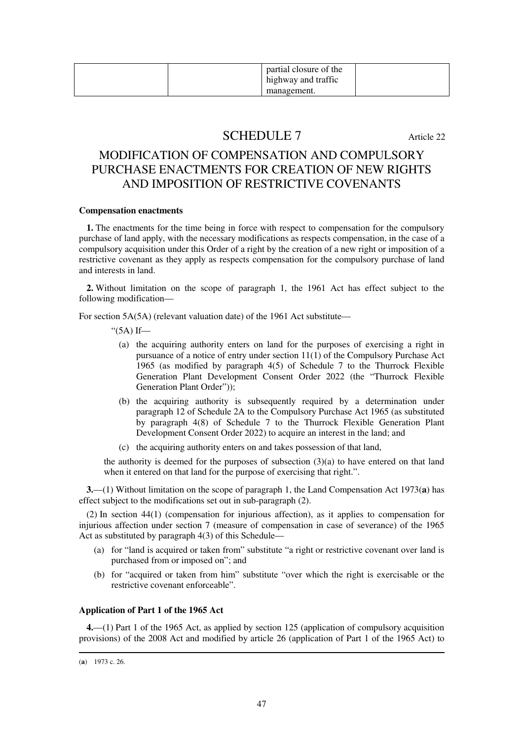|  | partial closure of the<br>highway and traffic |  |
|--|-----------------------------------------------|--|
|  | management.                                   |  |

# SCHEDULE 7 Article 22

# MODIFICATION OF COMPENSATION AND COMPULSORY PURCHASE ENACTMENTS FOR CREATION OF NEW RIGHTS AND IMPOSITION OF RESTRICTIVE COVENANTS

#### **Compensation enactments**

**1.** The enactments for the time being in force with respect to compensation for the compulsory purchase of land apply, with the necessary modifications as respects compensation, in the case of a compulsory acquisition under this Order of a right by the creation of a new right or imposition of a restrictive covenant as they apply as respects compensation for the compulsory purchase of land and interests in land.

**2.** Without limitation on the scope of paragraph 1, the 1961 Act has effect subject to the following modification—

For section 5A(5A) (relevant valuation date) of the 1961 Act substitute—

" $(5A)$  If—

- (a) the acquiring authority enters on land for the purposes of exercising a right in pursuance of a notice of entry under section 11(1) of the Compulsory Purchase Act 1965 (as modified by paragraph 4(5) of Schedule 7 to the Thurrock Flexible Generation Plant Development Consent Order 2022 (the "Thurrock Flexible Generation Plant Order"));
- (b) the acquiring authority is subsequently required by a determination under paragraph 12 of Schedule 2A to the Compulsory Purchase Act 1965 (as substituted by paragraph 4(8) of Schedule 7 to the Thurrock Flexible Generation Plant Development Consent Order 2022) to acquire an interest in the land; and
- (c) the acquiring authority enters on and takes possession of that land,

the authority is deemed for the purposes of subsection  $(3)(a)$  to have entered on that land when it entered on that land for the purpose of exercising that right.".

**3.**—(1) Without limitation on the scope of paragraph 1, the Land Compensation Act 1973(**a**) has effect subject to the modifications set out in sub-paragraph (2).

(2) In section 44(1) (compensation for injurious affection), as it applies to compensation for injurious affection under section 7 (measure of compensation in case of severance) of the 1965 Act as substituted by paragraph 4(3) of this Schedule—

- (a) for "land is acquired or taken from" substitute "a right or restrictive covenant over land is purchased from or imposed on"; and
- (b) for "acquired or taken from him" substitute "over which the right is exercisable or the restrictive covenant enforceable".

### **Application of Part 1 of the 1965 Act**

**4.**—(1) Part 1 of the 1965 Act, as applied by section 125 (application of compulsory acquisition provisions) of the 2008 Act and modified by article 26 (application of Part 1 of the 1965 Act) to

<sup>(</sup>**a**) 1973 c. 26.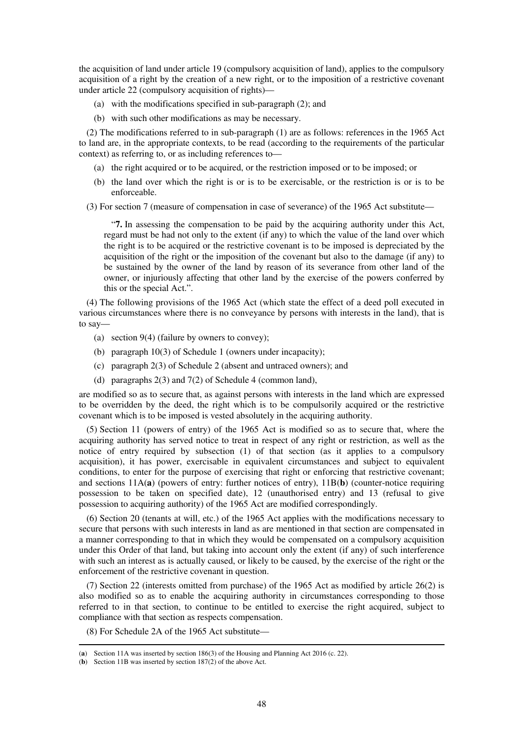the acquisition of land under article 19 (compulsory acquisition of land), applies to the compulsory acquisition of a right by the creation of a new right, or to the imposition of a restrictive covenant under article 22 (compulsory acquisition of rights)—

- (a) with the modifications specified in sub-paragraph (2); and
- (b) with such other modifications as may be necessary.

(2) The modifications referred to in sub-paragraph (1) are as follows: references in the 1965 Act to land are, in the appropriate contexts, to be read (according to the requirements of the particular context) as referring to, or as including references to—

- (a) the right acquired or to be acquired, or the restriction imposed or to be imposed; or
- (b) the land over which the right is or is to be exercisable, or the restriction is or is to be enforceable.
- (3) For section 7 (measure of compensation in case of severance) of the 1965 Act substitute—

"**7.** In assessing the compensation to be paid by the acquiring authority under this Act, regard must be had not only to the extent (if any) to which the value of the land over which the right is to be acquired or the restrictive covenant is to be imposed is depreciated by the acquisition of the right or the imposition of the covenant but also to the damage (if any) to be sustained by the owner of the land by reason of its severance from other land of the owner, or injuriously affecting that other land by the exercise of the powers conferred by this or the special Act.".

(4) The following provisions of the 1965 Act (which state the effect of a deed poll executed in various circumstances where there is no conveyance by persons with interests in the land), that is to say—

- (a) section 9(4) (failure by owners to convey);
- (b) paragraph 10(3) of Schedule 1 (owners under incapacity);
- (c) paragraph 2(3) of Schedule 2 (absent and untraced owners); and
- (d) paragraphs 2(3) and 7(2) of Schedule 4 (common land),

are modified so as to secure that, as against persons with interests in the land which are expressed to be overridden by the deed, the right which is to be compulsorily acquired or the restrictive covenant which is to be imposed is vested absolutely in the acquiring authority.

(5) Section 11 (powers of entry) of the 1965 Act is modified so as to secure that, where the acquiring authority has served notice to treat in respect of any right or restriction, as well as the notice of entry required by subsection (1) of that section (as it applies to a compulsory acquisition), it has power, exercisable in equivalent circumstances and subject to equivalent conditions, to enter for the purpose of exercising that right or enforcing that restrictive covenant; and sections 11A(**a**) (powers of entry: further notices of entry), 11B(**b**) (counter-notice requiring possession to be taken on specified date), 12 (unauthorised entry) and 13 (refusal to give possession to acquiring authority) of the 1965 Act are modified correspondingly.

(6) Section 20 (tenants at will, etc.) of the 1965 Act applies with the modifications necessary to secure that persons with such interests in land as are mentioned in that section are compensated in a manner corresponding to that in which they would be compensated on a compulsory acquisition under this Order of that land, but taking into account only the extent (if any) of such interference with such an interest as is actually caused, or likely to be caused, by the exercise of the right or the enforcement of the restrictive covenant in question.

(7) Section 22 (interests omitted from purchase) of the 1965 Act as modified by article 26(2) is also modified so as to enable the acquiring authority in circumstances corresponding to those referred to in that section, to continue to be entitled to exercise the right acquired, subject to compliance with that section as respects compensation.

(8) For Schedule 2A of the 1965 Act substitute—

<sup>(</sup>**a**) Section 11A was inserted by section 186(3) of the Housing and Planning Act 2016 (c. 22).

<sup>(</sup>**b**) Section 11B was inserted by section 187(2) of the above Act.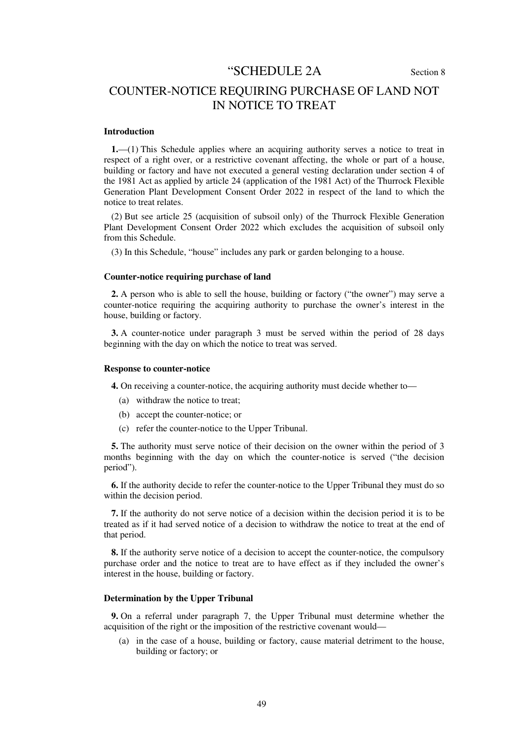# "SCHEDULE 2A Section 8

# COUNTER-NOTICE REQUIRING PURCHASE OF LAND NOT IN NOTICE TO TREAT

#### **Introduction**

**1.**—(1) This Schedule applies where an acquiring authority serves a notice to treat in respect of a right over, or a restrictive covenant affecting, the whole or part of a house, building or factory and have not executed a general vesting declaration under section 4 of the 1981 Act as applied by article 24 (application of the 1981 Act) of the Thurrock Flexible Generation Plant Development Consent Order 2022 in respect of the land to which the notice to treat relates.

(2) But see article 25 (acquisition of subsoil only) of the Thurrock Flexible Generation Plant Development Consent Order 2022 which excludes the acquisition of subsoil only from this Schedule.

(3) In this Schedule, "house" includes any park or garden belonging to a house.

#### **Counter-notice requiring purchase of land**

**2.** A person who is able to sell the house, building or factory ("the owner") may serve a counter-notice requiring the acquiring authority to purchase the owner's interest in the house, building or factory.

**3.** A counter-notice under paragraph 3 must be served within the period of 28 days beginning with the day on which the notice to treat was served.

#### **Response to counter-notice**

**4.** On receiving a counter-notice, the acquiring authority must decide whether to—

- (a) withdraw the notice to treat;
- (b) accept the counter-notice; or
- (c) refer the counter-notice to the Upper Tribunal.

**5.** The authority must serve notice of their decision on the owner within the period of 3 months beginning with the day on which the counter-notice is served ("the decision period").

**6.** If the authority decide to refer the counter-notice to the Upper Tribunal they must do so within the decision period.

**7.** If the authority do not serve notice of a decision within the decision period it is to be treated as if it had served notice of a decision to withdraw the notice to treat at the end of that period.

**8.** If the authority serve notice of a decision to accept the counter-notice, the compulsory purchase order and the notice to treat are to have effect as if they included the owner's interest in the house, building or factory.

#### **Determination by the Upper Tribunal**

**9.** On a referral under paragraph 7, the Upper Tribunal must determine whether the acquisition of the right or the imposition of the restrictive covenant would—

(a) in the case of a house, building or factory, cause material detriment to the house, building or factory; or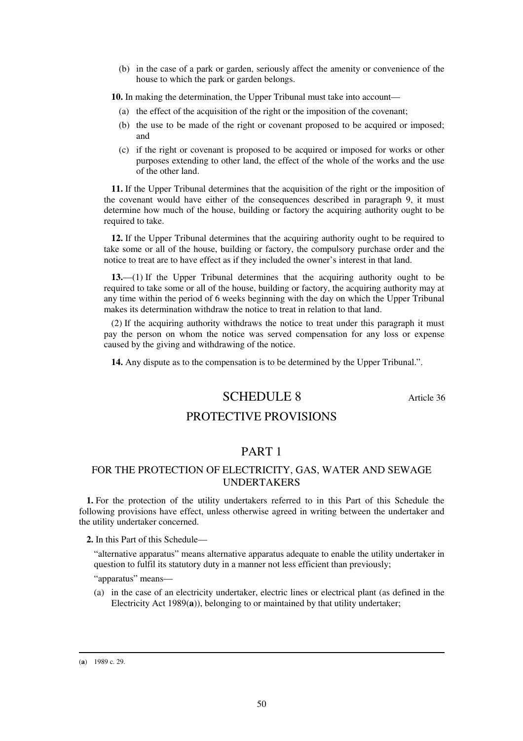(b) in the case of a park or garden, seriously affect the amenity or convenience of the house to which the park or garden belongs.

**10.** In making the determination, the Upper Tribunal must take into account—

- (a) the effect of the acquisition of the right or the imposition of the covenant;
- (b) the use to be made of the right or covenant proposed to be acquired or imposed; and
- (c) if the right or covenant is proposed to be acquired or imposed for works or other purposes extending to other land, the effect of the whole of the works and the use of the other land.

**11.** If the Upper Tribunal determines that the acquisition of the right or the imposition of the covenant would have either of the consequences described in paragraph 9, it must determine how much of the house, building or factory the acquiring authority ought to be required to take.

**12.** If the Upper Tribunal determines that the acquiring authority ought to be required to take some or all of the house, building or factory, the compulsory purchase order and the notice to treat are to have effect as if they included the owner's interest in that land.

**13.**—(1) If the Upper Tribunal determines that the acquiring authority ought to be required to take some or all of the house, building or factory, the acquiring authority may at any time within the period of 6 weeks beginning with the day on which the Upper Tribunal makes its determination withdraw the notice to treat in relation to that land.

(2) If the acquiring authority withdraws the notice to treat under this paragraph it must pay the person on whom the notice was served compensation for any loss or expense caused by the giving and withdrawing of the notice.

**14.** Any dispute as to the compensation is to be determined by the Upper Tribunal.".

# SCHEDULE 8 Article 36

### PROTECTIVE PROVISIONS

# PART 1

### FOR THE PROTECTION OF ELECTRICITY, GAS, WATER AND SEWAGE UNDERTAKERS

**1.** For the protection of the utility undertakers referred to in this Part of this Schedule the following provisions have effect, unless otherwise agreed in writing between the undertaker and the utility undertaker concerned.

**2.** In this Part of this Schedule—

"alternative apparatus" means alternative apparatus adequate to enable the utility undertaker in question to fulfil its statutory duty in a manner not less efficient than previously;

"apparatus" means—

(a) in the case of an electricity undertaker, electric lines or electrical plant (as defined in the Electricity Act 1989(**a**)), belonging to or maintained by that utility undertaker;

<sup>(</sup>**a**) 1989 c. 29.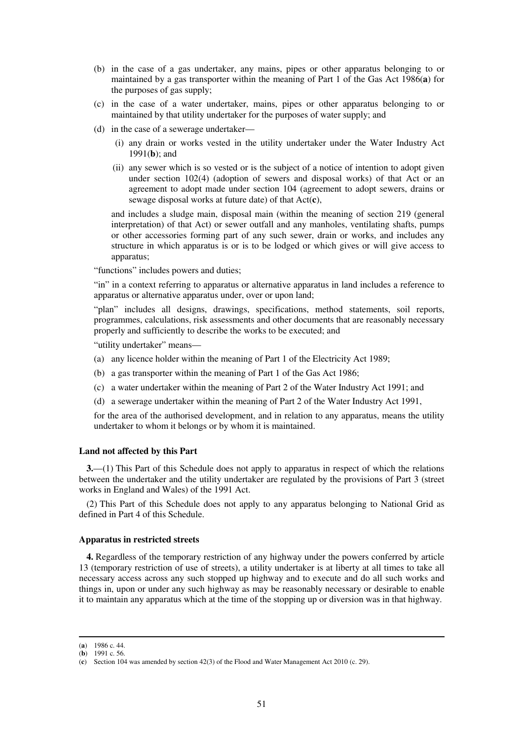- (b) in the case of a gas undertaker, any mains, pipes or other apparatus belonging to or maintained by a gas transporter within the meaning of Part 1 of the Gas Act 1986(**a**) for the purposes of gas supply;
- (c) in the case of a water undertaker, mains, pipes or other apparatus belonging to or maintained by that utility undertaker for the purposes of water supply; and
- (d) in the case of a sewerage undertaker—
	- (i) any drain or works vested in the utility undertaker under the Water Industry Act 1991(**b**); and
	- (ii) any sewer which is so vested or is the subject of a notice of intention to adopt given under section 102(4) (adoption of sewers and disposal works) of that Act or an agreement to adopt made under section 104 (agreement to adopt sewers, drains or sewage disposal works at future date) of that Act(**c**),

and includes a sludge main, disposal main (within the meaning of section 219 (general interpretation) of that Act) or sewer outfall and any manholes, ventilating shafts, pumps or other accessories forming part of any such sewer, drain or works, and includes any structure in which apparatus is or is to be lodged or which gives or will give access to apparatus;

"functions" includes powers and duties;

"in" in a context referring to apparatus or alternative apparatus in land includes a reference to apparatus or alternative apparatus under, over or upon land;

"plan" includes all designs, drawings, specifications, method statements, soil reports, programmes, calculations, risk assessments and other documents that are reasonably necessary properly and sufficiently to describe the works to be executed; and

"utility undertaker" means—

- (a) any licence holder within the meaning of Part 1 of the Electricity Act 1989;
- (b) a gas transporter within the meaning of Part 1 of the Gas Act 1986;
- (c) a water undertaker within the meaning of Part 2 of the Water Industry Act 1991; and
- (d) a sewerage undertaker within the meaning of Part 2 of the Water Industry Act 1991,

for the area of the authorised development, and in relation to any apparatus, means the utility undertaker to whom it belongs or by whom it is maintained.

#### **Land not affected by this Part**

**3.**—(1) This Part of this Schedule does not apply to apparatus in respect of which the relations between the undertaker and the utility undertaker are regulated by the provisions of Part 3 (street works in England and Wales) of the 1991 Act.

(2) This Part of this Schedule does not apply to any apparatus belonging to National Grid as defined in Part 4 of this Schedule.

#### **Apparatus in restricted streets**

**4.** Regardless of the temporary restriction of any highway under the powers conferred by article 13 (temporary restriction of use of streets), a utility undertaker is at liberty at all times to take all necessary access across any such stopped up highway and to execute and do all such works and things in, upon or under any such highway as may be reasonably necessary or desirable to enable it to maintain any apparatus which at the time of the stopping up or diversion was in that highway.

<sup>(</sup>**a**) 1986 c. 44.

<sup>(</sup>**b**) 1991 c. 56.

<sup>(</sup>**c**) Section 104 was amended by section 42(3) of the Flood and Water Management Act 2010 (c. 29).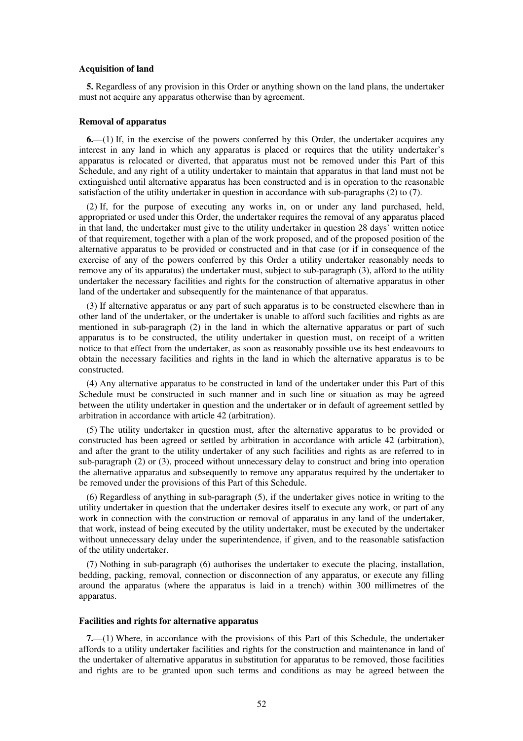#### **Acquisition of land**

**5.** Regardless of any provision in this Order or anything shown on the land plans, the undertaker must not acquire any apparatus otherwise than by agreement.

#### **Removal of apparatus**

**6.**—(1) If, in the exercise of the powers conferred by this Order, the undertaker acquires any interest in any land in which any apparatus is placed or requires that the utility undertaker's apparatus is relocated or diverted, that apparatus must not be removed under this Part of this Schedule, and any right of a utility undertaker to maintain that apparatus in that land must not be extinguished until alternative apparatus has been constructed and is in operation to the reasonable satisfaction of the utility undertaker in question in accordance with sub-paragraphs (2) to (7).

(2) If, for the purpose of executing any works in, on or under any land purchased, held, appropriated or used under this Order, the undertaker requires the removal of any apparatus placed in that land, the undertaker must give to the utility undertaker in question 28 days' written notice of that requirement, together with a plan of the work proposed, and of the proposed position of the alternative apparatus to be provided or constructed and in that case (or if in consequence of the exercise of any of the powers conferred by this Order a utility undertaker reasonably needs to remove any of its apparatus) the undertaker must, subject to sub-paragraph (3), afford to the utility undertaker the necessary facilities and rights for the construction of alternative apparatus in other land of the undertaker and subsequently for the maintenance of that apparatus.

(3) If alternative apparatus or any part of such apparatus is to be constructed elsewhere than in other land of the undertaker, or the undertaker is unable to afford such facilities and rights as are mentioned in sub-paragraph (2) in the land in which the alternative apparatus or part of such apparatus is to be constructed, the utility undertaker in question must, on receipt of a written notice to that effect from the undertaker, as soon as reasonably possible use its best endeavours to obtain the necessary facilities and rights in the land in which the alternative apparatus is to be constructed.

(4) Any alternative apparatus to be constructed in land of the undertaker under this Part of this Schedule must be constructed in such manner and in such line or situation as may be agreed between the utility undertaker in question and the undertaker or in default of agreement settled by arbitration in accordance with article 42 (arbitration).

(5) The utility undertaker in question must, after the alternative apparatus to be provided or constructed has been agreed or settled by arbitration in accordance with article 42 (arbitration), and after the grant to the utility undertaker of any such facilities and rights as are referred to in sub-paragraph (2) or (3), proceed without unnecessary delay to construct and bring into operation the alternative apparatus and subsequently to remove any apparatus required by the undertaker to be removed under the provisions of this Part of this Schedule.

(6) Regardless of anything in sub-paragraph (5), if the undertaker gives notice in writing to the utility undertaker in question that the undertaker desires itself to execute any work, or part of any work in connection with the construction or removal of apparatus in any land of the undertaker, that work, instead of being executed by the utility undertaker, must be executed by the undertaker without unnecessary delay under the superintendence, if given, and to the reasonable satisfaction of the utility undertaker.

(7) Nothing in sub-paragraph (6) authorises the undertaker to execute the placing, installation, bedding, packing, removal, connection or disconnection of any apparatus, or execute any filling around the apparatus (where the apparatus is laid in a trench) within 300 millimetres of the apparatus.

#### **Facilities and rights for alternative apparatus**

**7.**—(1) Where, in accordance with the provisions of this Part of this Schedule, the undertaker affords to a utility undertaker facilities and rights for the construction and maintenance in land of the undertaker of alternative apparatus in substitution for apparatus to be removed, those facilities and rights are to be granted upon such terms and conditions as may be agreed between the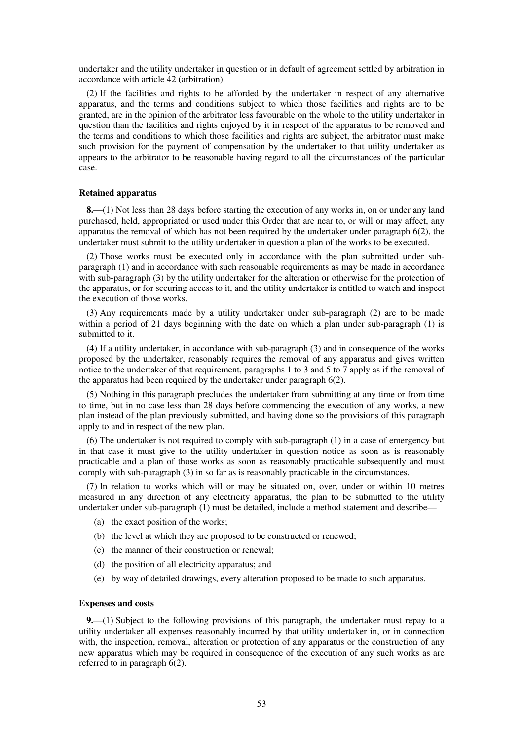undertaker and the utility undertaker in question or in default of agreement settled by arbitration in accordance with article 42 (arbitration).

(2) If the facilities and rights to be afforded by the undertaker in respect of any alternative apparatus, and the terms and conditions subject to which those facilities and rights are to be granted, are in the opinion of the arbitrator less favourable on the whole to the utility undertaker in question than the facilities and rights enjoyed by it in respect of the apparatus to be removed and the terms and conditions to which those facilities and rights are subject, the arbitrator must make such provision for the payment of compensation by the undertaker to that utility undertaker as appears to the arbitrator to be reasonable having regard to all the circumstances of the particular case.

#### **Retained apparatus**

**8.**—(1) Not less than 28 days before starting the execution of any works in, on or under any land purchased, held, appropriated or used under this Order that are near to, or will or may affect, any apparatus the removal of which has not been required by the undertaker under paragraph 6(2), the undertaker must submit to the utility undertaker in question a plan of the works to be executed.

(2) Those works must be executed only in accordance with the plan submitted under subparagraph (1) and in accordance with such reasonable requirements as may be made in accordance with sub-paragraph (3) by the utility undertaker for the alteration or otherwise for the protection of the apparatus, or for securing access to it, and the utility undertaker is entitled to watch and inspect the execution of those works.

(3) Any requirements made by a utility undertaker under sub-paragraph (2) are to be made within a period of 21 days beginning with the date on which a plan under sub-paragraph (1) is submitted to it.

(4) If a utility undertaker, in accordance with sub-paragraph (3) and in consequence of the works proposed by the undertaker, reasonably requires the removal of any apparatus and gives written notice to the undertaker of that requirement, paragraphs 1 to 3 and 5 to 7 apply as if the removal of the apparatus had been required by the undertaker under paragraph 6(2).

(5) Nothing in this paragraph precludes the undertaker from submitting at any time or from time to time, but in no case less than 28 days before commencing the execution of any works, a new plan instead of the plan previously submitted, and having done so the provisions of this paragraph apply to and in respect of the new plan.

(6) The undertaker is not required to comply with sub-paragraph (1) in a case of emergency but in that case it must give to the utility undertaker in question notice as soon as is reasonably practicable and a plan of those works as soon as reasonably practicable subsequently and must comply with sub-paragraph (3) in so far as is reasonably practicable in the circumstances.

(7) In relation to works which will or may be situated on, over, under or within 10 metres measured in any direction of any electricity apparatus, the plan to be submitted to the utility undertaker under sub-paragraph (1) must be detailed, include a method statement and describe—

- (a) the exact position of the works;
- (b) the level at which they are proposed to be constructed or renewed;
- (c) the manner of their construction or renewal;
- (d) the position of all electricity apparatus; and
- (e) by way of detailed drawings, every alteration proposed to be made to such apparatus.

#### **Expenses and costs**

**9.**—(1) Subject to the following provisions of this paragraph, the undertaker must repay to a utility undertaker all expenses reasonably incurred by that utility undertaker in, or in connection with, the inspection, removal, alteration or protection of any apparatus or the construction of any new apparatus which may be required in consequence of the execution of any such works as are referred to in paragraph 6(2).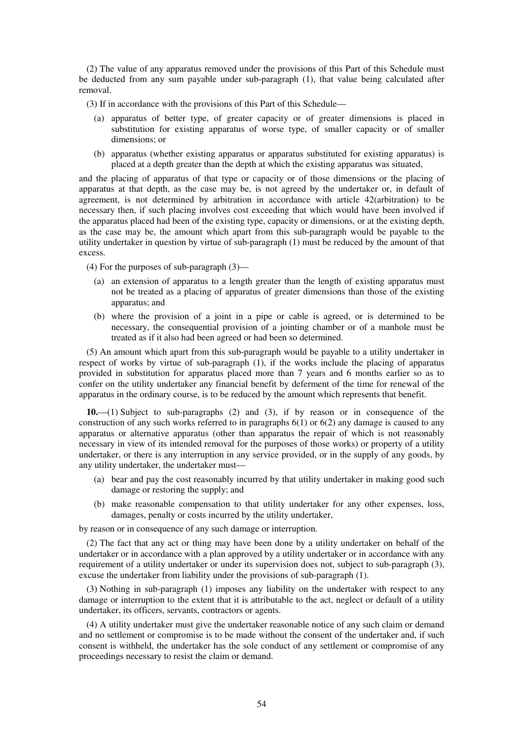(2) The value of any apparatus removed under the provisions of this Part of this Schedule must be deducted from any sum payable under sub-paragraph (1), that value being calculated after removal.

(3) If in accordance with the provisions of this Part of this Schedule—

- (a) apparatus of better type, of greater capacity or of greater dimensions is placed in substitution for existing apparatus of worse type, of smaller capacity or of smaller dimensions; or
- (b) apparatus (whether existing apparatus or apparatus substituted for existing apparatus) is placed at a depth greater than the depth at which the existing apparatus was situated,

and the placing of apparatus of that type or capacity or of those dimensions or the placing of apparatus at that depth, as the case may be, is not agreed by the undertaker or, in default of agreement, is not determined by arbitration in accordance with article 42(arbitration) to be necessary then, if such placing involves cost exceeding that which would have been involved if the apparatus placed had been of the existing type, capacity or dimensions, or at the existing depth, as the case may be, the amount which apart from this sub-paragraph would be payable to the utility undertaker in question by virtue of sub-paragraph (1) must be reduced by the amount of that excess.

(4) For the purposes of sub-paragraph (3)—

- (a) an extension of apparatus to a length greater than the length of existing apparatus must not be treated as a placing of apparatus of greater dimensions than those of the existing apparatus; and
- (b) where the provision of a joint in a pipe or cable is agreed, or is determined to be necessary, the consequential provision of a jointing chamber or of a manhole must be treated as if it also had been agreed or had been so determined.

(5) An amount which apart from this sub-paragraph would be payable to a utility undertaker in respect of works by virtue of sub-paragraph (1), if the works include the placing of apparatus provided in substitution for apparatus placed more than 7 years and 6 months earlier so as to confer on the utility undertaker any financial benefit by deferment of the time for renewal of the apparatus in the ordinary course, is to be reduced by the amount which represents that benefit.

**10.**—(1) Subject to sub-paragraphs (2) and (3), if by reason or in consequence of the construction of any such works referred to in paragraphs  $6(1)$  or  $6(2)$  any damage is caused to any apparatus or alternative apparatus (other than apparatus the repair of which is not reasonably necessary in view of its intended removal for the purposes of those works) or property of a utility undertaker, or there is any interruption in any service provided, or in the supply of any goods, by any utility undertaker, the undertaker must—

- (a) bear and pay the cost reasonably incurred by that utility undertaker in making good such damage or restoring the supply; and
- (b) make reasonable compensation to that utility undertaker for any other expenses, loss, damages, penalty or costs incurred by the utility undertaker,

by reason or in consequence of any such damage or interruption.

(2) The fact that any act or thing may have been done by a utility undertaker on behalf of the undertaker or in accordance with a plan approved by a utility undertaker or in accordance with any requirement of a utility undertaker or under its supervision does not, subject to sub-paragraph (3), excuse the undertaker from liability under the provisions of sub-paragraph (1).

(3) Nothing in sub-paragraph (1) imposes any liability on the undertaker with respect to any damage or interruption to the extent that it is attributable to the act, neglect or default of a utility undertaker, its officers, servants, contractors or agents.

(4) A utility undertaker must give the undertaker reasonable notice of any such claim or demand and no settlement or compromise is to be made without the consent of the undertaker and, if such consent is withheld, the undertaker has the sole conduct of any settlement or compromise of any proceedings necessary to resist the claim or demand.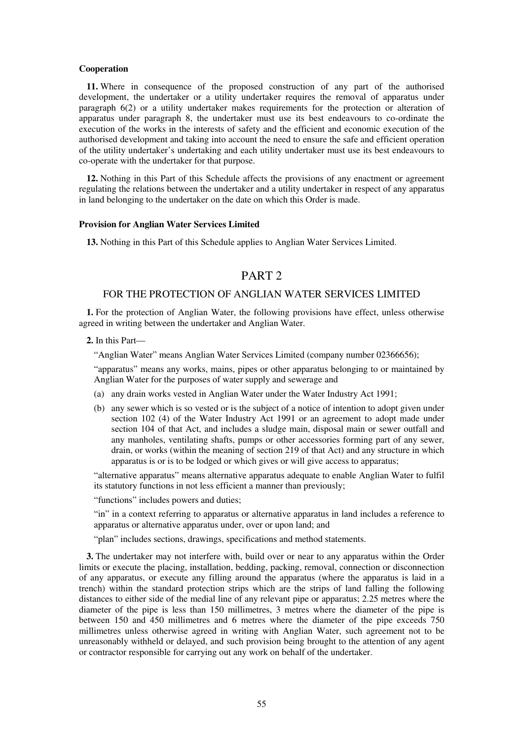#### **Cooperation**

**11.** Where in consequence of the proposed construction of any part of the authorised development, the undertaker or a utility undertaker requires the removal of apparatus under paragraph 6(2) or a utility undertaker makes requirements for the protection or alteration of apparatus under paragraph 8, the undertaker must use its best endeavours to co-ordinate the execution of the works in the interests of safety and the efficient and economic execution of the authorised development and taking into account the need to ensure the safe and efficient operation of the utility undertaker's undertaking and each utility undertaker must use its best endeavours to co-operate with the undertaker for that purpose.

**12.** Nothing in this Part of this Schedule affects the provisions of any enactment or agreement regulating the relations between the undertaker and a utility undertaker in respect of any apparatus in land belonging to the undertaker on the date on which this Order is made.

#### **Provision for Anglian Water Services Limited**

**13.** Nothing in this Part of this Schedule applies to Anglian Water Services Limited.

# PART 2

### FOR THE PROTECTION OF ANGLIAN WATER SERVICES LIMITED

**1.** For the protection of Anglian Water, the following provisions have effect, unless otherwise agreed in writing between the undertaker and Anglian Water.

**2.** In this Part—

"Anglian Water" means Anglian Water Services Limited (company number 02366656);

"apparatus" means any works, mains, pipes or other apparatus belonging to or maintained by Anglian Water for the purposes of water supply and sewerage and

- (a) any drain works vested in Anglian Water under the Water Industry Act 1991;
- (b) any sewer which is so vested or is the subject of a notice of intention to adopt given under section 102 (4) of the Water Industry Act 1991 or an agreement to adopt made under section 104 of that Act, and includes a sludge main, disposal main or sewer outfall and any manholes, ventilating shafts, pumps or other accessories forming part of any sewer, drain, or works (within the meaning of section 219 of that Act) and any structure in which apparatus is or is to be lodged or which gives or will give access to apparatus;

"alternative apparatus" means alternative apparatus adequate to enable Anglian Water to fulfil its statutory functions in not less efficient a manner than previously;

"functions" includes powers and duties;

"in" in a context referring to apparatus or alternative apparatus in land includes a reference to apparatus or alternative apparatus under, over or upon land; and

"plan" includes sections, drawings, specifications and method statements.

**3.** The undertaker may not interfere with, build over or near to any apparatus within the Order limits or execute the placing, installation, bedding, packing, removal, connection or disconnection of any apparatus, or execute any filling around the apparatus (where the apparatus is laid in a trench) within the standard protection strips which are the strips of land falling the following distances to either side of the medial line of any relevant pipe or apparatus; 2.25 metres where the diameter of the pipe is less than 150 millimetres, 3 metres where the diameter of the pipe is between 150 and 450 millimetres and 6 metres where the diameter of the pipe exceeds 750 millimetres unless otherwise agreed in writing with Anglian Water, such agreement not to be unreasonably withheld or delayed, and such provision being brought to the attention of any agent or contractor responsible for carrying out any work on behalf of the undertaker.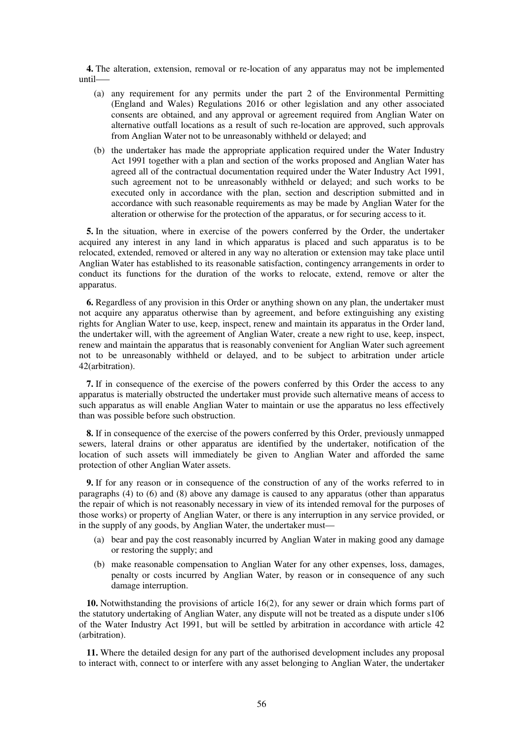**4.** The alteration, extension, removal or re-location of any apparatus may not be implemented until–—

- (a) any requirement for any permits under the part 2 of the Environmental Permitting (England and Wales) Regulations 2016 or other legislation and any other associated consents are obtained, and any approval or agreement required from Anglian Water on alternative outfall locations as a result of such re-location are approved, such approvals from Anglian Water not to be unreasonably withheld or delayed; and
- (b) the undertaker has made the appropriate application required under the Water Industry Act 1991 together with a plan and section of the works proposed and Anglian Water has agreed all of the contractual documentation required under the Water Industry Act 1991, such agreement not to be unreasonably withheld or delayed; and such works to be executed only in accordance with the plan, section and description submitted and in accordance with such reasonable requirements as may be made by Anglian Water for the alteration or otherwise for the protection of the apparatus, or for securing access to it.

**5.** In the situation, where in exercise of the powers conferred by the Order, the undertaker acquired any interest in any land in which apparatus is placed and such apparatus is to be relocated, extended, removed or altered in any way no alteration or extension may take place until Anglian Water has established to its reasonable satisfaction, contingency arrangements in order to conduct its functions for the duration of the works to relocate, extend, remove or alter the apparatus.

**6.** Regardless of any provision in this Order or anything shown on any plan, the undertaker must not acquire any apparatus otherwise than by agreement, and before extinguishing any existing rights for Anglian Water to use, keep, inspect, renew and maintain its apparatus in the Order land, the undertaker will, with the agreement of Anglian Water, create a new right to use, keep, inspect, renew and maintain the apparatus that is reasonably convenient for Anglian Water such agreement not to be unreasonably withheld or delayed, and to be subject to arbitration under article 42(arbitration).

**7.** If in consequence of the exercise of the powers conferred by this Order the access to any apparatus is materially obstructed the undertaker must provide such alternative means of access to such apparatus as will enable Anglian Water to maintain or use the apparatus no less effectively than was possible before such obstruction.

**8.** If in consequence of the exercise of the powers conferred by this Order, previously unmapped sewers, lateral drains or other apparatus are identified by the undertaker, notification of the location of such assets will immediately be given to Anglian Water and afforded the same protection of other Anglian Water assets.

**9.** If for any reason or in consequence of the construction of any of the works referred to in paragraphs (4) to (6) and (8) above any damage is caused to any apparatus (other than apparatus the repair of which is not reasonably necessary in view of its intended removal for the purposes of those works) or property of Anglian Water, or there is any interruption in any service provided, or in the supply of any goods, by Anglian Water, the undertaker must—

- (a) bear and pay the cost reasonably incurred by Anglian Water in making good any damage or restoring the supply; and
- (b) make reasonable compensation to Anglian Water for any other expenses, loss, damages, penalty or costs incurred by Anglian Water, by reason or in consequence of any such damage interruption.

**10.** Notwithstanding the provisions of article 16(2), for any sewer or drain which forms part of the statutory undertaking of Anglian Water, any dispute will not be treated as a dispute under s106 of the Water Industry Act 1991, but will be settled by arbitration in accordance with article 42 (arbitration).

**11.** Where the detailed design for any part of the authorised development includes any proposal to interact with, connect to or interfere with any asset belonging to Anglian Water, the undertaker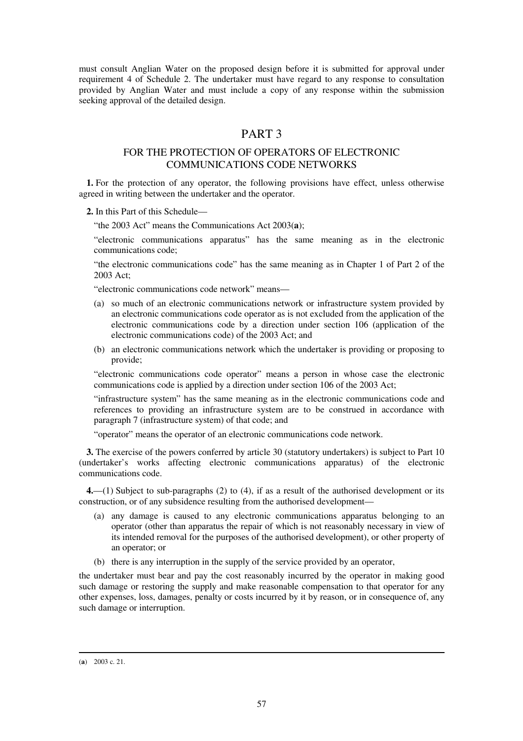must consult Anglian Water on the proposed design before it is submitted for approval under requirement 4 of Schedule 2. The undertaker must have regard to any response to consultation provided by Anglian Water and must include a copy of any response within the submission seeking approval of the detailed design.

# PART 3

### FOR THE PROTECTION OF OPERATORS OF ELECTRONIC COMMUNICATIONS CODE NETWORKS

**1.** For the protection of any operator, the following provisions have effect, unless otherwise agreed in writing between the undertaker and the operator.

**2.** In this Part of this Schedule—

"the 2003 Act" means the Communications Act 2003(**a**);

"electronic communications apparatus" has the same meaning as in the electronic communications code;

"the electronic communications code" has the same meaning as in Chapter 1 of Part 2 of the 2003 Act;

"electronic communications code network" means—

- (a) so much of an electronic communications network or infrastructure system provided by an electronic communications code operator as is not excluded from the application of the electronic communications code by a direction under section 106 (application of the electronic communications code) of the 2003 Act; and
- (b) an electronic communications network which the undertaker is providing or proposing to provide;

"electronic communications code operator" means a person in whose case the electronic communications code is applied by a direction under section 106 of the 2003 Act;

"infrastructure system" has the same meaning as in the electronic communications code and references to providing an infrastructure system are to be construed in accordance with paragraph 7 (infrastructure system) of that code; and

"operator" means the operator of an electronic communications code network.

**3.** The exercise of the powers conferred by article 30 (statutory undertakers) is subject to Part 10 (undertaker's works affecting electronic communications apparatus) of the electronic communications code.

**4.**—(1) Subject to sub-paragraphs (2) to (4), if as a result of the authorised development or its construction, or of any subsidence resulting from the authorised development—

- (a) any damage is caused to any electronic communications apparatus belonging to an operator (other than apparatus the repair of which is not reasonably necessary in view of its intended removal for the purposes of the authorised development), or other property of an operator; or
- (b) there is any interruption in the supply of the service provided by an operator,

the undertaker must bear and pay the cost reasonably incurred by the operator in making good such damage or restoring the supply and make reasonable compensation to that operator for any other expenses, loss, damages, penalty or costs incurred by it by reason, or in consequence of, any such damage or interruption.

<sup>-</sup>(**a**) 2003 c. 21.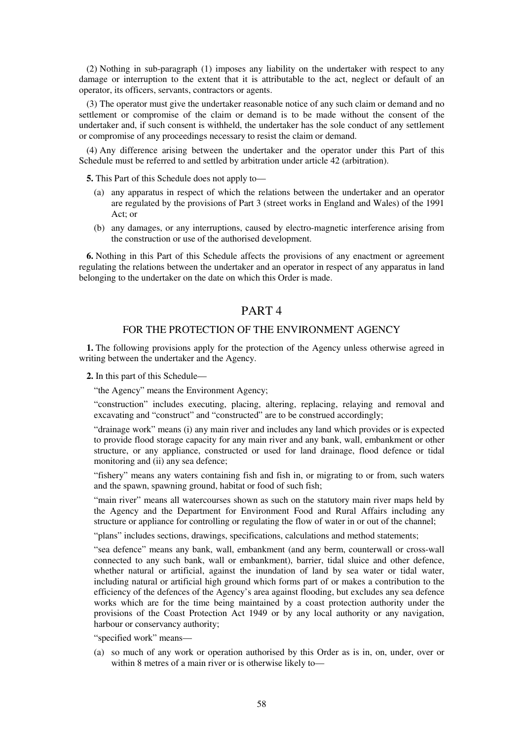(2) Nothing in sub-paragraph (1) imposes any liability on the undertaker with respect to any damage or interruption to the extent that it is attributable to the act, neglect or default of an operator, its officers, servants, contractors or agents.

(3) The operator must give the undertaker reasonable notice of any such claim or demand and no settlement or compromise of the claim or demand is to be made without the consent of the undertaker and, if such consent is withheld, the undertaker has the sole conduct of any settlement or compromise of any proceedings necessary to resist the claim or demand.

(4) Any difference arising between the undertaker and the operator under this Part of this Schedule must be referred to and settled by arbitration under article 42 (arbitration).

**5.** This Part of this Schedule does not apply to—

- (a) any apparatus in respect of which the relations between the undertaker and an operator are regulated by the provisions of Part 3 (street works in England and Wales) of the 1991 Act; or
- (b) any damages, or any interruptions, caused by electro-magnetic interference arising from the construction or use of the authorised development.

**6.** Nothing in this Part of this Schedule affects the provisions of any enactment or agreement regulating the relations between the undertaker and an operator in respect of any apparatus in land belonging to the undertaker on the date on which this Order is made.

## PART 4

#### FOR THE PROTECTION OF THE ENVIRONMENT AGENCY

**1.** The following provisions apply for the protection of the Agency unless otherwise agreed in writing between the undertaker and the Agency.

**2.** In this part of this Schedule—

"the Agency" means the Environment Agency;

"construction" includes executing, placing, altering, replacing, relaying and removal and excavating and "construct" and "constructed" are to be construed accordingly;

"drainage work" means (i) any main river and includes any land which provides or is expected to provide flood storage capacity for any main river and any bank, wall, embankment or other structure, or any appliance, constructed or used for land drainage, flood defence or tidal monitoring and (ii) any sea defence;

"fishery" means any waters containing fish and fish in, or migrating to or from, such waters and the spawn, spawning ground, habitat or food of such fish;

"main river" means all watercourses shown as such on the statutory main river maps held by the Agency and the Department for Environment Food and Rural Affairs including any structure or appliance for controlling or regulating the flow of water in or out of the channel;

"plans" includes sections, drawings, specifications, calculations and method statements;

"sea defence" means any bank, wall, embankment (and any berm, counterwall or cross-wall connected to any such bank, wall or embankment), barrier, tidal sluice and other defence, whether natural or artificial, against the inundation of land by sea water or tidal water, including natural or artificial high ground which forms part of or makes a contribution to the efficiency of the defences of the Agency's area against flooding, but excludes any sea defence works which are for the time being maintained by a coast protection authority under the provisions of the Coast Protection Act 1949 or by any local authority or any navigation, harbour or conservancy authority;

"specified work" means—

(a) so much of any work or operation authorised by this Order as is in, on, under, over or within 8 metres of a main river or is otherwise likely to—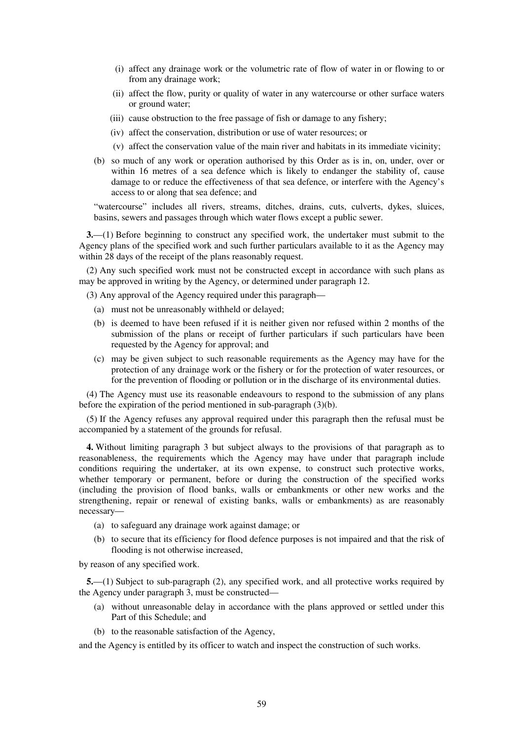- (i) affect any drainage work or the volumetric rate of flow of water in or flowing to or from any drainage work;
- (ii) affect the flow, purity or quality of water in any watercourse or other surface waters or ground water;
- (iii) cause obstruction to the free passage of fish or damage to any fishery;
- (iv) affect the conservation, distribution or use of water resources; or
- (v) affect the conservation value of the main river and habitats in its immediate vicinity;
- (b) so much of any work or operation authorised by this Order as is in, on, under, over or within 16 metres of a sea defence which is likely to endanger the stability of, cause damage to or reduce the effectiveness of that sea defence, or interfere with the Agency's access to or along that sea defence; and

"watercourse" includes all rivers, streams, ditches, drains, cuts, culverts, dykes, sluices, basins, sewers and passages through which water flows except a public sewer.

**3.**—(1) Before beginning to construct any specified work, the undertaker must submit to the Agency plans of the specified work and such further particulars available to it as the Agency may within 28 days of the receipt of the plans reasonably request.

(2) Any such specified work must not be constructed except in accordance with such plans as may be approved in writing by the Agency, or determined under paragraph 12.

(3) Any approval of the Agency required under this paragraph—

- (a) must not be unreasonably withheld or delayed;
- (b) is deemed to have been refused if it is neither given nor refused within 2 months of the submission of the plans or receipt of further particulars if such particulars have been requested by the Agency for approval; and
- (c) may be given subject to such reasonable requirements as the Agency may have for the protection of any drainage work or the fishery or for the protection of water resources, or for the prevention of flooding or pollution or in the discharge of its environmental duties.

(4) The Agency must use its reasonable endeavours to respond to the submission of any plans before the expiration of the period mentioned in sub-paragraph (3)(b).

(5) If the Agency refuses any approval required under this paragraph then the refusal must be accompanied by a statement of the grounds for refusal.

**4.** Without limiting paragraph 3 but subject always to the provisions of that paragraph as to reasonableness, the requirements which the Agency may have under that paragraph include conditions requiring the undertaker, at its own expense, to construct such protective works, whether temporary or permanent, before or during the construction of the specified works (including the provision of flood banks, walls or embankments or other new works and the strengthening, repair or renewal of existing banks, walls or embankments) as are reasonably necessary—

- (a) to safeguard any drainage work against damage; or
- (b) to secure that its efficiency for flood defence purposes is not impaired and that the risk of flooding is not otherwise increased,

by reason of any specified work.

**5.**—(1) Subject to sub-paragraph (2), any specified work, and all protective works required by the Agency under paragraph 3, must be constructed—

- (a) without unreasonable delay in accordance with the plans approved or settled under this Part of this Schedule; and
- (b) to the reasonable satisfaction of the Agency,

and the Agency is entitled by its officer to watch and inspect the construction of such works.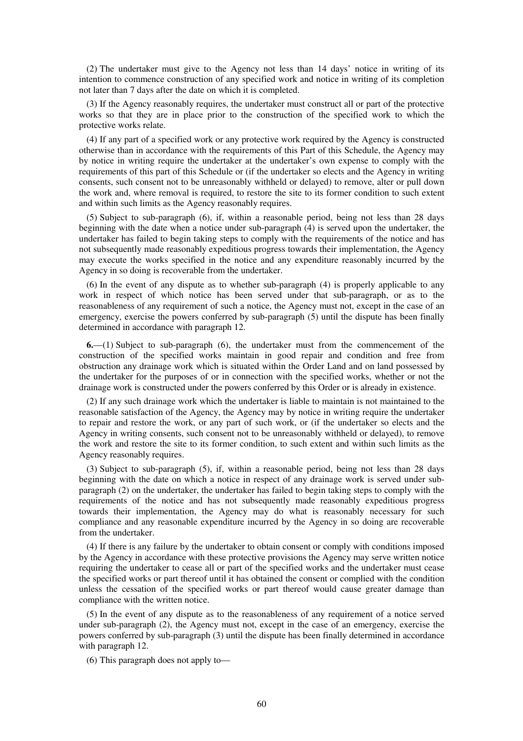(2) The undertaker must give to the Agency not less than 14 days' notice in writing of its intention to commence construction of any specified work and notice in writing of its completion not later than 7 days after the date on which it is completed.

(3) If the Agency reasonably requires, the undertaker must construct all or part of the protective works so that they are in place prior to the construction of the specified work to which the protective works relate.

(4) If any part of a specified work or any protective work required by the Agency is constructed otherwise than in accordance with the requirements of this Part of this Schedule, the Agency may by notice in writing require the undertaker at the undertaker's own expense to comply with the requirements of this part of this Schedule or (if the undertaker so elects and the Agency in writing consents, such consent not to be unreasonably withheld or delayed) to remove, alter or pull down the work and, where removal is required, to restore the site to its former condition to such extent and within such limits as the Agency reasonably requires.

(5) Subject to sub-paragraph (6), if, within a reasonable period, being not less than 28 days beginning with the date when a notice under sub-paragraph (4) is served upon the undertaker, the undertaker has failed to begin taking steps to comply with the requirements of the notice and has not subsequently made reasonably expeditious progress towards their implementation, the Agency may execute the works specified in the notice and any expenditure reasonably incurred by the Agency in so doing is recoverable from the undertaker.

(6) In the event of any dispute as to whether sub-paragraph (4) is properly applicable to any work in respect of which notice has been served under that sub-paragraph, or as to the reasonableness of any requirement of such a notice, the Agency must not, except in the case of an emergency, exercise the powers conferred by sub-paragraph (5) until the dispute has been finally determined in accordance with paragraph 12.

**6.**—(1) Subject to sub-paragraph (6), the undertaker must from the commencement of the construction of the specified works maintain in good repair and condition and free from obstruction any drainage work which is situated within the Order Land and on land possessed by the undertaker for the purposes of or in connection with the specified works, whether or not the drainage work is constructed under the powers conferred by this Order or is already in existence.

(2) If any such drainage work which the undertaker is liable to maintain is not maintained to the reasonable satisfaction of the Agency, the Agency may by notice in writing require the undertaker to repair and restore the work, or any part of such work, or (if the undertaker so elects and the Agency in writing consents, such consent not to be unreasonably withheld or delayed), to remove the work and restore the site to its former condition, to such extent and within such limits as the Agency reasonably requires.

(3) Subject to sub-paragraph (5), if, within a reasonable period, being not less than 28 days beginning with the date on which a notice in respect of any drainage work is served under subparagraph (2) on the undertaker, the undertaker has failed to begin taking steps to comply with the requirements of the notice and has not subsequently made reasonably expeditious progress towards their implementation, the Agency may do what is reasonably necessary for such compliance and any reasonable expenditure incurred by the Agency in so doing are recoverable from the undertaker.

(4) If there is any failure by the undertaker to obtain consent or comply with conditions imposed by the Agency in accordance with these protective provisions the Agency may serve written notice requiring the undertaker to cease all or part of the specified works and the undertaker must cease the specified works or part thereof until it has obtained the consent or complied with the condition unless the cessation of the specified works or part thereof would cause greater damage than compliance with the written notice.

(5) In the event of any dispute as to the reasonableness of any requirement of a notice served under sub-paragraph (2), the Agency must not, except in the case of an emergency, exercise the powers conferred by sub-paragraph (3) until the dispute has been finally determined in accordance with paragraph 12.

(6) This paragraph does not apply to—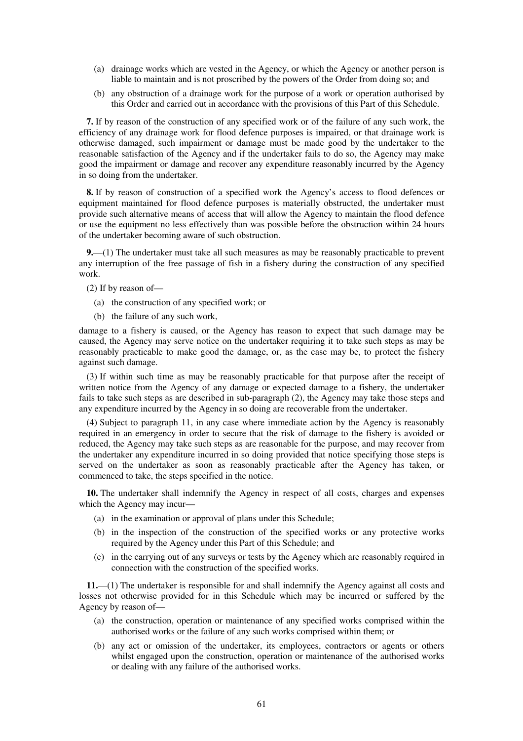- (a) drainage works which are vested in the Agency, or which the Agency or another person is liable to maintain and is not proscribed by the powers of the Order from doing so; and
- (b) any obstruction of a drainage work for the purpose of a work or operation authorised by this Order and carried out in accordance with the provisions of this Part of this Schedule.

**7.** If by reason of the construction of any specified work or of the failure of any such work, the efficiency of any drainage work for flood defence purposes is impaired, or that drainage work is otherwise damaged, such impairment or damage must be made good by the undertaker to the reasonable satisfaction of the Agency and if the undertaker fails to do so, the Agency may make good the impairment or damage and recover any expenditure reasonably incurred by the Agency in so doing from the undertaker.

**8.** If by reason of construction of a specified work the Agency's access to flood defences or equipment maintained for flood defence purposes is materially obstructed, the undertaker must provide such alternative means of access that will allow the Agency to maintain the flood defence or use the equipment no less effectively than was possible before the obstruction within 24 hours of the undertaker becoming aware of such obstruction.

**9.**—(1) The undertaker must take all such measures as may be reasonably practicable to prevent any interruption of the free passage of fish in a fishery during the construction of any specified work.

(2) If by reason of—

- (a) the construction of any specified work; or
- (b) the failure of any such work,

damage to a fishery is caused, or the Agency has reason to expect that such damage may be caused, the Agency may serve notice on the undertaker requiring it to take such steps as may be reasonably practicable to make good the damage, or, as the case may be, to protect the fishery against such damage.

(3) If within such time as may be reasonably practicable for that purpose after the receipt of written notice from the Agency of any damage or expected damage to a fishery, the undertaker fails to take such steps as are described in sub-paragraph (2), the Agency may take those steps and any expenditure incurred by the Agency in so doing are recoverable from the undertaker.

(4) Subject to paragraph 11, in any case where immediate action by the Agency is reasonably required in an emergency in order to secure that the risk of damage to the fishery is avoided or reduced, the Agency may take such steps as are reasonable for the purpose, and may recover from the undertaker any expenditure incurred in so doing provided that notice specifying those steps is served on the undertaker as soon as reasonably practicable after the Agency has taken, or commenced to take, the steps specified in the notice.

**10.** The undertaker shall indemnify the Agency in respect of all costs, charges and expenses which the Agency may incur—

- (a) in the examination or approval of plans under this Schedule;
- (b) in the inspection of the construction of the specified works or any protective works required by the Agency under this Part of this Schedule; and
- (c) in the carrying out of any surveys or tests by the Agency which are reasonably required in connection with the construction of the specified works.

**11.**—(1) The undertaker is responsible for and shall indemnify the Agency against all costs and losses not otherwise provided for in this Schedule which may be incurred or suffered by the Agency by reason of—

- (a) the construction, operation or maintenance of any specified works comprised within the authorised works or the failure of any such works comprised within them; or
- (b) any act or omission of the undertaker, its employees, contractors or agents or others whilst engaged upon the construction, operation or maintenance of the authorised works or dealing with any failure of the authorised works.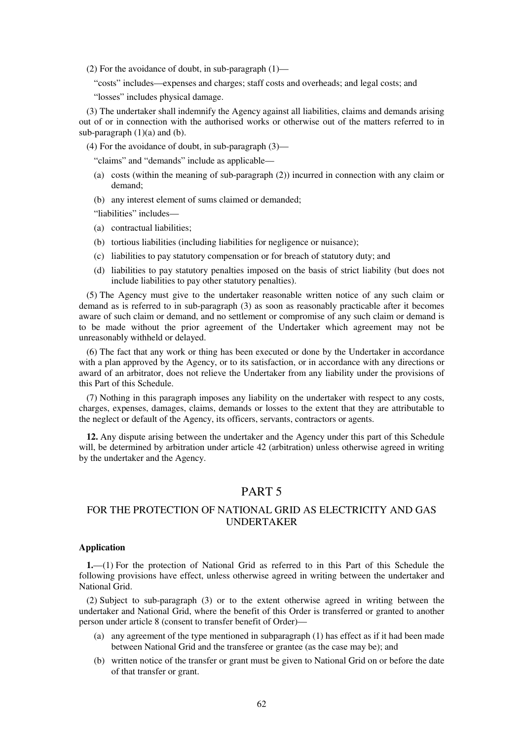(2) For the avoidance of doubt, in sub-paragraph  $(1)$ —

"costs" includes—expenses and charges; staff costs and overheads; and legal costs; and

"losses" includes physical damage.

(3) The undertaker shall indemnify the Agency against all liabilities, claims and demands arising out of or in connection with the authorised works or otherwise out of the matters referred to in sub-paragraph  $(1)(a)$  and  $(b)$ .

(4) For the avoidance of doubt, in sub-paragraph (3)—

"claims" and "demands" include as applicable—

- (a) costs (within the meaning of sub-paragraph (2)) incurred in connection with any claim or demand;
- (b) any interest element of sums claimed or demanded;

"liabilities" includes—

- (a) contractual liabilities;
- (b) tortious liabilities (including liabilities for negligence or nuisance);
- (c) liabilities to pay statutory compensation or for breach of statutory duty; and
- (d) liabilities to pay statutory penalties imposed on the basis of strict liability (but does not include liabilities to pay other statutory penalties).

(5) The Agency must give to the undertaker reasonable written notice of any such claim or demand as is referred to in sub-paragraph (3) as soon as reasonably practicable after it becomes aware of such claim or demand, and no settlement or compromise of any such claim or demand is to be made without the prior agreement of the Undertaker which agreement may not be unreasonably withheld or delayed.

(6) The fact that any work or thing has been executed or done by the Undertaker in accordance with a plan approved by the Agency, or to its satisfaction, or in accordance with any directions or award of an arbitrator, does not relieve the Undertaker from any liability under the provisions of this Part of this Schedule.

(7) Nothing in this paragraph imposes any liability on the undertaker with respect to any costs, charges, expenses, damages, claims, demands or losses to the extent that they are attributable to the neglect or default of the Agency, its officers, servants, contractors or agents.

**12.** Any dispute arising between the undertaker and the Agency under this part of this Schedule will, be determined by arbitration under article 42 (arbitration) unless otherwise agreed in writing by the undertaker and the Agency.

### PART 5

### FOR THE PROTECTION OF NATIONAL GRID AS ELECTRICITY AND GAS UNDERTAKER

#### **Application**

**1.**—(1) For the protection of National Grid as referred to in this Part of this Schedule the following provisions have effect, unless otherwise agreed in writing between the undertaker and National Grid.

(2) Subject to sub-paragraph (3) or to the extent otherwise agreed in writing between the undertaker and National Grid, where the benefit of this Order is transferred or granted to another person under article 8 (consent to transfer benefit of Order)—

- (a) any agreement of the type mentioned in subparagraph (1) has effect as if it had been made between National Grid and the transferee or grantee (as the case may be); and
- (b) written notice of the transfer or grant must be given to National Grid on or before the date of that transfer or grant.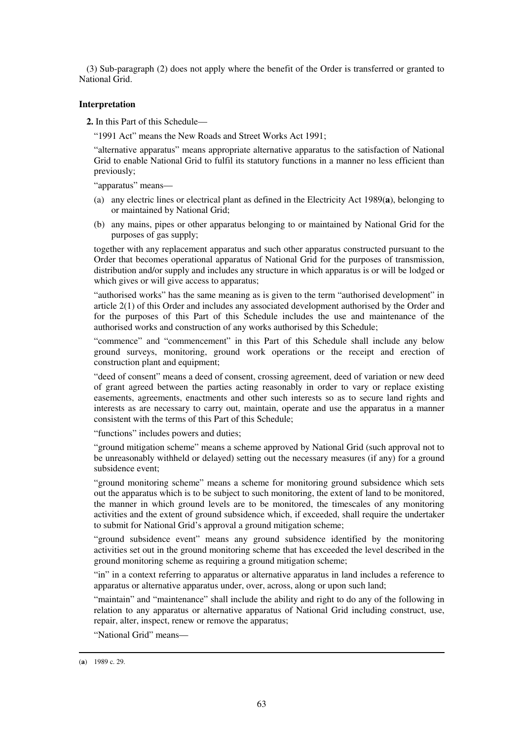(3) Sub-paragraph (2) does not apply where the benefit of the Order is transferred or granted to National Grid.

#### **Interpretation**

**2.** In this Part of this Schedule—

"1991 Act" means the New Roads and Street Works Act 1991;

"alternative apparatus" means appropriate alternative apparatus to the satisfaction of National Grid to enable National Grid to fulfil its statutory functions in a manner no less efficient than previously;

"apparatus" means—

- (a) any electric lines or electrical plant as defined in the Electricity Act 1989(**a**), belonging to or maintained by National Grid;
- (b) any mains, pipes or other apparatus belonging to or maintained by National Grid for the purposes of gas supply;

together with any replacement apparatus and such other apparatus constructed pursuant to the Order that becomes operational apparatus of National Grid for the purposes of transmission, distribution and/or supply and includes any structure in which apparatus is or will be lodged or which gives or will give access to apparatus;

"authorised works" has the same meaning as is given to the term "authorised development" in article 2(1) of this Order and includes any associated development authorised by the Order and for the purposes of this Part of this Schedule includes the use and maintenance of the authorised works and construction of any works authorised by this Schedule;

"commence" and "commencement" in this Part of this Schedule shall include any below ground surveys, monitoring, ground work operations or the receipt and erection of construction plant and equipment;

"deed of consent" means a deed of consent, crossing agreement, deed of variation or new deed of grant agreed between the parties acting reasonably in order to vary or replace existing easements, agreements, enactments and other such interests so as to secure land rights and interests as are necessary to carry out, maintain, operate and use the apparatus in a manner consistent with the terms of this Part of this Schedule;

"functions" includes powers and duties;

"ground mitigation scheme" means a scheme approved by National Grid (such approval not to be unreasonably withheld or delayed) setting out the necessary measures (if any) for a ground subsidence event;

"ground monitoring scheme" means a scheme for monitoring ground subsidence which sets out the apparatus which is to be subject to such monitoring, the extent of land to be monitored, the manner in which ground levels are to be monitored, the timescales of any monitoring activities and the extent of ground subsidence which, if exceeded, shall require the undertaker to submit for National Grid's approval a ground mitigation scheme;

"ground subsidence event" means any ground subsidence identified by the monitoring activities set out in the ground monitoring scheme that has exceeded the level described in the ground monitoring scheme as requiring a ground mitigation scheme;

"in" in a context referring to apparatus or alternative apparatus in land includes a reference to apparatus or alternative apparatus under, over, across, along or upon such land;

"maintain" and "maintenance" shall include the ability and right to do any of the following in relation to any apparatus or alternative apparatus of National Grid including construct, use, repair, alter, inspect, renew or remove the apparatus;

"National Grid" means—

<sup>(</sup>**a**) 1989 c. 29.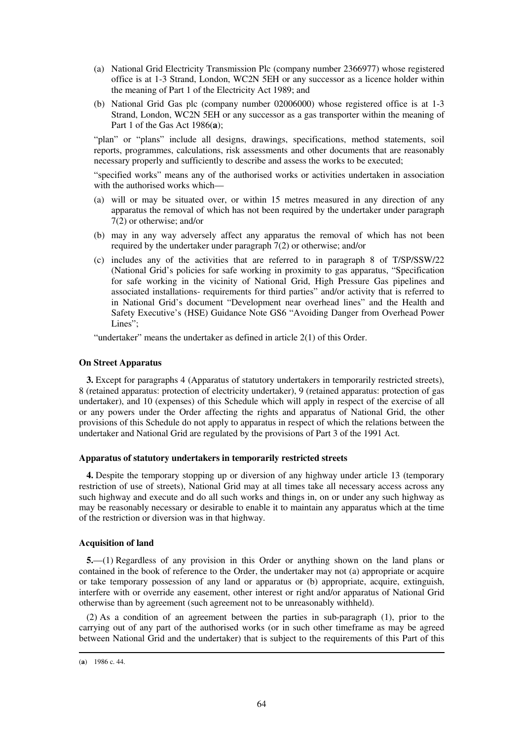- (a) National Grid Electricity Transmission Plc (company number 2366977) whose registered office is at 1-3 Strand, London, WC2N 5EH or any successor as a licence holder within the meaning of Part 1 of the Electricity Act 1989; and
- (b) National Grid Gas plc (company number 02006000) whose registered office is at 1-3 Strand, London, WC2N 5EH or any successor as a gas transporter within the meaning of Part 1 of the Gas Act 1986(**a**);

"plan" or "plans" include all designs, drawings, specifications, method statements, soil reports, programmes, calculations, risk assessments and other documents that are reasonably necessary properly and sufficiently to describe and assess the works to be executed;

"specified works" means any of the authorised works or activities undertaken in association with the authorised works which—

- (a) will or may be situated over, or within 15 metres measured in any direction of any apparatus the removal of which has not been required by the undertaker under paragraph 7(2) or otherwise; and/or
- (b) may in any way adversely affect any apparatus the removal of which has not been required by the undertaker under paragraph 7(2) or otherwise; and/or
- (c) includes any of the activities that are referred to in paragraph 8 of T/SP/SSW/22 (National Grid's policies for safe working in proximity to gas apparatus, "Specification for safe working in the vicinity of National Grid, High Pressure Gas pipelines and associated installations- requirements for third parties" and/or activity that is referred to in National Grid's document "Development near overhead lines" and the Health and Safety Executive's (HSE) Guidance Note GS6 "Avoiding Danger from Overhead Power Lines":

"undertaker" means the undertaker as defined in article 2(1) of this Order.

#### **On Street Apparatus**

**3.** Except for paragraphs 4 (Apparatus of statutory undertakers in temporarily restricted streets), 8 (retained apparatus: protection of electricity undertaker), 9 (retained apparatus: protection of gas undertaker), and 10 (expenses) of this Schedule which will apply in respect of the exercise of all or any powers under the Order affecting the rights and apparatus of National Grid, the other provisions of this Schedule do not apply to apparatus in respect of which the relations between the undertaker and National Grid are regulated by the provisions of Part 3 of the 1991 Act.

#### **Apparatus of statutory undertakers in temporarily restricted streets**

**4.** Despite the temporary stopping up or diversion of any highway under article 13 (temporary restriction of use of streets), National Grid may at all times take all necessary access across any such highway and execute and do all such works and things in, on or under any such highway as may be reasonably necessary or desirable to enable it to maintain any apparatus which at the time of the restriction or diversion was in that highway.

#### **Acquisition of land**

**5.**—(1) Regardless of any provision in this Order or anything shown on the land plans or contained in the book of reference to the Order, the undertaker may not (a) appropriate or acquire or take temporary possession of any land or apparatus or (b) appropriate, acquire, extinguish, interfere with or override any easement, other interest or right and/or apparatus of National Grid otherwise than by agreement (such agreement not to be unreasonably withheld).

(2) As a condition of an agreement between the parties in sub-paragraph (1), prior to the carrying out of any part of the authorised works (or in such other timeframe as may be agreed between National Grid and the undertaker) that is subject to the requirements of this Part of this

<sup>(</sup>**a**) 1986 c. 44.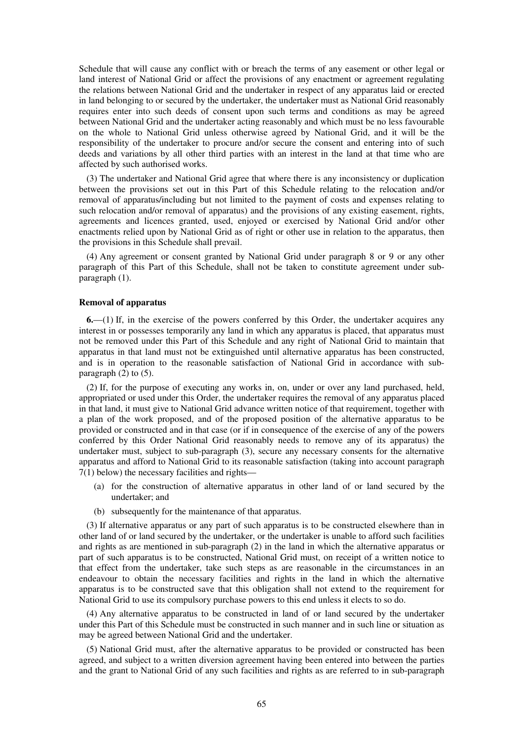Schedule that will cause any conflict with or breach the terms of any easement or other legal or land interest of National Grid or affect the provisions of any enactment or agreement regulating the relations between National Grid and the undertaker in respect of any apparatus laid or erected in land belonging to or secured by the undertaker, the undertaker must as National Grid reasonably requires enter into such deeds of consent upon such terms and conditions as may be agreed between National Grid and the undertaker acting reasonably and which must be no less favourable on the whole to National Grid unless otherwise agreed by National Grid, and it will be the responsibility of the undertaker to procure and/or secure the consent and entering into of such deeds and variations by all other third parties with an interest in the land at that time who are affected by such authorised works.

(3) The undertaker and National Grid agree that where there is any inconsistency or duplication between the provisions set out in this Part of this Schedule relating to the relocation and/or removal of apparatus/including but not limited to the payment of costs and expenses relating to such relocation and/or removal of apparatus) and the provisions of any existing easement, rights, agreements and licences granted, used, enjoyed or exercised by National Grid and/or other enactments relied upon by National Grid as of right or other use in relation to the apparatus, then the provisions in this Schedule shall prevail.

(4) Any agreement or consent granted by National Grid under paragraph 8 or 9 or any other paragraph of this Part of this Schedule, shall not be taken to constitute agreement under subparagraph (1).

#### **Removal of apparatus**

**6.**—(1) If, in the exercise of the powers conferred by this Order, the undertaker acquires any interest in or possesses temporarily any land in which any apparatus is placed, that apparatus must not be removed under this Part of this Schedule and any right of National Grid to maintain that apparatus in that land must not be extinguished until alternative apparatus has been constructed, and is in operation to the reasonable satisfaction of National Grid in accordance with subparagraph  $(2)$  to  $(5)$ .

(2) If, for the purpose of executing any works in, on, under or over any land purchased, held, appropriated or used under this Order, the undertaker requires the removal of any apparatus placed in that land, it must give to National Grid advance written notice of that requirement, together with a plan of the work proposed, and of the proposed position of the alternative apparatus to be provided or constructed and in that case (or if in consequence of the exercise of any of the powers conferred by this Order National Grid reasonably needs to remove any of its apparatus) the undertaker must, subject to sub-paragraph (3), secure any necessary consents for the alternative apparatus and afford to National Grid to its reasonable satisfaction (taking into account paragraph 7(1) below) the necessary facilities and rights—

- (a) for the construction of alternative apparatus in other land of or land secured by the undertaker; and
- (b) subsequently for the maintenance of that apparatus.

(3) If alternative apparatus or any part of such apparatus is to be constructed elsewhere than in other land of or land secured by the undertaker, or the undertaker is unable to afford such facilities and rights as are mentioned in sub-paragraph (2) in the land in which the alternative apparatus or part of such apparatus is to be constructed, National Grid must, on receipt of a written notice to that effect from the undertaker, take such steps as are reasonable in the circumstances in an endeavour to obtain the necessary facilities and rights in the land in which the alternative apparatus is to be constructed save that this obligation shall not extend to the requirement for National Grid to use its compulsory purchase powers to this end unless it elects to so do.

(4) Any alternative apparatus to be constructed in land of or land secured by the undertaker under this Part of this Schedule must be constructed in such manner and in such line or situation as may be agreed between National Grid and the undertaker.

(5) National Grid must, after the alternative apparatus to be provided or constructed has been agreed, and subject to a written diversion agreement having been entered into between the parties and the grant to National Grid of any such facilities and rights as are referred to in sub-paragraph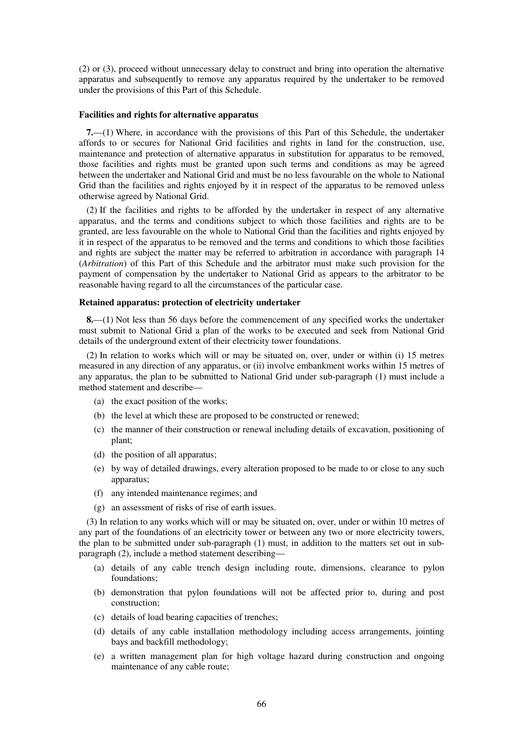(2) or (3), proceed without unnecessary delay to construct and bring into operation the alternative apparatus and subsequently to remove any apparatus required by the undertaker to be removed under the provisions of this Part of this Schedule.

#### **Facilities and rights for alternative apparatus**

**7.**—(1) Where, in accordance with the provisions of this Part of this Schedule, the undertaker affords to or secures for National Grid facilities and rights in land for the construction, use, maintenance and protection of alternative apparatus in substitution for apparatus to be removed, those facilities and rights must be granted upon such terms and conditions as may be agreed between the undertaker and National Grid and must be no less favourable on the whole to National Grid than the facilities and rights enjoyed by it in respect of the apparatus to be removed unless otherwise agreed by National Grid.

(2) If the facilities and rights to be afforded by the undertaker in respect of any alternative apparatus, and the terms and conditions subject to which those facilities and rights are to be granted, are less favourable on the whole to National Grid than the facilities and rights enjoyed by it in respect of the apparatus to be removed and the terms and conditions to which those facilities and rights are subject the matter may be referred to arbitration in accordance with paragraph 14 (*Arbitration*) of this Part of this Schedule and the arbitrator must make such provision for the payment of compensation by the undertaker to National Grid as appears to the arbitrator to be reasonable having regard to all the circumstances of the particular case.

#### **Retained apparatus: protection of electricity undertaker**

**8.**—(1) Not less than 56 days before the commencement of any specified works the undertaker must submit to National Grid a plan of the works to be executed and seek from National Grid details of the underground extent of their electricity tower foundations.

(2) In relation to works which will or may be situated on, over, under or within (i) 15 metres measured in any direction of any apparatus, or (ii) involve embankment works within 15 metres of any apparatus, the plan to be submitted to National Grid under sub-paragraph (1) must include a method statement and describe—

- (a) the exact position of the works;
- (b) the level at which these are proposed to be constructed or renewed;
- (c) the manner of their construction or renewal including details of excavation, positioning of plant;
- (d) the position of all apparatus;
- (e) by way of detailed drawings, every alteration proposed to be made to or close to any such apparatus;
- (f) any intended maintenance regimes; and
- (g) an assessment of risks of rise of earth issues.

(3) In relation to any works which will or may be situated on, over, under or within 10 metres of any part of the foundations of an electricity tower or between any two or more electricity towers, the plan to be submitted under sub-paragraph (1) must, in addition to the matters set out in subparagraph (2), include a method statement describing—

- (a) details of any cable trench design including route, dimensions, clearance to pylon foundations;
- (b) demonstration that pylon foundations will not be affected prior to, during and post construction;
- (c) details of load bearing capacities of trenches;
- (d) details of any cable installation methodology including access arrangements, jointing bays and backfill methodology;
- (e) a written management plan for high voltage hazard during construction and ongoing maintenance of any cable route;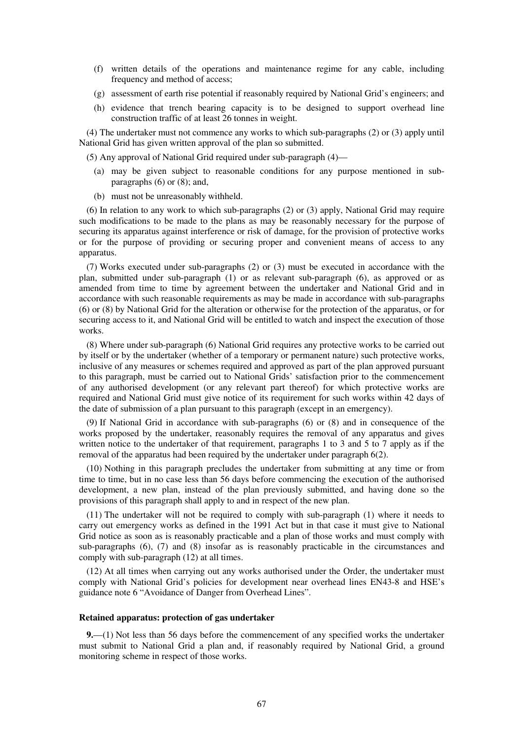- (f) written details of the operations and maintenance regime for any cable, including frequency and method of access;
- (g) assessment of earth rise potential if reasonably required by National Grid's engineers; and
- (h) evidence that trench bearing capacity is to be designed to support overhead line construction traffic of at least 26 tonnes in weight.

(4) The undertaker must not commence any works to which sub-paragraphs (2) or (3) apply until National Grid has given written approval of the plan so submitted.

(5) Any approval of National Grid required under sub-paragraph (4)—

- (a) may be given subject to reasonable conditions for any purpose mentioned in subparagraphs  $(6)$  or  $(8)$ ; and,
- (b) must not be unreasonably withheld.

(6) In relation to any work to which sub-paragraphs (2) or (3) apply, National Grid may require such modifications to be made to the plans as may be reasonably necessary for the purpose of securing its apparatus against interference or risk of damage, for the provision of protective works or for the purpose of providing or securing proper and convenient means of access to any apparatus.

(7) Works executed under sub-paragraphs (2) or (3) must be executed in accordance with the plan, submitted under sub-paragraph (1) or as relevant sub-paragraph (6), as approved or as amended from time to time by agreement between the undertaker and National Grid and in accordance with such reasonable requirements as may be made in accordance with sub-paragraphs (6) or (8) by National Grid for the alteration or otherwise for the protection of the apparatus, or for securing access to it, and National Grid will be entitled to watch and inspect the execution of those works.

(8) Where under sub-paragraph (6) National Grid requires any protective works to be carried out by itself or by the undertaker (whether of a temporary or permanent nature) such protective works, inclusive of any measures or schemes required and approved as part of the plan approved pursuant to this paragraph, must be carried out to National Grids' satisfaction prior to the commencement of any authorised development (or any relevant part thereof) for which protective works are required and National Grid must give notice of its requirement for such works within 42 days of the date of submission of a plan pursuant to this paragraph (except in an emergency).

(9) If National Grid in accordance with sub-paragraphs (6) or (8) and in consequence of the works proposed by the undertaker, reasonably requires the removal of any apparatus and gives written notice to the undertaker of that requirement, paragraphs 1 to 3 and 5 to 7 apply as if the removal of the apparatus had been required by the undertaker under paragraph 6(2).

(10) Nothing in this paragraph precludes the undertaker from submitting at any time or from time to time, but in no case less than 56 days before commencing the execution of the authorised development, a new plan, instead of the plan previously submitted, and having done so the provisions of this paragraph shall apply to and in respect of the new plan.

(11) The undertaker will not be required to comply with sub-paragraph (1) where it needs to carry out emergency works as defined in the 1991 Act but in that case it must give to National Grid notice as soon as is reasonably practicable and a plan of those works and must comply with sub-paragraphs (6), (7) and (8) insofar as is reasonably practicable in the circumstances and comply with sub-paragraph (12) at all times.

(12) At all times when carrying out any works authorised under the Order, the undertaker must comply with National Grid's policies for development near overhead lines EN43-8 and HSE's guidance note 6 "Avoidance of Danger from Overhead Lines".

#### **Retained apparatus: protection of gas undertaker**

**9.**—(1) Not less than 56 days before the commencement of any specified works the undertaker must submit to National Grid a plan and, if reasonably required by National Grid, a ground monitoring scheme in respect of those works.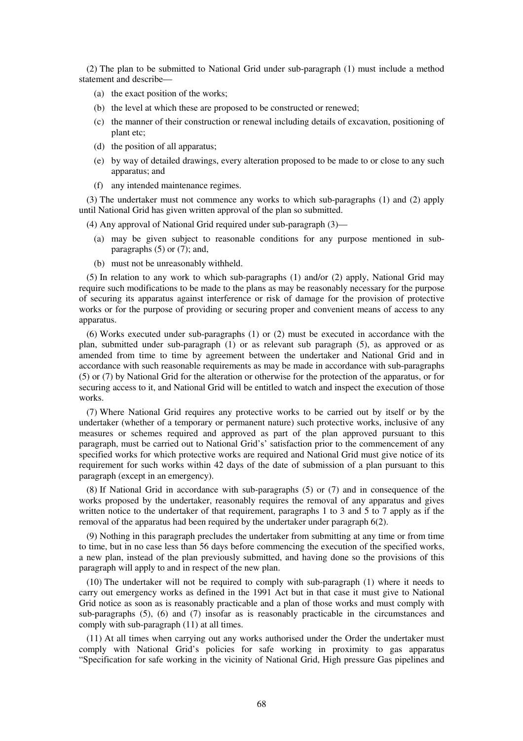(2) The plan to be submitted to National Grid under sub-paragraph (1) must include a method statement and describe—

- (a) the exact position of the works;
- (b) the level at which these are proposed to be constructed or renewed;
- (c) the manner of their construction or renewal including details of excavation, positioning of plant etc;
- (d) the position of all apparatus;
- (e) by way of detailed drawings, every alteration proposed to be made to or close to any such apparatus; and
- (f) any intended maintenance regimes.

(3) The undertaker must not commence any works to which sub-paragraphs (1) and (2) apply until National Grid has given written approval of the plan so submitted.

(4) Any approval of National Grid required under sub-paragraph (3)—

- (a) may be given subject to reasonable conditions for any purpose mentioned in subparagraphs  $(5)$  or  $(7)$ ; and,
- (b) must not be unreasonably withheld.

(5) In relation to any work to which sub-paragraphs (1) and/or (2) apply, National Grid may require such modifications to be made to the plans as may be reasonably necessary for the purpose of securing its apparatus against interference or risk of damage for the provision of protective works or for the purpose of providing or securing proper and convenient means of access to any apparatus.

(6) Works executed under sub-paragraphs (1) or (2) must be executed in accordance with the plan, submitted under sub-paragraph  $(1)$  or as relevant sub paragraph  $(5)$ , as approved or as amended from time to time by agreement between the undertaker and National Grid and in accordance with such reasonable requirements as may be made in accordance with sub-paragraphs (5) or (7) by National Grid for the alteration or otherwise for the protection of the apparatus, or for securing access to it, and National Grid will be entitled to watch and inspect the execution of those works.

(7) Where National Grid requires any protective works to be carried out by itself or by the undertaker (whether of a temporary or permanent nature) such protective works, inclusive of any measures or schemes required and approved as part of the plan approved pursuant to this paragraph, must be carried out to National Grid's' satisfaction prior to the commencement of any specified works for which protective works are required and National Grid must give notice of its requirement for such works within 42 days of the date of submission of a plan pursuant to this paragraph (except in an emergency).

(8) If National Grid in accordance with sub-paragraphs (5) or (7) and in consequence of the works proposed by the undertaker, reasonably requires the removal of any apparatus and gives written notice to the undertaker of that requirement, paragraphs 1 to 3 and 5 to 7 apply as if the removal of the apparatus had been required by the undertaker under paragraph 6(2).

(9) Nothing in this paragraph precludes the undertaker from submitting at any time or from time to time, but in no case less than 56 days before commencing the execution of the specified works, a new plan, instead of the plan previously submitted, and having done so the provisions of this paragraph will apply to and in respect of the new plan.

(10) The undertaker will not be required to comply with sub-paragraph (1) where it needs to carry out emergency works as defined in the 1991 Act but in that case it must give to National Grid notice as soon as is reasonably practicable and a plan of those works and must comply with sub-paragraphs (5), (6) and (7) insofar as is reasonably practicable in the circumstances and comply with sub-paragraph (11) at all times.

(11) At all times when carrying out any works authorised under the Order the undertaker must comply with National Grid's policies for safe working in proximity to gas apparatus "Specification for safe working in the vicinity of National Grid, High pressure Gas pipelines and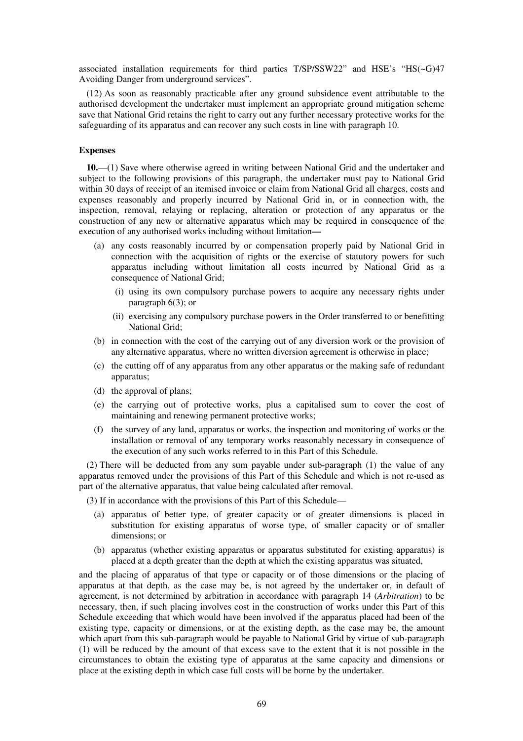associated installation requirements for third parties T/SP/SSW22" and HSE's "HS(~G)47 Avoiding Danger from underground services".

(12) As soon as reasonably practicable after any ground subsidence event attributable to the authorised development the undertaker must implement an appropriate ground mitigation scheme save that National Grid retains the right to carry out any further necessary protective works for the safeguarding of its apparatus and can recover any such costs in line with paragraph 10.

### **Expenses**

**10.**—(1) Save where otherwise agreed in writing between National Grid and the undertaker and subject to the following provisions of this paragraph, the undertaker must pay to National Grid within 30 days of receipt of an itemised invoice or claim from National Grid all charges, costs and expenses reasonably and properly incurred by National Grid in, or in connection with, the inspection, removal, relaying or replacing, alteration or protection of any apparatus or the construction of any new or alternative apparatus which may be required in consequence of the execution of any authorised works including without limitation**—**

- (a) any costs reasonably incurred by or compensation properly paid by National Grid in connection with the acquisition of rights or the exercise of statutory powers for such apparatus including without limitation all costs incurred by National Grid as a consequence of National Grid;
	- (i) using its own compulsory purchase powers to acquire any necessary rights under paragraph 6(3); or
	- (ii) exercising any compulsory purchase powers in the Order transferred to or benefitting National Grid;
- (b) in connection with the cost of the carrying out of any diversion work or the provision of any alternative apparatus, where no written diversion agreement is otherwise in place;
- (c) the cutting off of any apparatus from any other apparatus or the making safe of redundant apparatus;
- (d) the approval of plans;
- (e) the carrying out of protective works, plus a capitalised sum to cover the cost of maintaining and renewing permanent protective works;
- (f) the survey of any land, apparatus or works, the inspection and monitoring of works or the installation or removal of any temporary works reasonably necessary in consequence of the execution of any such works referred to in this Part of this Schedule.

(2) There will be deducted from any sum payable under sub-paragraph (1) the value of any apparatus removed under the provisions of this Part of this Schedule and which is not re-used as part of the alternative apparatus, that value being calculated after removal.

(3) If in accordance with the provisions of this Part of this Schedule—

- (a) apparatus of better type, of greater capacity or of greater dimensions is placed in substitution for existing apparatus of worse type, of smaller capacity or of smaller dimensions; or
- (b) apparatus (whether existing apparatus or apparatus substituted for existing apparatus) is placed at a depth greater than the depth at which the existing apparatus was situated,

and the placing of apparatus of that type or capacity or of those dimensions or the placing of apparatus at that depth, as the case may be, is not agreed by the undertaker or, in default of agreement, is not determined by arbitration in accordance with paragraph 14 (*Arbitration*) to be necessary, then, if such placing involves cost in the construction of works under this Part of this Schedule exceeding that which would have been involved if the apparatus placed had been of the existing type, capacity or dimensions, or at the existing depth, as the case may be, the amount which apart from this sub-paragraph would be payable to National Grid by virtue of sub-paragraph (1) will be reduced by the amount of that excess save to the extent that it is not possible in the circumstances to obtain the existing type of apparatus at the same capacity and dimensions or place at the existing depth in which case full costs will be borne by the undertaker.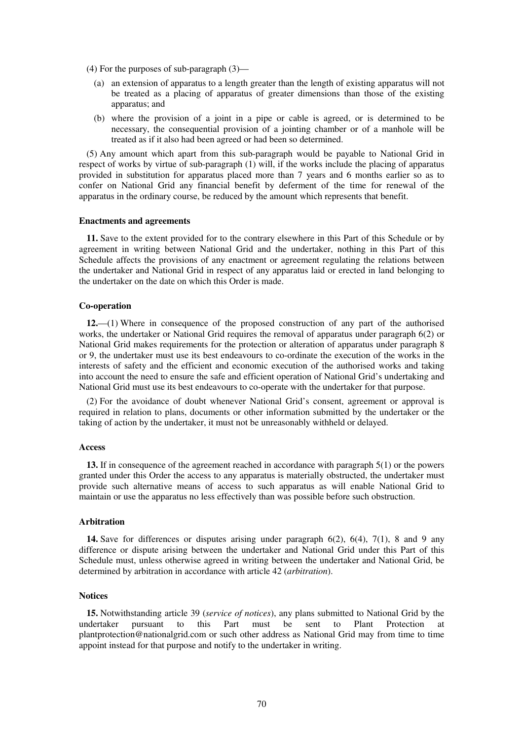- (4) For the purposes of sub-paragraph (3)—
	- (a) an extension of apparatus to a length greater than the length of existing apparatus will not be treated as a placing of apparatus of greater dimensions than those of the existing apparatus; and
	- (b) where the provision of a joint in a pipe or cable is agreed, or is determined to be necessary, the consequential provision of a jointing chamber or of a manhole will be treated as if it also had been agreed or had been so determined.

(5) Any amount which apart from this sub-paragraph would be payable to National Grid in respect of works by virtue of sub-paragraph (1) will, if the works include the placing of apparatus provided in substitution for apparatus placed more than 7 years and 6 months earlier so as to confer on National Grid any financial benefit by deferment of the time for renewal of the apparatus in the ordinary course, be reduced by the amount which represents that benefit.

#### **Enactments and agreements**

**11.** Save to the extent provided for to the contrary elsewhere in this Part of this Schedule or by agreement in writing between National Grid and the undertaker, nothing in this Part of this Schedule affects the provisions of any enactment or agreement regulating the relations between the undertaker and National Grid in respect of any apparatus laid or erected in land belonging to the undertaker on the date on which this Order is made.

#### **Co-operation**

**12.**—(1) Where in consequence of the proposed construction of any part of the authorised works, the undertaker or National Grid requires the removal of apparatus under paragraph 6(2) or National Grid makes requirements for the protection or alteration of apparatus under paragraph 8 or 9, the undertaker must use its best endeavours to co-ordinate the execution of the works in the interests of safety and the efficient and economic execution of the authorised works and taking into account the need to ensure the safe and efficient operation of National Grid's undertaking and National Grid must use its best endeavours to co-operate with the undertaker for that purpose.

(2) For the avoidance of doubt whenever National Grid's consent, agreement or approval is required in relation to plans, documents or other information submitted by the undertaker or the taking of action by the undertaker, it must not be unreasonably withheld or delayed.

### **Access**

**13.** If in consequence of the agreement reached in accordance with paragraph 5(1) or the powers granted under this Order the access to any apparatus is materially obstructed, the undertaker must provide such alternative means of access to such apparatus as will enable National Grid to maintain or use the apparatus no less effectively than was possible before such obstruction.

#### **Arbitration**

**14.** Save for differences or disputes arising under paragraph 6(2), 6(4), 7(1), 8 and 9 any difference or dispute arising between the undertaker and National Grid under this Part of this Schedule must, unless otherwise agreed in writing between the undertaker and National Grid, be determined by arbitration in accordance with article 42 (*arbitration*).

#### **Notices**

**15.** Notwithstanding article 39 (*service of notices*), any plans submitted to National Grid by the undertaker pursuant to this Part must be sent to Plant Protection at plantprotection@nationalgrid.com or such other address as National Grid may from time to time appoint instead for that purpose and notify to the undertaker in writing.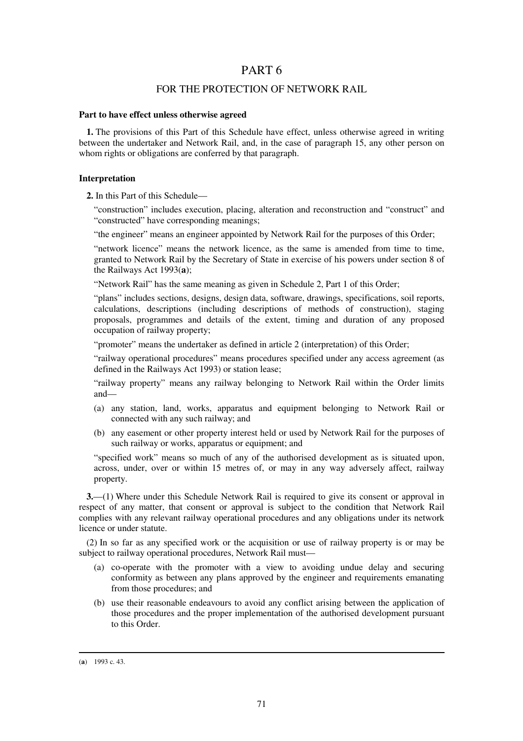# PART 6

### FOR THE PROTECTION OF NETWORK RAIL

#### **Part to have effect unless otherwise agreed**

**1.** The provisions of this Part of this Schedule have effect, unless otherwise agreed in writing between the undertaker and Network Rail, and, in the case of paragraph 15, any other person on whom rights or obligations are conferred by that paragraph.

#### **Interpretation**

**2.** In this Part of this Schedule—

"construction" includes execution, placing, alteration and reconstruction and "construct" and "constructed" have corresponding meanings;

"the engineer" means an engineer appointed by Network Rail for the purposes of this Order;

"network licence" means the network licence, as the same is amended from time to time, granted to Network Rail by the Secretary of State in exercise of his powers under section 8 of the Railways Act 1993(**a**);

"Network Rail" has the same meaning as given in Schedule 2, Part 1 of this Order;

"plans" includes sections, designs, design data, software, drawings, specifications, soil reports, calculations, descriptions (including descriptions of methods of construction), staging proposals, programmes and details of the extent, timing and duration of any proposed occupation of railway property;

"promoter" means the undertaker as defined in article 2 (interpretation) of this Order;

"railway operational procedures" means procedures specified under any access agreement (as defined in the Railways Act 1993) or station lease;

"railway property" means any railway belonging to Network Rail within the Order limits and—

- (a) any station, land, works, apparatus and equipment belonging to Network Rail or connected with any such railway; and
- (b) any easement or other property interest held or used by Network Rail for the purposes of such railway or works, apparatus or equipment; and

"specified work" means so much of any of the authorised development as is situated upon, across, under, over or within 15 metres of, or may in any way adversely affect, railway property.

**3.**—(1) Where under this Schedule Network Rail is required to give its consent or approval in respect of any matter, that consent or approval is subject to the condition that Network Rail complies with any relevant railway operational procedures and any obligations under its network licence or under statute.

(2) In so far as any specified work or the acquisition or use of railway property is or may be subject to railway operational procedures, Network Rail must—

- (a) co-operate with the promoter with a view to avoiding undue delay and securing conformity as between any plans approved by the engineer and requirements emanating from those procedures; and
- (b) use their reasonable endeavours to avoid any conflict arising between the application of those procedures and the proper implementation of the authorised development pursuant to this Order.

<sup>(</sup>**a**) 1993 c. 43.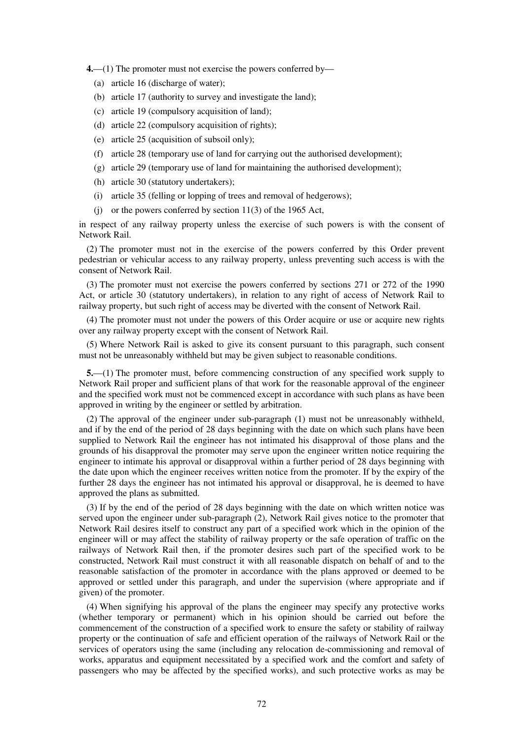**4.**—(1) The promoter must not exercise the powers conferred by—

- (a) article 16 (discharge of water);
- (b) article 17 (authority to survey and investigate the land);
- (c) article 19 (compulsory acquisition of land);
- (d) article 22 (compulsory acquisition of rights);
- (e) article 25 (acquisition of subsoil only);
- (f) article 28 (temporary use of land for carrying out the authorised development);
- (g) article 29 (temporary use of land for maintaining the authorised development);
- (h) article 30 (statutory undertakers);
- (i) article 35 (felling or lopping of trees and removal of hedgerows);
- (i) or the powers conferred by section  $11(3)$  of the 1965 Act,

in respect of any railway property unless the exercise of such powers is with the consent of Network Rail.

(2) The promoter must not in the exercise of the powers conferred by this Order prevent pedestrian or vehicular access to any railway property, unless preventing such access is with the consent of Network Rail.

(3) The promoter must not exercise the powers conferred by sections 271 or 272 of the 1990 Act, or article 30 (statutory undertakers), in relation to any right of access of Network Rail to railway property, but such right of access may be diverted with the consent of Network Rail.

(4) The promoter must not under the powers of this Order acquire or use or acquire new rights over any railway property except with the consent of Network Rail.

(5) Where Network Rail is asked to give its consent pursuant to this paragraph, such consent must not be unreasonably withheld but may be given subject to reasonable conditions.

**5.**—(1) The promoter must, before commencing construction of any specified work supply to Network Rail proper and sufficient plans of that work for the reasonable approval of the engineer and the specified work must not be commenced except in accordance with such plans as have been approved in writing by the engineer or settled by arbitration.

(2) The approval of the engineer under sub-paragraph (1) must not be unreasonably withheld, and if by the end of the period of 28 days beginning with the date on which such plans have been supplied to Network Rail the engineer has not intimated his disapproval of those plans and the grounds of his disapproval the promoter may serve upon the engineer written notice requiring the engineer to intimate his approval or disapproval within a further period of 28 days beginning with the date upon which the engineer receives written notice from the promoter. If by the expiry of the further 28 days the engineer has not intimated his approval or disapproval, he is deemed to have approved the plans as submitted.

(3) If by the end of the period of 28 days beginning with the date on which written notice was served upon the engineer under sub-paragraph (2), Network Rail gives notice to the promoter that Network Rail desires itself to construct any part of a specified work which in the opinion of the engineer will or may affect the stability of railway property or the safe operation of traffic on the railways of Network Rail then, if the promoter desires such part of the specified work to be constructed, Network Rail must construct it with all reasonable dispatch on behalf of and to the reasonable satisfaction of the promoter in accordance with the plans approved or deemed to be approved or settled under this paragraph, and under the supervision (where appropriate and if given) of the promoter.

(4) When signifying his approval of the plans the engineer may specify any protective works (whether temporary or permanent) which in his opinion should be carried out before the commencement of the construction of a specified work to ensure the safety or stability of railway property or the continuation of safe and efficient operation of the railways of Network Rail or the services of operators using the same (including any relocation de-commissioning and removal of works, apparatus and equipment necessitated by a specified work and the comfort and safety of passengers who may be affected by the specified works), and such protective works as may be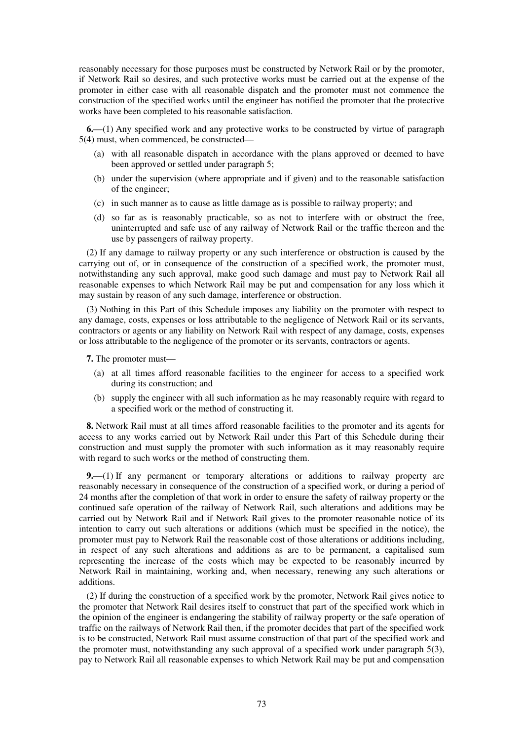reasonably necessary for those purposes must be constructed by Network Rail or by the promoter, if Network Rail so desires, and such protective works must be carried out at the expense of the promoter in either case with all reasonable dispatch and the promoter must not commence the construction of the specified works until the engineer has notified the promoter that the protective works have been completed to his reasonable satisfaction.

**6.**—(1) Any specified work and any protective works to be constructed by virtue of paragraph 5(4) must, when commenced, be constructed—

- (a) with all reasonable dispatch in accordance with the plans approved or deemed to have been approved or settled under paragraph 5;
- (b) under the supervision (where appropriate and if given) and to the reasonable satisfaction of the engineer;
- (c) in such manner as to cause as little damage as is possible to railway property; and
- (d) so far as is reasonably practicable, so as not to interfere with or obstruct the free, uninterrupted and safe use of any railway of Network Rail or the traffic thereon and the use by passengers of railway property.

(2) If any damage to railway property or any such interference or obstruction is caused by the carrying out of, or in consequence of the construction of a specified work, the promoter must, notwithstanding any such approval, make good such damage and must pay to Network Rail all reasonable expenses to which Network Rail may be put and compensation for any loss which it may sustain by reason of any such damage, interference or obstruction.

(3) Nothing in this Part of this Schedule imposes any liability on the promoter with respect to any damage, costs, expenses or loss attributable to the negligence of Network Rail or its servants, contractors or agents or any liability on Network Rail with respect of any damage, costs, expenses or loss attributable to the negligence of the promoter or its servants, contractors or agents.

**7.** The promoter must—

- (a) at all times afford reasonable facilities to the engineer for access to a specified work during its construction; and
- (b) supply the engineer with all such information as he may reasonably require with regard to a specified work or the method of constructing it.

**8.** Network Rail must at all times afford reasonable facilities to the promoter and its agents for access to any works carried out by Network Rail under this Part of this Schedule during their construction and must supply the promoter with such information as it may reasonably require with regard to such works or the method of constructing them.

**9.**—(1) If any permanent or temporary alterations or additions to railway property are reasonably necessary in consequence of the construction of a specified work, or during a period of 24 months after the completion of that work in order to ensure the safety of railway property or the continued safe operation of the railway of Network Rail, such alterations and additions may be carried out by Network Rail and if Network Rail gives to the promoter reasonable notice of its intention to carry out such alterations or additions (which must be specified in the notice), the promoter must pay to Network Rail the reasonable cost of those alterations or additions including, in respect of any such alterations and additions as are to be permanent, a capitalised sum representing the increase of the costs which may be expected to be reasonably incurred by Network Rail in maintaining, working and, when necessary, renewing any such alterations or additions.

(2) If during the construction of a specified work by the promoter, Network Rail gives notice to the promoter that Network Rail desires itself to construct that part of the specified work which in the opinion of the engineer is endangering the stability of railway property or the safe operation of traffic on the railways of Network Rail then, if the promoter decides that part of the specified work is to be constructed, Network Rail must assume construction of that part of the specified work and the promoter must, notwithstanding any such approval of a specified work under paragraph 5(3), pay to Network Rail all reasonable expenses to which Network Rail may be put and compensation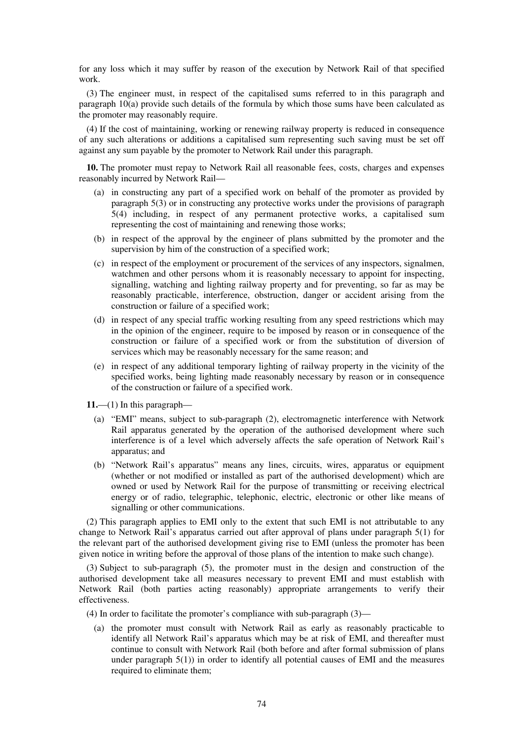for any loss which it may suffer by reason of the execution by Network Rail of that specified work.

(3) The engineer must, in respect of the capitalised sums referred to in this paragraph and paragraph 10(a) provide such details of the formula by which those sums have been calculated as the promoter may reasonably require.

(4) If the cost of maintaining, working or renewing railway property is reduced in consequence of any such alterations or additions a capitalised sum representing such saving must be set off against any sum payable by the promoter to Network Rail under this paragraph.

**10.** The promoter must repay to Network Rail all reasonable fees, costs, charges and expenses reasonably incurred by Network Rail—

- (a) in constructing any part of a specified work on behalf of the promoter as provided by paragraph 5(3) or in constructing any protective works under the provisions of paragraph 5(4) including, in respect of any permanent protective works, a capitalised sum representing the cost of maintaining and renewing those works;
- (b) in respect of the approval by the engineer of plans submitted by the promoter and the supervision by him of the construction of a specified work;
- (c) in respect of the employment or procurement of the services of any inspectors, signalmen, watchmen and other persons whom it is reasonably necessary to appoint for inspecting, signalling, watching and lighting railway property and for preventing, so far as may be reasonably practicable, interference, obstruction, danger or accident arising from the construction or failure of a specified work;
- (d) in respect of any special traffic working resulting from any speed restrictions which may in the opinion of the engineer, require to be imposed by reason or in consequence of the construction or failure of a specified work or from the substitution of diversion of services which may be reasonably necessary for the same reason; and
- (e) in respect of any additional temporary lighting of railway property in the vicinity of the specified works, being lighting made reasonably necessary by reason or in consequence of the construction or failure of a specified work.

**11.**—(1) In this paragraph—

- (a) "EMI" means, subject to sub-paragraph (2), electromagnetic interference with Network Rail apparatus generated by the operation of the authorised development where such interference is of a level which adversely affects the safe operation of Network Rail's apparatus; and
- (b) "Network Rail's apparatus" means any lines, circuits, wires, apparatus or equipment (whether or not modified or installed as part of the authorised development) which are owned or used by Network Rail for the purpose of transmitting or receiving electrical energy or of radio, telegraphic, telephonic, electric, electronic or other like means of signalling or other communications.

(2) This paragraph applies to EMI only to the extent that such EMI is not attributable to any change to Network Rail's apparatus carried out after approval of plans under paragraph 5(1) for the relevant part of the authorised development giving rise to EMI (unless the promoter has been given notice in writing before the approval of those plans of the intention to make such change).

(3) Subject to sub-paragraph (5), the promoter must in the design and construction of the authorised development take all measures necessary to prevent EMI and must establish with Network Rail (both parties acting reasonably) appropriate arrangements to verify their effectiveness.

- (4) In order to facilitate the promoter's compliance with sub-paragraph (3)—
	- (a) the promoter must consult with Network Rail as early as reasonably practicable to identify all Network Rail's apparatus which may be at risk of EMI, and thereafter must continue to consult with Network Rail (both before and after formal submission of plans under paragraph 5(1)) in order to identify all potential causes of EMI and the measures required to eliminate them;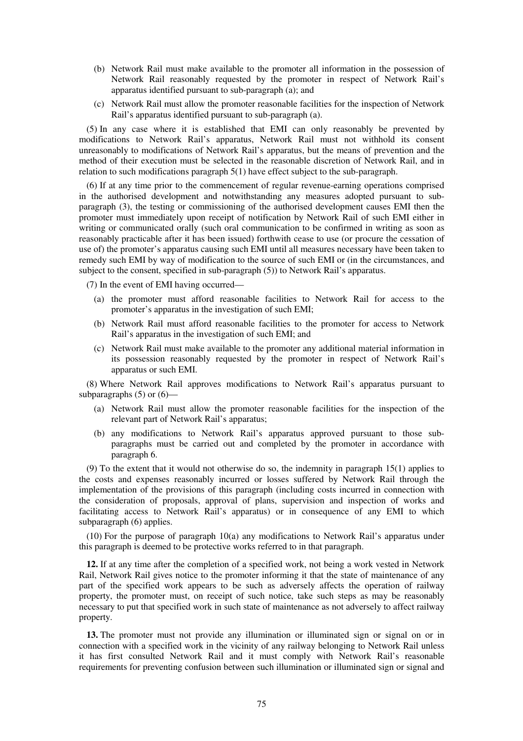- (b) Network Rail must make available to the promoter all information in the possession of Network Rail reasonably requested by the promoter in respect of Network Rail's apparatus identified pursuant to sub-paragraph (a); and
- (c) Network Rail must allow the promoter reasonable facilities for the inspection of Network Rail's apparatus identified pursuant to sub-paragraph (a).

(5) In any case where it is established that EMI can only reasonably be prevented by modifications to Network Rail's apparatus, Network Rail must not withhold its consent unreasonably to modifications of Network Rail's apparatus, but the means of prevention and the method of their execution must be selected in the reasonable discretion of Network Rail, and in relation to such modifications paragraph 5(1) have effect subject to the sub-paragraph.

(6) If at any time prior to the commencement of regular revenue-earning operations comprised in the authorised development and notwithstanding any measures adopted pursuant to subparagraph (3), the testing or commissioning of the authorised development causes EMI then the promoter must immediately upon receipt of notification by Network Rail of such EMI either in writing or communicated orally (such oral communication to be confirmed in writing as soon as reasonably practicable after it has been issued) forthwith cease to use (or procure the cessation of use of) the promoter's apparatus causing such EMI until all measures necessary have been taken to remedy such EMI by way of modification to the source of such EMI or (in the circumstances, and subject to the consent, specified in sub-paragraph (5)) to Network Rail's apparatus.

(7) In the event of EMI having occurred—

- (a) the promoter must afford reasonable facilities to Network Rail for access to the promoter's apparatus in the investigation of such EMI;
- (b) Network Rail must afford reasonable facilities to the promoter for access to Network Rail's apparatus in the investigation of such EMI; and
- (c) Network Rail must make available to the promoter any additional material information in its possession reasonably requested by the promoter in respect of Network Rail's apparatus or such EMI.

(8) Where Network Rail approves modifications to Network Rail's apparatus pursuant to subparagraphs  $(5)$  or  $(6)$ —

- (a) Network Rail must allow the promoter reasonable facilities for the inspection of the relevant part of Network Rail's apparatus;
- (b) any modifications to Network Rail's apparatus approved pursuant to those subparagraphs must be carried out and completed by the promoter in accordance with paragraph 6.

(9) To the extent that it would not otherwise do so, the indemnity in paragraph 15(1) applies to the costs and expenses reasonably incurred or losses suffered by Network Rail through the implementation of the provisions of this paragraph (including costs incurred in connection with the consideration of proposals, approval of plans, supervision and inspection of works and facilitating access to Network Rail's apparatus) or in consequence of any EMI to which subparagraph (6) applies.

(10) For the purpose of paragraph 10(a) any modifications to Network Rail's apparatus under this paragraph is deemed to be protective works referred to in that paragraph.

**12.** If at any time after the completion of a specified work, not being a work vested in Network Rail, Network Rail gives notice to the promoter informing it that the state of maintenance of any part of the specified work appears to be such as adversely affects the operation of railway property, the promoter must, on receipt of such notice, take such steps as may be reasonably necessary to put that specified work in such state of maintenance as not adversely to affect railway property.

**13.** The promoter must not provide any illumination or illuminated sign or signal on or in connection with a specified work in the vicinity of any railway belonging to Network Rail unless it has first consulted Network Rail and it must comply with Network Rail's reasonable requirements for preventing confusion between such illumination or illuminated sign or signal and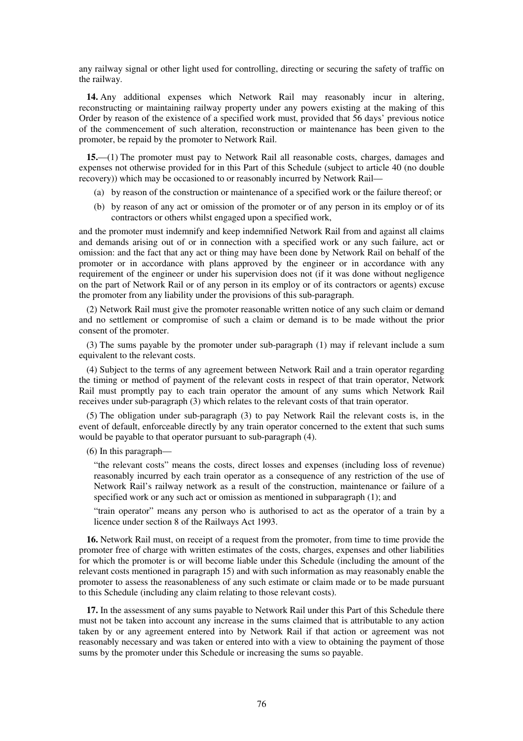any railway signal or other light used for controlling, directing or securing the safety of traffic on the railway.

**14.** Any additional expenses which Network Rail may reasonably incur in altering, reconstructing or maintaining railway property under any powers existing at the making of this Order by reason of the existence of a specified work must, provided that 56 days' previous notice of the commencement of such alteration, reconstruction or maintenance has been given to the promoter, be repaid by the promoter to Network Rail.

**15.**—(1) The promoter must pay to Network Rail all reasonable costs, charges, damages and expenses not otherwise provided for in this Part of this Schedule (subject to article 40 (no double recovery)) which may be occasioned to or reasonably incurred by Network Rail—

- (a) by reason of the construction or maintenance of a specified work or the failure thereof; or
- (b) by reason of any act or omission of the promoter or of any person in its employ or of its contractors or others whilst engaged upon a specified work,

and the promoter must indemnify and keep indemnified Network Rail from and against all claims and demands arising out of or in connection with a specified work or any such failure, act or omission: and the fact that any act or thing may have been done by Network Rail on behalf of the promoter or in accordance with plans approved by the engineer or in accordance with any requirement of the engineer or under his supervision does not (if it was done without negligence on the part of Network Rail or of any person in its employ or of its contractors or agents) excuse the promoter from any liability under the provisions of this sub-paragraph.

(2) Network Rail must give the promoter reasonable written notice of any such claim or demand and no settlement or compromise of such a claim or demand is to be made without the prior consent of the promoter.

(3) The sums payable by the promoter under sub-paragraph (1) may if relevant include a sum equivalent to the relevant costs.

(4) Subject to the terms of any agreement between Network Rail and a train operator regarding the timing or method of payment of the relevant costs in respect of that train operator, Network Rail must promptly pay to each train operator the amount of any sums which Network Rail receives under sub-paragraph (3) which relates to the relevant costs of that train operator.

(5) The obligation under sub-paragraph (3) to pay Network Rail the relevant costs is, in the event of default, enforceable directly by any train operator concerned to the extent that such sums would be payable to that operator pursuant to sub-paragraph (4).

(6) In this paragraph—

"the relevant costs" means the costs, direct losses and expenses (including loss of revenue) reasonably incurred by each train operator as a consequence of any restriction of the use of Network Rail's railway network as a result of the construction, maintenance or failure of a specified work or any such act or omission as mentioned in subparagraph (1); and

"train operator" means any person who is authorised to act as the operator of a train by a licence under section 8 of the Railways Act 1993.

**16.** Network Rail must, on receipt of a request from the promoter, from time to time provide the promoter free of charge with written estimates of the costs, charges, expenses and other liabilities for which the promoter is or will become liable under this Schedule (including the amount of the relevant costs mentioned in paragraph 15) and with such information as may reasonably enable the promoter to assess the reasonableness of any such estimate or claim made or to be made pursuant to this Schedule (including any claim relating to those relevant costs).

**17.** In the assessment of any sums payable to Network Rail under this Part of this Schedule there must not be taken into account any increase in the sums claimed that is attributable to any action taken by or any agreement entered into by Network Rail if that action or agreement was not reasonably necessary and was taken or entered into with a view to obtaining the payment of those sums by the promoter under this Schedule or increasing the sums so payable.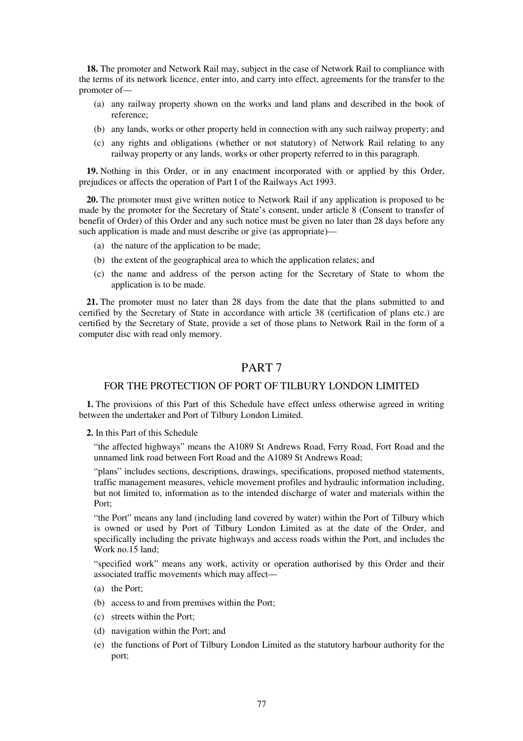**18.** The promoter and Network Rail may, subject in the case of Network Rail to compliance with the terms of its network licence, enter into, and carry into effect, agreements for the transfer to the promoter of—

- (a) any railway property shown on the works and land plans and described in the book of reference;
- (b) any lands, works or other property held in connection with any such railway property; and
- (c) any rights and obligations (whether or not statutory) of Network Rail relating to any railway property or any lands, works or other property referred to in this paragraph.

**19.** Nothing in this Order, or in any enactment incorporated with or applied by this Order, prejudices or affects the operation of Part I of the Railways Act 1993.

**20.** The promoter must give written notice to Network Rail if any application is proposed to be made by the promoter for the Secretary of State's consent, under article 8 (Consent to transfer of benefit of Order) of this Order and any such notice must be given no later than 28 days before any such application is made and must describe or give (as appropriate)—

- (a) the nature of the application to be made;
- (b) the extent of the geographical area to which the application relates; and
- (c) the name and address of the person acting for the Secretary of State to whom the application is to be made.

**21.** The promoter must no later than 28 days from the date that the plans submitted to and certified by the Secretary of State in accordance with article 38 (certification of plans etc.) are certified by the Secretary of State, provide a set of those plans to Network Rail in the form of a computer disc with read only memory.

# PART 7

## FOR THE PROTECTION OF PORT OF TILBURY LONDON LIMITED

**1.** The provisions of this Part of this Schedule have effect unless otherwise agreed in writing between the undertaker and Port of Tilbury London Limited.

**2.** In this Part of this Schedule

"the affected highways" means the A1089 St Andrews Road, Ferry Road, Fort Road and the unnamed link road between Fort Road and the A1089 St Andrews Road;

"plans" includes sections, descriptions, drawings, specifications, proposed method statements, traffic management measures, vehicle movement profiles and hydraulic information including, but not limited to, information as to the intended discharge of water and materials within the Port;

"the Port" means any land (including land covered by water) within the Port of Tilbury which is owned or used by Port of Tilbury London Limited as at the date of the Order, and specifically including the private highways and access roads within the Port, and includes the Work no.15 land;

"specified work" means any work, activity or operation authorised by this Order and their associated traffic movements which may affect—

- (a) the Port;
- (b) access to and from premises within the Port;
- (c) streets within the Port;
- (d) navigation within the Port; and
- (e) the functions of Port of Tilbury London Limited as the statutory harbour authority for the port;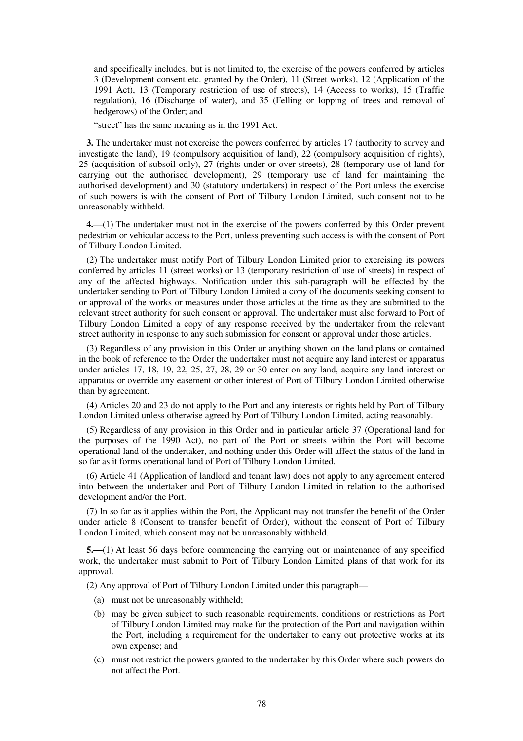and specifically includes, but is not limited to, the exercise of the powers conferred by articles 3 (Development consent etc. granted by the Order), 11 (Street works), 12 (Application of the 1991 Act), 13 (Temporary restriction of use of streets), 14 (Access to works), 15 (Traffic regulation), 16 (Discharge of water), and 35 (Felling or lopping of trees and removal of hedgerows) of the Order; and

"street" has the same meaning as in the 1991 Act.

**3.** The undertaker must not exercise the powers conferred by articles 17 (authority to survey and investigate the land), 19 (compulsory acquisition of land), 22 (compulsory acquisition of rights), 25 (acquisition of subsoil only), 27 (rights under or over streets), 28 (temporary use of land for carrying out the authorised development), 29 (temporary use of land for maintaining the authorised development) and 30 (statutory undertakers) in respect of the Port unless the exercise of such powers is with the consent of Port of Tilbury London Limited, such consent not to be unreasonably withheld.

**4.**—(1) The undertaker must not in the exercise of the powers conferred by this Order prevent pedestrian or vehicular access to the Port, unless preventing such access is with the consent of Port of Tilbury London Limited.

(2) The undertaker must notify Port of Tilbury London Limited prior to exercising its powers conferred by articles 11 (street works) or 13 (temporary restriction of use of streets) in respect of any of the affected highways. Notification under this sub-paragraph will be effected by the undertaker sending to Port of Tilbury London Limited a copy of the documents seeking consent to or approval of the works or measures under those articles at the time as they are submitted to the relevant street authority for such consent or approval. The undertaker must also forward to Port of Tilbury London Limited a copy of any response received by the undertaker from the relevant street authority in response to any such submission for consent or approval under those articles.

(3) Regardless of any provision in this Order or anything shown on the land plans or contained in the book of reference to the Order the undertaker must not acquire any land interest or apparatus under articles 17, 18, 19, 22, 25, 27, 28, 29 or 30 enter on any land, acquire any land interest or apparatus or override any easement or other interest of Port of Tilbury London Limited otherwise than by agreement.

(4) Articles 20 and 23 do not apply to the Port and any interests or rights held by Port of Tilbury London Limited unless otherwise agreed by Port of Tilbury London Limited, acting reasonably.

(5) Regardless of any provision in this Order and in particular article 37 (Operational land for the purposes of the 1990 Act), no part of the Port or streets within the Port will become operational land of the undertaker, and nothing under this Order will affect the status of the land in so far as it forms operational land of Port of Tilbury London Limited.

(6) Article 41 (Application of landlord and tenant law) does not apply to any agreement entered into between the undertaker and Port of Tilbury London Limited in relation to the authorised development and/or the Port.

(7) In so far as it applies within the Port, the Applicant may not transfer the benefit of the Order under article 8 (Consent to transfer benefit of Order), without the consent of Port of Tilbury London Limited, which consent may not be unreasonably withheld.

**5.—**(1) At least 56 days before commencing the carrying out or maintenance of any specified work, the undertaker must submit to Port of Tilbury London Limited plans of that work for its approval.

(2) Any approval of Port of Tilbury London Limited under this paragraph—

- (a) must not be unreasonably withheld;
- (b) may be given subject to such reasonable requirements, conditions or restrictions as Port of Tilbury London Limited may make for the protection of the Port and navigation within the Port, including a requirement for the undertaker to carry out protective works at its own expense; and
- (c) must not restrict the powers granted to the undertaker by this Order where such powers do not affect the Port.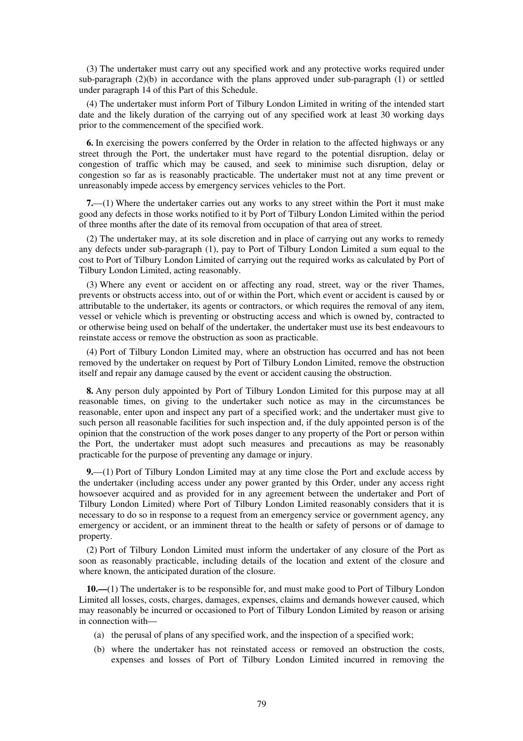(3) The undertaker must carry out any specified work and any protective works required under sub-paragraph (2)(b) in accordance with the plans approved under sub-paragraph (1) or settled under paragraph 14 of this Part of this Schedule.

(4) The undertaker must inform Port of Tilbury London Limited in writing of the intended start date and the likely duration of the carrying out of any specified work at least 30 working days prior to the commencement of the specified work.

**6.** In exercising the powers conferred by the Order in relation to the affected highways or any street through the Port, the undertaker must have regard to the potential disruption, delay or congestion of traffic which may be caused, and seek to minimise such disruption, delay or congestion so far as is reasonably practicable. The undertaker must not at any time prevent or unreasonably impede access by emergency services vehicles to the Port.

**7.**—(1) Where the undertaker carries out any works to any street within the Port it must make good any defects in those works notified to it by Port of Tilbury London Limited within the period of three months after the date of its removal from occupation of that area of street.

(2) The undertaker may, at its sole discretion and in place of carrying out any works to remedy any defects under sub-paragraph (1), pay to Port of Tilbury London Limited a sum equal to the cost to Port of Tilbury London Limited of carrying out the required works as calculated by Port of Tilbury London Limited, acting reasonably.

(3) Where any event or accident on or affecting any road, street, way or the river Thames, prevents or obstructs access into, out of or within the Port, which event or accident is caused by or attributable to the undertaker, its agents or contractors, or which requires the removal of any item, vessel or vehicle which is preventing or obstructing access and which is owned by, contracted to or otherwise being used on behalf of the undertaker, the undertaker must use its best endeavours to reinstate access or remove the obstruction as soon as practicable.

(4) Port of Tilbury London Limited may, where an obstruction has occurred and has not been removed by the undertaker on request by Port of Tilbury London Limited, remove the obstruction itself and repair any damage caused by the event or accident causing the obstruction.

**8.** Any person duly appointed by Port of Tilbury London Limited for this purpose may at all reasonable times, on giving to the undertaker such notice as may in the circumstances be reasonable, enter upon and inspect any part of a specified work; and the undertaker must give to such person all reasonable facilities for such inspection and, if the duly appointed person is of the opinion that the construction of the work poses danger to any property of the Port or person within the Port, the undertaker must adopt such measures and precautions as may be reasonably practicable for the purpose of preventing any damage or injury.

**9.**—(1) Port of Tilbury London Limited may at any time close the Port and exclude access by the undertaker (including access under any power granted by this Order, under any access right howsoever acquired and as provided for in any agreement between the undertaker and Port of Tilbury London Limited) where Port of Tilbury London Limited reasonably considers that it is necessary to do so in response to a request from an emergency service or government agency, any emergency or accident, or an imminent threat to the health or safety of persons or of damage to property.

(2) Port of Tilbury London Limited must inform the undertaker of any closure of the Port as soon as reasonably practicable, including details of the location and extent of the closure and where known, the anticipated duration of the closure.

**10.—**(1) The undertaker is to be responsible for, and must make good to Port of Tilbury London Limited all losses, costs, charges, damages, expenses, claims and demands however caused, which may reasonably be incurred or occasioned to Port of Tilbury London Limited by reason or arising in connection with—

- (a) the perusal of plans of any specified work, and the inspection of a specified work;
- (b) where the undertaker has not reinstated access or removed an obstruction the costs, expenses and losses of Port of Tilbury London Limited incurred in removing the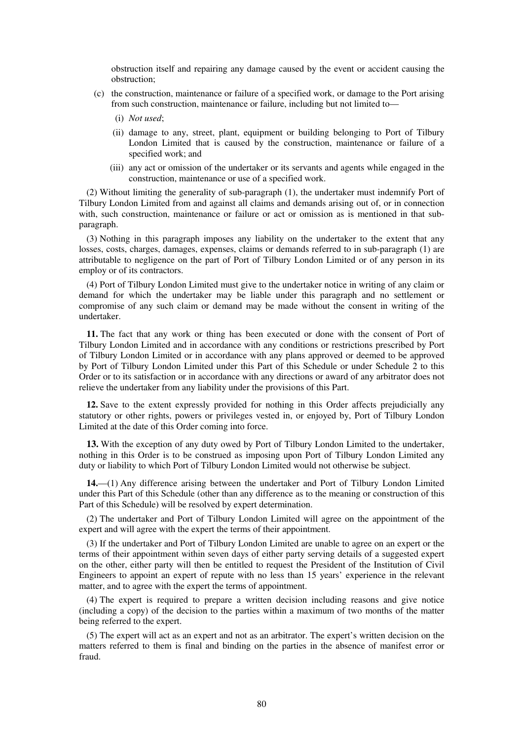obstruction itself and repairing any damage caused by the event or accident causing the obstruction;

- (c) the construction, maintenance or failure of a specified work, or damage to the Port arising from such construction, maintenance or failure, including but not limited to—
	- (i) *Not used*;
	- (ii) damage to any, street, plant, equipment or building belonging to Port of Tilbury London Limited that is caused by the construction, maintenance or failure of a specified work; and
	- (iii) any act or omission of the undertaker or its servants and agents while engaged in the construction, maintenance or use of a specified work.

(2) Without limiting the generality of sub-paragraph (1), the undertaker must indemnify Port of Tilbury London Limited from and against all claims and demands arising out of, or in connection with, such construction, maintenance or failure or act or omission as is mentioned in that subparagraph.

(3) Nothing in this paragraph imposes any liability on the undertaker to the extent that any losses, costs, charges, damages, expenses, claims or demands referred to in sub-paragraph (1) are attributable to negligence on the part of Port of Tilbury London Limited or of any person in its employ or of its contractors.

(4) Port of Tilbury London Limited must give to the undertaker notice in writing of any claim or demand for which the undertaker may be liable under this paragraph and no settlement or compromise of any such claim or demand may be made without the consent in writing of the undertaker.

**11.** The fact that any work or thing has been executed or done with the consent of Port of Tilbury London Limited and in accordance with any conditions or restrictions prescribed by Port of Tilbury London Limited or in accordance with any plans approved or deemed to be approved by Port of Tilbury London Limited under this Part of this Schedule or under Schedule 2 to this Order or to its satisfaction or in accordance with any directions or award of any arbitrator does not relieve the undertaker from any liability under the provisions of this Part.

**12.** Save to the extent expressly provided for nothing in this Order affects prejudicially any statutory or other rights, powers or privileges vested in, or enjoyed by, Port of Tilbury London Limited at the date of this Order coming into force.

**13.** With the exception of any duty owed by Port of Tilbury London Limited to the undertaker, nothing in this Order is to be construed as imposing upon Port of Tilbury London Limited any duty or liability to which Port of Tilbury London Limited would not otherwise be subject.

**14.**—(1) Any difference arising between the undertaker and Port of Tilbury London Limited under this Part of this Schedule (other than any difference as to the meaning or construction of this Part of this Schedule) will be resolved by expert determination.

(2) The undertaker and Port of Tilbury London Limited will agree on the appointment of the expert and will agree with the expert the terms of their appointment.

(3) If the undertaker and Port of Tilbury London Limited are unable to agree on an expert or the terms of their appointment within seven days of either party serving details of a suggested expert on the other, either party will then be entitled to request the President of the Institution of Civil Engineers to appoint an expert of repute with no less than 15 years' experience in the relevant matter, and to agree with the expert the terms of appointment.

(4) The expert is required to prepare a written decision including reasons and give notice (including a copy) of the decision to the parties within a maximum of two months of the matter being referred to the expert.

(5) The expert will act as an expert and not as an arbitrator. The expert's written decision on the matters referred to them is final and binding on the parties in the absence of manifest error or fraud.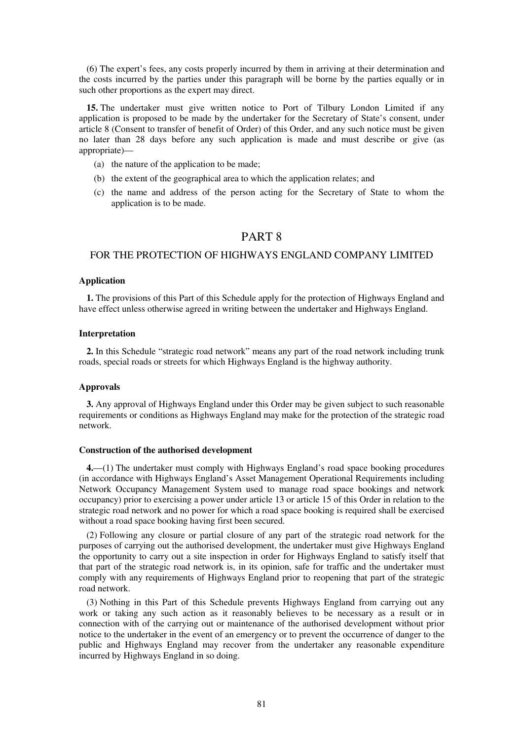(6) The expert's fees, any costs properly incurred by them in arriving at their determination and the costs incurred by the parties under this paragraph will be borne by the parties equally or in such other proportions as the expert may direct.

**15.** The undertaker must give written notice to Port of Tilbury London Limited if any application is proposed to be made by the undertaker for the Secretary of State's consent, under article 8 (Consent to transfer of benefit of Order) of this Order, and any such notice must be given no later than 28 days before any such application is made and must describe or give (as appropriate)—

- (a) the nature of the application to be made;
- (b) the extent of the geographical area to which the application relates; and
- (c) the name and address of the person acting for the Secretary of State to whom the application is to be made.

# PART 8

## FOR THE PROTECTION OF HIGHWAYS ENGLAND COMPANY LIMITED

#### **Application**

**1.** The provisions of this Part of this Schedule apply for the protection of Highways England and have effect unless otherwise agreed in writing between the undertaker and Highways England.

## **Interpretation**

**2.** In this Schedule "strategic road network" means any part of the road network including trunk roads, special roads or streets for which Highways England is the highway authority.

#### **Approvals**

**3.** Any approval of Highways England under this Order may be given subject to such reasonable requirements or conditions as Highways England may make for the protection of the strategic road network.

### **Construction of the authorised development**

**4.**—(1) The undertaker must comply with Highways England's road space booking procedures (in accordance with Highways England's Asset Management Operational Requirements including Network Occupancy Management System used to manage road space bookings and network occupancy) prior to exercising a power under article 13 or article 15 of this Order in relation to the strategic road network and no power for which a road space booking is required shall be exercised without a road space booking having first been secured.

(2) Following any closure or partial closure of any part of the strategic road network for the purposes of carrying out the authorised development, the undertaker must give Highways England the opportunity to carry out a site inspection in order for Highways England to satisfy itself that that part of the strategic road network is, in its opinion, safe for traffic and the undertaker must comply with any requirements of Highways England prior to reopening that part of the strategic road network.

(3) Nothing in this Part of this Schedule prevents Highways England from carrying out any work or taking any such action as it reasonably believes to be necessary as a result or in connection with of the carrying out or maintenance of the authorised development without prior notice to the undertaker in the event of an emergency or to prevent the occurrence of danger to the public and Highways England may recover from the undertaker any reasonable expenditure incurred by Highways England in so doing.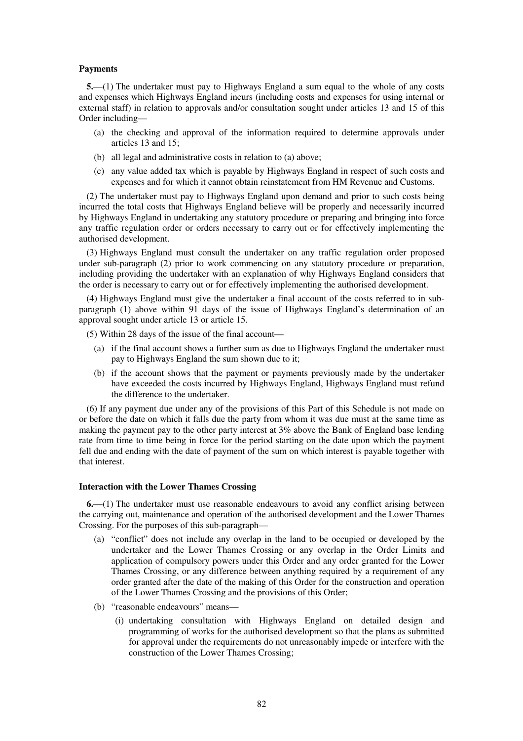### **Payments**

**5.**—(1) The undertaker must pay to Highways England a sum equal to the whole of any costs and expenses which Highways England incurs (including costs and expenses for using internal or external staff) in relation to approvals and/or consultation sought under articles 13 and 15 of this Order including—

- (a) the checking and approval of the information required to determine approvals under articles 13 and 15;
- (b) all legal and administrative costs in relation to (a) above;
- (c) any value added tax which is payable by Highways England in respect of such costs and expenses and for which it cannot obtain reinstatement from HM Revenue and Customs.

(2) The undertaker must pay to Highways England upon demand and prior to such costs being incurred the total costs that Highways England believe will be properly and necessarily incurred by Highways England in undertaking any statutory procedure or preparing and bringing into force any traffic regulation order or orders necessary to carry out or for effectively implementing the authorised development.

(3) Highways England must consult the undertaker on any traffic regulation order proposed under sub-paragraph (2) prior to work commencing on any statutory procedure or preparation, including providing the undertaker with an explanation of why Highways England considers that the order is necessary to carry out or for effectively implementing the authorised development.

(4) Highways England must give the undertaker a final account of the costs referred to in subparagraph (1) above within 91 days of the issue of Highways England's determination of an approval sought under article 13 or article 15.

(5) Within 28 days of the issue of the final account—

- (a) if the final account shows a further sum as due to Highways England the undertaker must pay to Highways England the sum shown due to it;
- (b) if the account shows that the payment or payments previously made by the undertaker have exceeded the costs incurred by Highways England, Highways England must refund the difference to the undertaker.

(6) If any payment due under any of the provisions of this Part of this Schedule is not made on or before the date on which it falls due the party from whom it was due must at the same time as making the payment pay to the other party interest at 3% above the Bank of England base lending rate from time to time being in force for the period starting on the date upon which the payment fell due and ending with the date of payment of the sum on which interest is payable together with that interest.

#### **Interaction with the Lower Thames Crossing**

**6.**—(1) The undertaker must use reasonable endeavours to avoid any conflict arising between the carrying out, maintenance and operation of the authorised development and the Lower Thames Crossing. For the purposes of this sub-paragraph—

- (a) "conflict" does not include any overlap in the land to be occupied or developed by the undertaker and the Lower Thames Crossing or any overlap in the Order Limits and application of compulsory powers under this Order and any order granted for the Lower Thames Crossing, or any difference between anything required by a requirement of any order granted after the date of the making of this Order for the construction and operation of the Lower Thames Crossing and the provisions of this Order;
- (b) "reasonable endeavours" means—
	- (i) undertaking consultation with Highways England on detailed design and programming of works for the authorised development so that the plans as submitted for approval under the requirements do not unreasonably impede or interfere with the construction of the Lower Thames Crossing;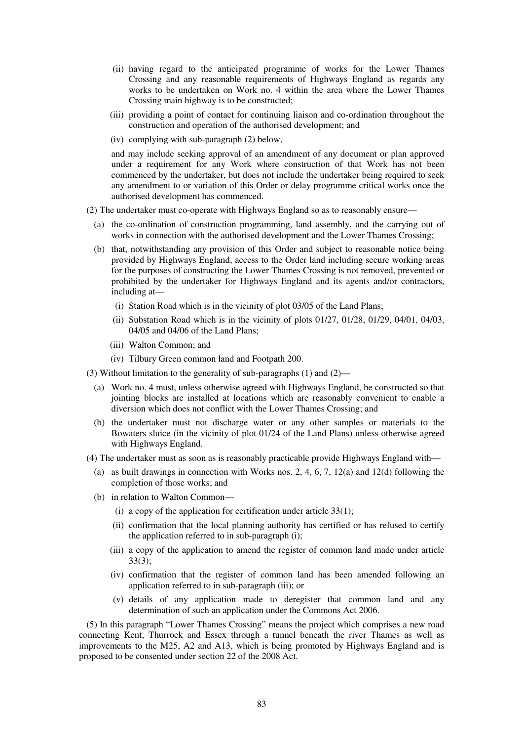- (ii) having regard to the anticipated programme of works for the Lower Thames Crossing and any reasonable requirements of Highways England as regards any works to be undertaken on Work no. 4 within the area where the Lower Thames Crossing main highway is to be constructed;
- (iii) providing a point of contact for continuing liaison and co-ordination throughout the construction and operation of the authorised development; and
- (iv) complying with sub-paragraph (2) below,

and may include seeking approval of an amendment of any document or plan approved under a requirement for any Work where construction of that Work has not been commenced by the undertaker, but does not include the undertaker being required to seek any amendment to or variation of this Order or delay programme critical works once the authorised development has commenced.

- (2) The undertaker must co-operate with Highways England so as to reasonably ensure—
	- (a) the co-ordination of construction programming, land assembly, and the carrying out of works in connection with the authorised development and the Lower Thames Crossing;
	- (b) that, notwithstanding any provision of this Order and subject to reasonable notice being provided by Highways England, access to the Order land including secure working areas for the purposes of constructing the Lower Thames Crossing is not removed, prevented or prohibited by the undertaker for Highways England and its agents and/or contractors, including at—
		- (i) Station Road which is in the vicinity of plot 03/05 of the Land Plans;
		- (ii) Substation Road which is in the vicinity of plots 01/27, 01/28, 01/29, 04/01, 04/03, 04/05 and 04/06 of the Land Plans;
		- (iii) Walton Common; and
		- (iv) Tilbury Green common land and Footpath 200.
- (3) Without limitation to the generality of sub-paragraphs (1) and (2)—
	- (a) Work no. 4 must, unless otherwise agreed with Highways England, be constructed so that jointing blocks are installed at locations which are reasonably convenient to enable a diversion which does not conflict with the Lower Thames Crossing; and
	- (b) the undertaker must not discharge water or any other samples or materials to the Bowaters sluice (in the vicinity of plot 01/24 of the Land Plans) unless otherwise agreed with Highways England.
- (4) The undertaker must as soon as is reasonably practicable provide Highways England with—
	- (a) as built drawings in connection with Works nos. 2, 4, 6, 7, 12(a) and 12(d) following the completion of those works; and
	- (b) in relation to Walton Common—
		- (i) a copy of the application for certification under article  $33(1)$ ;
		- (ii) confirmation that the local planning authority has certified or has refused to certify the application referred to in sub-paragraph (i);
		- (iii) a copy of the application to amend the register of common land made under article 33(3);
		- (iv) confirmation that the register of common land has been amended following an application referred to in sub-paragraph (iii); or
		- (v) details of any application made to deregister that common land and any determination of such an application under the Commons Act 2006.

(5) In this paragraph "Lower Thames Crossing" means the project which comprises a new road connecting Kent, Thurrock and Essex through a tunnel beneath the river Thames as well as improvements to the M25, A2 and A13, which is being promoted by Highways England and is proposed to be consented under section 22 of the 2008 Act.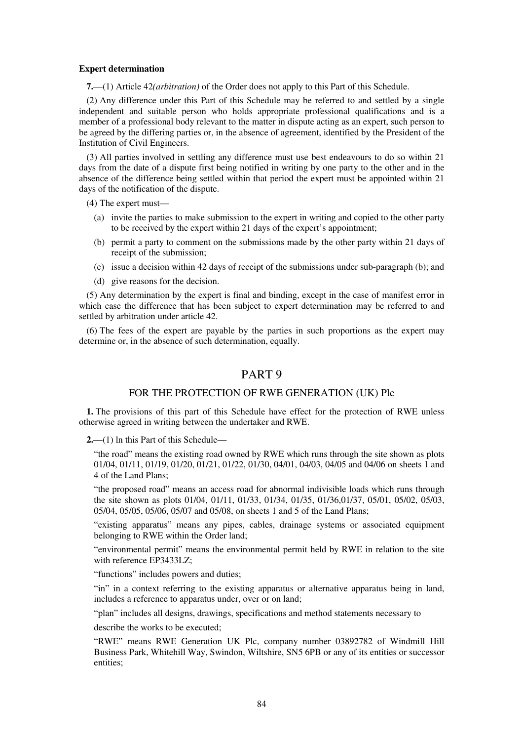#### **Expert determination**

**7.**—(1) Article 42*(arbitration)* of the Order does not apply to this Part of this Schedule.

(2) Any difference under this Part of this Schedule may be referred to and settled by a single independent and suitable person who holds appropriate professional qualifications and is a member of a professional body relevant to the matter in dispute acting as an expert, such person to be agreed by the differing parties or, in the absence of agreement, identified by the President of the Institution of Civil Engineers.

(3) All parties involved in settling any difference must use best endeavours to do so within 21 days from the date of a dispute first being notified in writing by one party to the other and in the absence of the difference being settled within that period the expert must be appointed within 21 days of the notification of the dispute.

(4) The expert must—

- (a) invite the parties to make submission to the expert in writing and copied to the other party to be received by the expert within 21 days of the expert's appointment;
- (b) permit a party to comment on the submissions made by the other party within 21 days of receipt of the submission;
- (c) issue a decision within 42 days of receipt of the submissions under sub-paragraph (b); and
- (d) give reasons for the decision.

(5) Any determination by the expert is final and binding, except in the case of manifest error in which case the difference that has been subject to expert determination may be referred to and settled by arbitration under article 42.

(6) The fees of the expert are payable by the parties in such proportions as the expert may determine or, in the absence of such determination, equally.

# PART 9

## FOR THE PROTECTION OF RWE GENERATION (UK) Plc

**1.** The provisions of this part of this Schedule have effect for the protection of RWE unless otherwise agreed in writing between the undertaker and RWE.

**2.**—(1) ln this Part of this Schedule—

"the road" means the existing road owned by RWE which runs through the site shown as plots 01/04, 01/11, 01/19, 01/20, 01/21, 01/22, 01/30, 04/01, 04/03, 04/05 and 04/06 on sheets 1 and 4 of the Land Plans;

"the proposed road" means an access road for abnormal indivisible loads which runs through the site shown as plots 01/04, 01/11, 01/33, 01/34, 01/35, 01/36,01/37, 05/01, 05/02, 05/03, 05/04, 05/05, 05/06, 05/07 and 05/08, on sheets 1 and 5 of the Land Plans;

"existing apparatus" means any pipes, cables, drainage systems or associated equipment belonging to RWE within the Order land;

"environmental permit" means the environmental permit held by RWE in relation to the site with reference EP3433LZ;

"functions" includes powers and duties;

"in" in a context referring to the existing apparatus or alternative apparatus being in land, includes a reference to apparatus under, over or on land;

"plan" includes all designs, drawings, specifications and method statements necessary to

describe the works to be executed;

"RWE" means RWE Generation UK Plc, company number 03892782 of Windmill Hill Business Park, Whitehill Way, Swindon, Wiltshire, SN5 6PB or any of its entities or successor entities;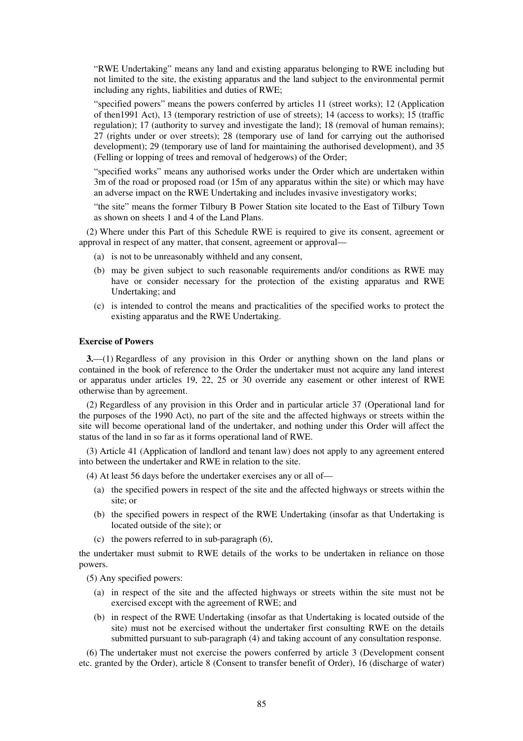"RWE Undertaking" means any land and existing apparatus belonging to RWE including but not limited to the site, the existing apparatus and the land subject to the environmental permit including any rights, liabilities and duties of RWE;

"specified powers" means the powers conferred by articles 11 (street works); 12 (Application of then1991 Act), 13 (temporary restriction of use of streets); 14 (access to works); 15 (traffic regulation); 17 (authority to survey and investigate the land); 18 (removal of human remains); 27 (rights under or over streets); 28 (temporary use of land for carrying out the authorised development); 29 (temporary use of land for maintaining the authorised development), and 35 (Felling or lopping of trees and removal of hedgerows) of the Order;

"specified works" means any authorised works under the Order which are undertaken within 3m of the road or proposed road (or 15m of any apparatus within the site) or which may have an adverse impact on the RWE Undertaking and includes invasive investigatory works;

"the site" means the former Tilbury B Power Station site located to the East of Tilbury Town as shown on sheets 1 and 4 of the Land Plans.

(2) Where under this Part of this Schedule RWE is required to give its consent, agreement or approval in respect of any matter, that consent, agreement or approval—

- (a) is not to be unreasonably withheld and any consent,
- (b) may be given subject to such reasonable requirements and/or conditions as RWE may have or consider necessary for the protection of the existing apparatus and RWE Undertaking; and
- (c) is intended to control the means and practicalities of the specified works to protect the existing apparatus and the RWE Undertaking.

## **Exercise of Powers**

**3.**—(1) Regardless of any provision in this Order or anything shown on the land plans or contained in the book of reference to the Order the undertaker must not acquire any land interest or apparatus under articles 19, 22, 25 or 30 override any easement or other interest of RWE otherwise than by agreement.

(2) Regardless of any provision in this Order and in particular article 37 (Operational land for the purposes of the 1990 Act), no part of the site and the affected highways or streets within the site will become operational land of the undertaker, and nothing under this Order will affect the status of the land in so far as it forms operational land of RWE.

(3) Article 41 (Application of landlord and tenant law) does not apply to any agreement entered into between the undertaker and RWE in relation to the site.

(4) At least 56 days before the undertaker exercises any or all of—

- (a) the specified powers in respect of the site and the affected highways or streets within the site; or
- (b) the specified powers in respect of the RWE Undertaking (insofar as that Undertaking is located outside of the site); or
- (c) the powers referred to in sub-paragraph (6),

the undertaker must submit to RWE details of the works to be undertaken in reliance on those powers.

(5) Any specified powers:

- (a) in respect of the site and the affected highways or streets within the site must not be exercised except with the agreement of RWE; and
- (b) in respect of the RWE Undertaking (insofar as that Undertaking is located outside of the site) must not be exercised without the undertaker first consulting RWE on the details submitted pursuant to sub-paragraph (4) and taking account of any consultation response.

(6) The undertaker must not exercise the powers conferred by article 3 (Development consent etc. granted by the Order), article 8 (Consent to transfer benefit of Order), 16 (discharge of water)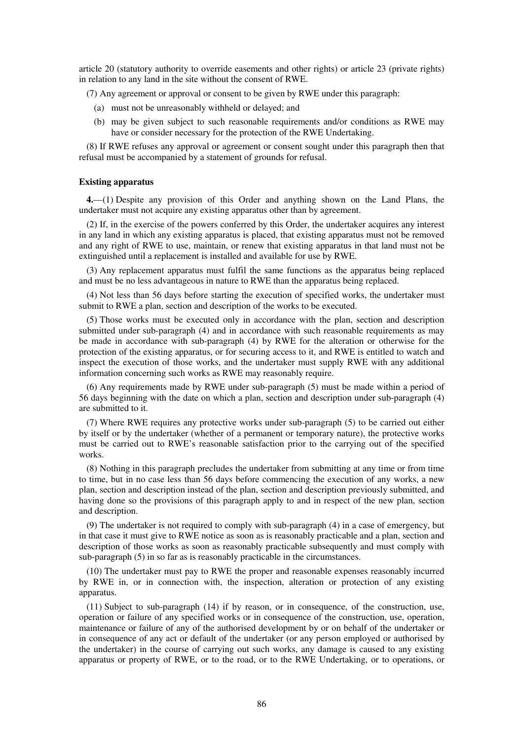article 20 (statutory authority to override easements and other rights) or article 23 (private rights) in relation to any land in the site without the consent of RWE.

(7) Any agreement or approval or consent to be given by RWE under this paragraph:

- (a) must not be unreasonably withheld or delayed; and
- (b) may be given subject to such reasonable requirements and/or conditions as RWE may have or consider necessary for the protection of the RWE Undertaking.

(8) If RWE refuses any approval or agreement or consent sought under this paragraph then that refusal must be accompanied by a statement of grounds for refusal.

#### **Existing apparatus**

**4.**—(1) Despite any provision of this Order and anything shown on the Land Plans, the undertaker must not acquire any existing apparatus other than by agreement.

(2) If, in the exercise of the powers conferred by this Order, the undertaker acquires any interest in any land in which any existing apparatus is placed, that existing apparatus must not be removed and any right of RWE to use, maintain, or renew that existing apparatus in that land must not be extinguished until a replacement is installed and available for use by RWE.

(3) Any replacement apparatus must fulfil the same functions as the apparatus being replaced and must be no less advantageous in nature to RWE than the apparatus being replaced.

(4) Not less than 56 days before starting the execution of specified works, the undertaker must submit to RWE a plan, section and description of the works to be executed.

(5) Those works must be executed only in accordance with the plan, section and description submitted under sub-paragraph (4) and in accordance with such reasonable requirements as may be made in accordance with sub-paragraph (4) by RWE for the alteration or otherwise for the protection of the existing apparatus, or for securing access to it, and RWE is entitled to watch and inspect the execution of those works, and the undertaker must supply RWE with any additional information concerning such works as RWE may reasonably require.

(6) Any requirements made by RWE under sub-paragraph (5) must be made within a period of 56 days beginning with the date on which a plan, section and description under sub-paragraph (4) are submitted to it.

(7) Where RWE requires any protective works under sub-paragraph (5) to be carried out either by itself or by the undertaker (whether of a permanent or temporary nature), the protective works must be carried out to RWE's reasonable satisfaction prior to the carrying out of the specified works.

(8) Nothing in this paragraph precludes the undertaker from submitting at any time or from time to time, but in no case less than 56 days before commencing the execution of any works, a new plan, section and description instead of the plan, section and description previously submitted, and having done so the provisions of this paragraph apply to and in respect of the new plan, section and description.

(9) The undertaker is not required to comply with sub-paragraph (4) in a case of emergency, but in that case it must give to RWE notice as soon as is reasonably practicable and a plan, section and description of those works as soon as reasonably practicable subsequently and must comply with sub-paragraph (5) in so far as is reasonably practicable in the circumstances.

(10) The undertaker must pay to RWE the proper and reasonable expenses reasonably incurred by RWE in, or in connection with, the inspection, alteration or protection of any existing apparatus.

(11) Subject to sub-paragraph (14) if by reason, or in consequence, of the construction, use, operation or failure of any specified works or in consequence of the construction, use, operation, maintenance or failure of any of the authorised development by or on behalf of the undertaker or in consequence of any act or default of the undertaker (or any person employed or authorised by the undertaker) in the course of carrying out such works, any damage is caused to any existing apparatus or property of RWE, or to the road, or to the RWE Undertaking, or to operations, or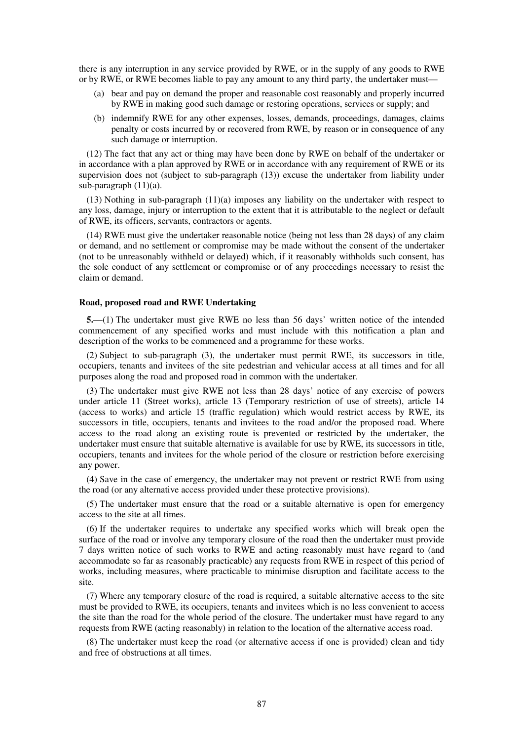there is any interruption in any service provided by RWE, or in the supply of any goods to RWE or by RWE, or RWE becomes liable to pay any amount to any third party, the undertaker must—

- (a) bear and pay on demand the proper and reasonable cost reasonably and properly incurred by RWE in making good such damage or restoring operations, services or supply; and
- (b) indemnify RWE for any other expenses, losses, demands, proceedings, damages, claims penalty or costs incurred by or recovered from RWE, by reason or in consequence of any such damage or interruption.

(12) The fact that any act or thing may have been done by RWE on behalf of the undertaker or in accordance with a plan approved by RWE or in accordance with any requirement of RWE or its supervision does not (subject to sub-paragraph (13)) excuse the undertaker from liability under sub-paragraph (11)(a).

(13) Nothing in sub-paragraph (11)(a) imposes any liability on the undertaker with respect to any loss, damage, injury or interruption to the extent that it is attributable to the neglect or default of RWE, its officers, servants, contractors or agents.

(14) RWE must give the undertaker reasonable notice (being not less than 28 days) of any claim or demand, and no settlement or compromise may be made without the consent of the undertaker (not to be unreasonably withheld or delayed) which, if it reasonably withholds such consent, has the sole conduct of any settlement or compromise or of any proceedings necessary to resist the claim or demand.

## **Road, proposed road and RWE Undertaking**

**5.**—(1) The undertaker must give RWE no less than 56 days' written notice of the intended commencement of any specified works and must include with this notification a plan and description of the works to be commenced and a programme for these works.

(2) Subject to sub-paragraph (3), the undertaker must permit RWE, its successors in title, occupiers, tenants and invitees of the site pedestrian and vehicular access at all times and for all purposes along the road and proposed road in common with the undertaker.

(3) The undertaker must give RWE not less than 28 days' notice of any exercise of powers under article 11 (Street works), article 13 (Temporary restriction of use of streets), article 14 (access to works) and article 15 (traffic regulation) which would restrict access by RWE, its successors in title, occupiers, tenants and invitees to the road and/or the proposed road. Where access to the road along an existing route is prevented or restricted by the undertaker, the undertaker must ensure that suitable alternative is available for use by RWE, its successors in title, occupiers, tenants and invitees for the whole period of the closure or restriction before exercising any power.

(4) Save in the case of emergency, the undertaker may not prevent or restrict RWE from using the road (or any alternative access provided under these protective provisions).

(5) The undertaker must ensure that the road or a suitable alternative is open for emergency access to the site at all times.

(6) If the undertaker requires to undertake any specified works which will break open the surface of the road or involve any temporary closure of the road then the undertaker must provide 7 days written notice of such works to RWE and acting reasonably must have regard to (and accommodate so far as reasonably practicable) any requests from RWE in respect of this period of works, including measures, where practicable to minimise disruption and facilitate access to the site.

(7) Where any temporary closure of the road is required, a suitable alternative access to the site must be provided to RWE, its occupiers, tenants and invitees which is no less convenient to access the site than the road for the whole period of the closure. The undertaker must have regard to any requests from RWE (acting reasonably) in relation to the location of the alternative access road.

(8) The undertaker must keep the road (or alternative access if one is provided) clean and tidy and free of obstructions at all times.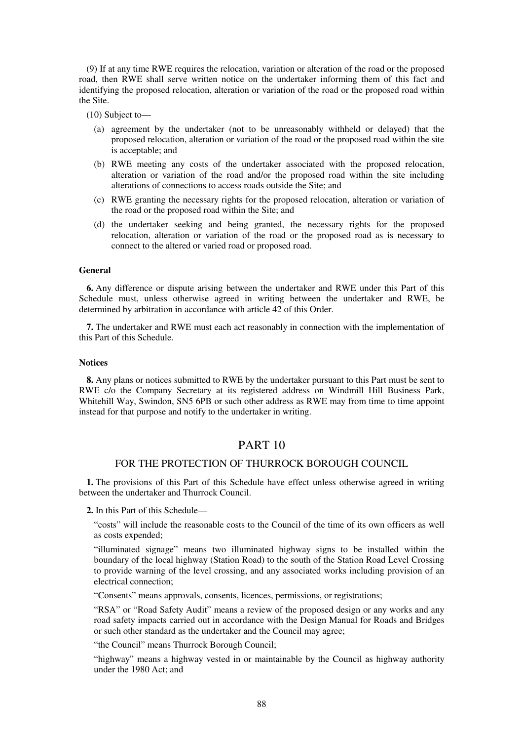(9) If at any time RWE requires the relocation, variation or alteration of the road or the proposed road, then RWE shall serve written notice on the undertaker informing them of this fact and identifying the proposed relocation, alteration or variation of the road or the proposed road within the Site.

(10) Subject to—

- (a) agreement by the undertaker (not to be unreasonably withheld or delayed) that the proposed relocation, alteration or variation of the road or the proposed road within the site is acceptable; and
- (b) RWE meeting any costs of the undertaker associated with the proposed relocation, alteration or variation of the road and/or the proposed road within the site including alterations of connections to access roads outside the Site; and
- (c) RWE granting the necessary rights for the proposed relocation, alteration or variation of the road or the proposed road within the Site; and
- (d) the undertaker seeking and being granted, the necessary rights for the proposed relocation, alteration or variation of the road or the proposed road as is necessary to connect to the altered or varied road or proposed road.

### **General**

**6.** Any difference or dispute arising between the undertaker and RWE under this Part of this Schedule must, unless otherwise agreed in writing between the undertaker and RWE, be determined by arbitration in accordance with article 42 of this Order.

**7.** The undertaker and RWE must each act reasonably in connection with the implementation of this Part of this Schedule.

## **Notices**

**8.** Any plans or notices submitted to RWE by the undertaker pursuant to this Part must be sent to RWE c/o the Company Secretary at its registered address on Windmill Hill Business Park, Whitehill Way, Swindon, SN5 6PB or such other address as RWE may from time to time appoint instead for that purpose and notify to the undertaker in writing.

# PART 10

# FOR THE PROTECTION OF THURROCK BOROUGH COUNCIL

**1.** The provisions of this Part of this Schedule have effect unless otherwise agreed in writing between the undertaker and Thurrock Council.

**2.** In this Part of this Schedule—

"costs" will include the reasonable costs to the Council of the time of its own officers as well as costs expended;

"illuminated signage" means two illuminated highway signs to be installed within the boundary of the local highway (Station Road) to the south of the Station Road Level Crossing to provide warning of the level crossing, and any associated works including provision of an electrical connection;

"Consents" means approvals, consents, licences, permissions, or registrations;

"RSA" or "Road Safety Audit" means a review of the proposed design or any works and any road safety impacts carried out in accordance with the Design Manual for Roads and Bridges or such other standard as the undertaker and the Council may agree;

"the Council" means Thurrock Borough Council;

"highway" means a highway vested in or maintainable by the Council as highway authority under the 1980 Act; and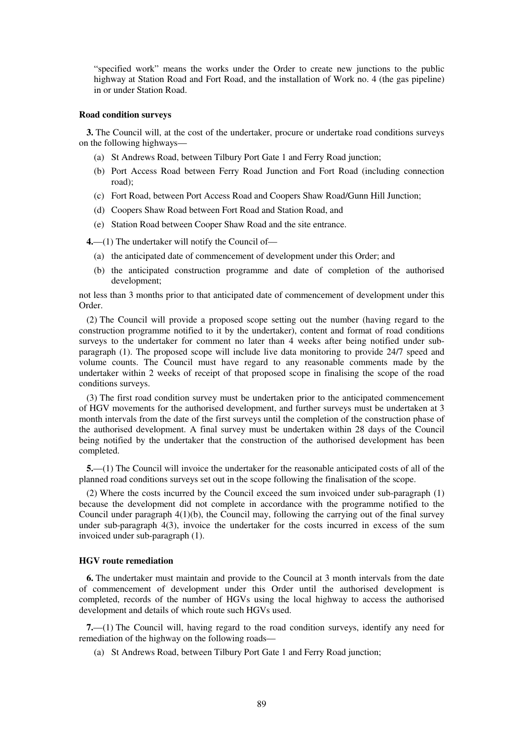"specified work" means the works under the Order to create new junctions to the public highway at Station Road and Fort Road, and the installation of Work no. 4 (the gas pipeline) in or under Station Road.

### **Road condition surveys**

**3.** The Council will, at the cost of the undertaker, procure or undertake road conditions surveys on the following highways—

- (a) St Andrews Road, between Tilbury Port Gate 1 and Ferry Road junction;
- (b) Port Access Road between Ferry Road Junction and Fort Road (including connection road);
- (c) Fort Road, between Port Access Road and Coopers Shaw Road/Gunn Hill Junction;
- (d) Coopers Shaw Road between Fort Road and Station Road, and
- (e) Station Road between Cooper Shaw Road and the site entrance.

**4.**—(1) The undertaker will notify the Council of—

- (a) the anticipated date of commencement of development under this Order; and
- (b) the anticipated construction programme and date of completion of the authorised development;

not less than 3 months prior to that anticipated date of commencement of development under this Order.

(2) The Council will provide a proposed scope setting out the number (having regard to the construction programme notified to it by the undertaker), content and format of road conditions surveys to the undertaker for comment no later than 4 weeks after being notified under subparagraph (1). The proposed scope will include live data monitoring to provide 24/7 speed and volume counts. The Council must have regard to any reasonable comments made by the undertaker within 2 weeks of receipt of that proposed scope in finalising the scope of the road conditions surveys.

(3) The first road condition survey must be undertaken prior to the anticipated commencement of HGV movements for the authorised development, and further surveys must be undertaken at 3 month intervals from the date of the first surveys until the completion of the construction phase of the authorised development. A final survey must be undertaken within 28 days of the Council being notified by the undertaker that the construction of the authorised development has been completed.

**5.**—(1) The Council will invoice the undertaker for the reasonable anticipated costs of all of the planned road conditions surveys set out in the scope following the finalisation of the scope.

(2) Where the costs incurred by the Council exceed the sum invoiced under sub-paragraph (1) because the development did not complete in accordance with the programme notified to the Council under paragraph  $4(1)(b)$ , the Council may, following the carrying out of the final survey under sub-paragraph 4(3), invoice the undertaker for the costs incurred in excess of the sum invoiced under sub-paragraph (1).

#### **HGV route remediation**

**6.** The undertaker must maintain and provide to the Council at 3 month intervals from the date of commencement of development under this Order until the authorised development is completed, records of the number of HGVs using the local highway to access the authorised development and details of which route such HGVs used.

**7.**—(1) The Council will, having regard to the road condition surveys, identify any need for remediation of the highway on the following roads—

(a) St Andrews Road, between Tilbury Port Gate 1 and Ferry Road junction;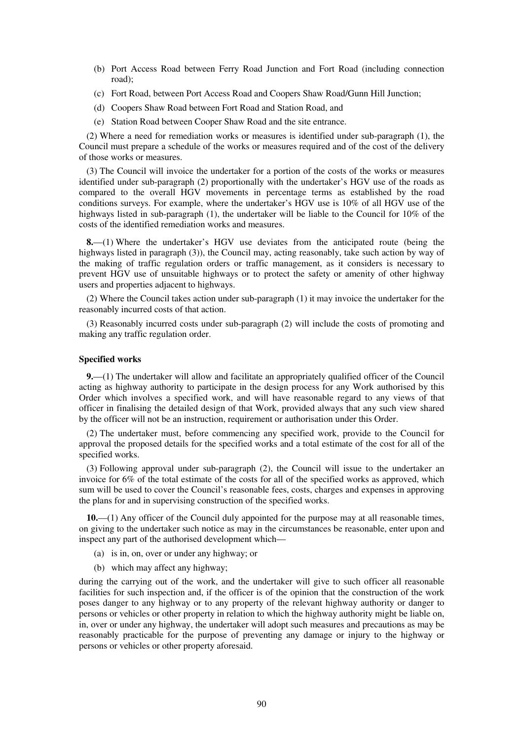- (b) Port Access Road between Ferry Road Junction and Fort Road (including connection road);
- (c) Fort Road, between Port Access Road and Coopers Shaw Road/Gunn Hill Junction;
- (d) Coopers Shaw Road between Fort Road and Station Road, and
- (e) Station Road between Cooper Shaw Road and the site entrance.

(2) Where a need for remediation works or measures is identified under sub-paragraph (1), the Council must prepare a schedule of the works or measures required and of the cost of the delivery of those works or measures.

(3) The Council will invoice the undertaker for a portion of the costs of the works or measures identified under sub-paragraph (2) proportionally with the undertaker's HGV use of the roads as compared to the overall HGV movements in percentage terms as established by the road conditions surveys. For example, where the undertaker's HGV use is 10% of all HGV use of the highways listed in sub-paragraph (1), the undertaker will be liable to the Council for 10% of the costs of the identified remediation works and measures.

**8.**—(1) Where the undertaker's HGV use deviates from the anticipated route (being the highways listed in paragraph (3)), the Council may, acting reasonably, take such action by way of the making of traffic regulation orders or traffic management, as it considers is necessary to prevent HGV use of unsuitable highways or to protect the safety or amenity of other highway users and properties adjacent to highways.

(2) Where the Council takes action under sub-paragraph (1) it may invoice the undertaker for the reasonably incurred costs of that action.

(3) Reasonably incurred costs under sub-paragraph (2) will include the costs of promoting and making any traffic regulation order.

### **Specified works**

**9.**—(1) The undertaker will allow and facilitate an appropriately qualified officer of the Council acting as highway authority to participate in the design process for any Work authorised by this Order which involves a specified work, and will have reasonable regard to any views of that officer in finalising the detailed design of that Work, provided always that any such view shared by the officer will not be an instruction, requirement or authorisation under this Order.

(2) The undertaker must, before commencing any specified work, provide to the Council for approval the proposed details for the specified works and a total estimate of the cost for all of the specified works.

(3) Following approval under sub-paragraph (2), the Council will issue to the undertaker an invoice for 6% of the total estimate of the costs for all of the specified works as approved, which sum will be used to cover the Council's reasonable fees, costs, charges and expenses in approving the plans for and in supervising construction of the specified works.

**10.**—(1) Any officer of the Council duly appointed for the purpose may at all reasonable times, on giving to the undertaker such notice as may in the circumstances be reasonable, enter upon and inspect any part of the authorised development which—

- (a) is in, on, over or under any highway; or
- (b) which may affect any highway;

during the carrying out of the work, and the undertaker will give to such officer all reasonable facilities for such inspection and, if the officer is of the opinion that the construction of the work poses danger to any highway or to any property of the relevant highway authority or danger to persons or vehicles or other property in relation to which the highway authority might be liable on, in, over or under any highway, the undertaker will adopt such measures and precautions as may be reasonably practicable for the purpose of preventing any damage or injury to the highway or persons or vehicles or other property aforesaid.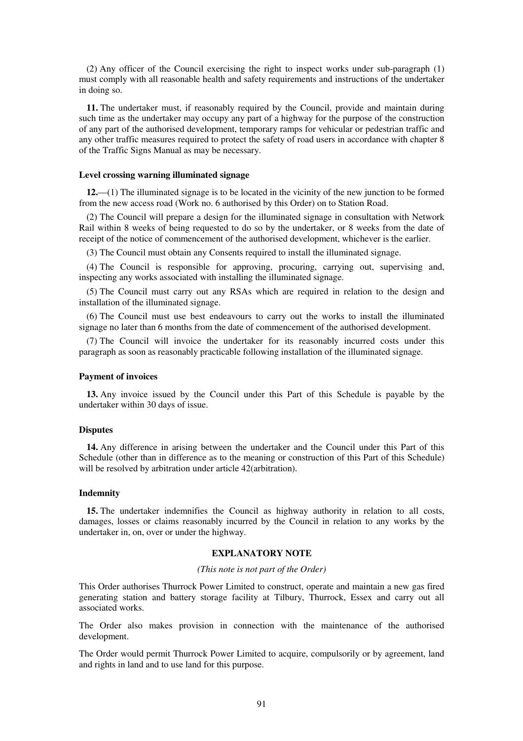(2) Any officer of the Council exercising the right to inspect works under sub-paragraph (1) must comply with all reasonable health and safety requirements and instructions of the undertaker in doing so.

**11.** The undertaker must, if reasonably required by the Council, provide and maintain during such time as the undertaker may occupy any part of a highway for the purpose of the construction of any part of the authorised development, temporary ramps for vehicular or pedestrian traffic and any other traffic measures required to protect the safety of road users in accordance with chapter 8 of the Traffic Signs Manual as may be necessary.

## **Level crossing warning illuminated signage**

**12.**—(1) The illuminated signage is to be located in the vicinity of the new junction to be formed from the new access road (Work no. 6 authorised by this Order) on to Station Road.

(2) The Council will prepare a design for the illuminated signage in consultation with Network Rail within 8 weeks of being requested to do so by the undertaker, or 8 weeks from the date of receipt of the notice of commencement of the authorised development, whichever is the earlier.

(3) The Council must obtain any Consents required to install the illuminated signage.

(4) The Council is responsible for approving, procuring, carrying out, supervising and, inspecting any works associated with installing the illuminated signage.

(5) The Council must carry out any RSAs which are required in relation to the design and installation of the illuminated signage.

(6) The Council must use best endeavours to carry out the works to install the illuminated signage no later than 6 months from the date of commencement of the authorised development.

(7) The Council will invoice the undertaker for its reasonably incurred costs under this paragraph as soon as reasonably practicable following installation of the illuminated signage.

#### **Payment of invoices**

**13.** Any invoice issued by the Council under this Part of this Schedule is payable by the undertaker within 30 days of issue.

## **Disputes**

**14.** Any difference in arising between the undertaker and the Council under this Part of this Schedule (other than in difference as to the meaning or construction of this Part of this Schedule) will be resolved by arbitration under article 42(arbitration).

#### **Indemnity**

**15.** The undertaker indemnifies the Council as highway authority in relation to all costs, damages, losses or claims reasonably incurred by the Council in relation to any works by the undertaker in, on, over or under the highway.

## **EXPLANATORY NOTE**

#### *(This note is not part of the Order)*

This Order authorises Thurrock Power Limited to construct, operate and maintain a new gas fired generating station and battery storage facility at Tilbury, Thurrock, Essex and carry out all associated works.

The Order also makes provision in connection with the maintenance of the authorised development.

The Order would permit Thurrock Power Limited to acquire, compulsorily or by agreement, land and rights in land and to use land for this purpose.